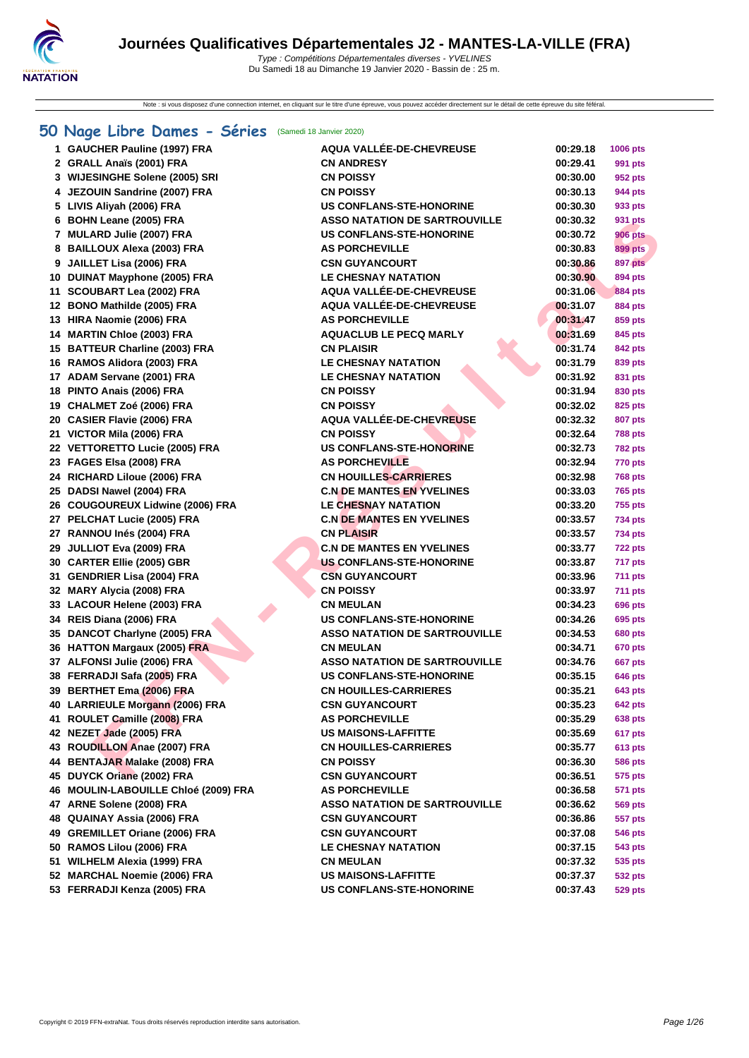Note : si vous disposez d'une connection internet, en cliquant sur le titre d'une épreuve, vous pouvez accéder directement sur le détail de cette épreuve du site féféral.

### **[50 Na](http://www.ffnatation.fr/webffn/index.php)ge Libre Dames - Séries** (Samedi 18 Janvier 2020)

| 1 GAUCHER Pauline (1997) FRA         | <b>AQUA VALLÉE-DE-CHEVREUSE</b>      | 00:29.18 | 1006 pts       |
|--------------------------------------|--------------------------------------|----------|----------------|
| 2 GRALL Anaïs (2001) FRA             | <b>CN ANDRESY</b>                    | 00:29.41 | 991 pts        |
| 3 WIJESINGHE Solene (2005) SRI       | <b>CN POISSY</b>                     | 00:30.00 | 952 pts        |
| 4 JEZOUIN Sandrine (2007) FRA        | <b>CN POISSY</b>                     | 00:30.13 | 944 pts        |
| 5 LIVIS Aliyah (2006) FRA            | <b>US CONFLANS-STE-HONORINE</b>      | 00:30.30 | 933 pts        |
| 6 BOHN Leane (2005) FRA              | <b>ASSO NATATION DE SARTROUVILLE</b> | 00:30.32 | 931 pts        |
| 7 MULARD Julie (2007) FRA            | <b>US CONFLANS-STE-HONORINE</b>      | 00:30.72 | <b>906 pts</b> |
| 8 BAILLOUX Alexa (2003) FRA          | <b>AS PORCHEVILLE</b>                | 00:30.83 | 899 pts        |
| 9 JAILLET Lisa (2006) FRA            | <b>CSN GUYANCOURT</b>                | 00:30.86 | <b>897 pts</b> |
| 10 DUINAT Mayphone (2005) FRA        | <b>LE CHESNAY NATATION</b>           | 00:30.90 | 894 pts        |
| 11 SCOUBART Lea (2002) FRA           | AQUA VALLÉE-DE-CHEVREUSE             | 00:31.06 | <b>884 pts</b> |
| 12 BONO Mathilde (2005) FRA          | AQUA VALLÉE-DE-CHEVREUSE             | 00:31.07 | <b>884 pts</b> |
| 13 HIRA Naomie (2006) FRA            | <b>AS PORCHEVILLE</b>                | 00:31.47 | 859 pts        |
| 14 MARTIN Chloe (2003) FRA           | <b>AQUACLUB LE PECQ MARLY</b>        | 00:31.69 | 845 pts        |
| 15 BATTEUR Charline (2003) FRA       | <b>CN PLAISIR</b>                    | 00:31.74 | 842 pts        |
| 16 RAMOS Alidora (2003) FRA          | <b>LE CHESNAY NATATION</b>           | 00:31.79 | 839 pts        |
| 17 ADAM Servane (2001) FRA           | <b>LE CHESNAY NATATION</b>           | 00:31.92 | 831 pts        |
| 18 PINTO Anais (2006) FRA            | <b>CN POISSY</b>                     | 00:31.94 | 830 pts        |
| 19 CHALMET Zoé (2006) FRA            | <b>CN POISSY</b>                     | 00:32.02 | 825 pts        |
| 20 CASIER Flavie (2006) FRA          | <b>AQUA VALLÉE-DE-CHEVREUSE</b>      | 00:32.32 | 807 pts        |
| 21 VICTOR Mila (2006) FRA            | <b>CN POISSY</b>                     | 00:32.64 | <b>788 pts</b> |
| 22 VETTORETTO Lucie (2005) FRA       | <b>US CONFLANS-STE-HONORINE</b>      | 00:32.73 | <b>782 pts</b> |
| 23 FAGES Elsa (2008) FRA             | <b>AS PORCHEVILLE</b>                | 00:32.94 | <b>770 pts</b> |
| 24 RICHARD Liloue (2006) FRA         | <b>CN HOUILLES-CARRIERES</b>         | 00:32.98 | <b>768 pts</b> |
| 25 DADSI Nawel (2004) FRA            | <b>C.N DE MANTES EN YVELINES</b>     | 00:33.03 | 765 pts        |
| 26 COUGOUREUX Lidwine (2006) FRA     | LE CHESNAY NATATION                  | 00:33.20 | 755 pts        |
| 27 PELCHAT Lucie (2005) FRA          | <b>C.N DE MANTES EN YVELINES</b>     | 00:33.57 | 734 pts        |
| 27 RANNOU Inés (2004) FRA            | <b>CN PLAISIR</b>                    | 00:33.57 | 734 pts        |
| 29 JULLIOT Eva (2009) FRA            | <b>C.N DE MANTES EN YVELINES</b>     | 00:33.77 | <b>722 pts</b> |
| 30 CARTER Ellie (2005) GBR           | <b>US CONFLANS-STE-HONORINE</b>      | 00:33.87 | 717 pts        |
| 31 GENDRIER Lisa (2004) FRA          | <b>CSN GUYANCOURT</b>                | 00:33.96 | <b>711 pts</b> |
| 32 MARY Alycia (2008) FRA            | <b>CN POISSY</b>                     | 00:33.97 | <b>711 pts</b> |
| 33 LACOUR Helene (2003) FRA          | <b>CN MEULAN</b>                     | 00:34.23 | 696 pts        |
| 34 REIS Diana (2006) FRA             | <b>US CONFLANS-STE-HONORINE</b>      | 00:34.26 | 695 pts        |
| 35 DANCOT Charlyne (2005) FRA        | <b>ASSO NATATION DE SARTROUVILLE</b> | 00:34.53 | 680 pts        |
| 36 HATTON Margaux (2005) FRA         | <b>CN MEULAN</b>                     | 00:34.71 | 670 pts        |
| 37 ALFONSI Julie (2006) FRA          | <b>ASSO NATATION DE SARTROUVILLE</b> | 00:34.76 | <b>667 pts</b> |
| 38 FERRADJI Safa (2005) FRA          | <b>US CONFLANS-STE-HONORINE</b>      | 00:35.15 | 646 pts        |
| 39 BERTHET Ema (2006) FRA            | <b>CN HOUILLES-CARRIERES</b>         | 00:35.21 | <b>643 pts</b> |
| 40 LARRIEULE Morgann (2006) FRA      | <b>CSN GUYANCOURT</b>                | 00:35.23 | 642 pts        |
| 41 ROULET Camille (2008) FRA         | <b>AS PORCHEVILLE</b>                | 00:35.29 | 638 pts        |
| 42 NEZET Jade (2005) FRA             | <b>US MAISONS-LAFFITTE</b>           | 00:35.69 | 617 pts        |
| 43 ROUDILLON Anae (2007) FRA         | <b>CN HOUILLES-CARRIERES</b>         | 00:35.77 | 613 pts        |
| 44 BENTAJAR Malake (2008) FRA        | <b>CN POISSY</b>                     | 00:36.30 | 586 pts        |
| 45 DUYCK Oriane (2002) FRA           | <b>CSN GUYANCOURT</b>                | 00:36.51 | 575 pts        |
| 46 MOULIN-LABOUILLE Chloé (2009) FRA | <b>AS PORCHEVILLE</b>                | 00:36.58 | 571 pts        |
| 47 ARNE Solene (2008) FRA            | <b>ASSO NATATION DE SARTROUVILLE</b> | 00:36.62 | <b>569 pts</b> |
| 48 QUAINAY Assia (2006) FRA          | <b>CSN GUYANCOURT</b>                | 00:36.86 | 557 pts        |
| 49 GREMILLET Oriane (2006) FRA       | <b>CSN GUYANCOURT</b>                | 00:37.08 | 546 pts        |
| 50 RAMOS Lilou (2006) FRA            | LE CHESNAY NATATION                  | 00:37.15 | 543 pts        |
| 51 WILHELM Alexia (1999) FRA         | <b>CN MEULAN</b>                     | 00:37.32 | 535 pts        |
| 52 MARCHAL Noemie (2006) FRA         | <b>US MAISONS-LAFFITTE</b>           | 00:37.37 | 532 pts        |
| 53 FERRADJI Kenza (2005) FRA         | <b>US CONFLANS-STE-HONORINE</b>      | 00:37.43 | 529 pts        |
|                                      |                                      |          |                |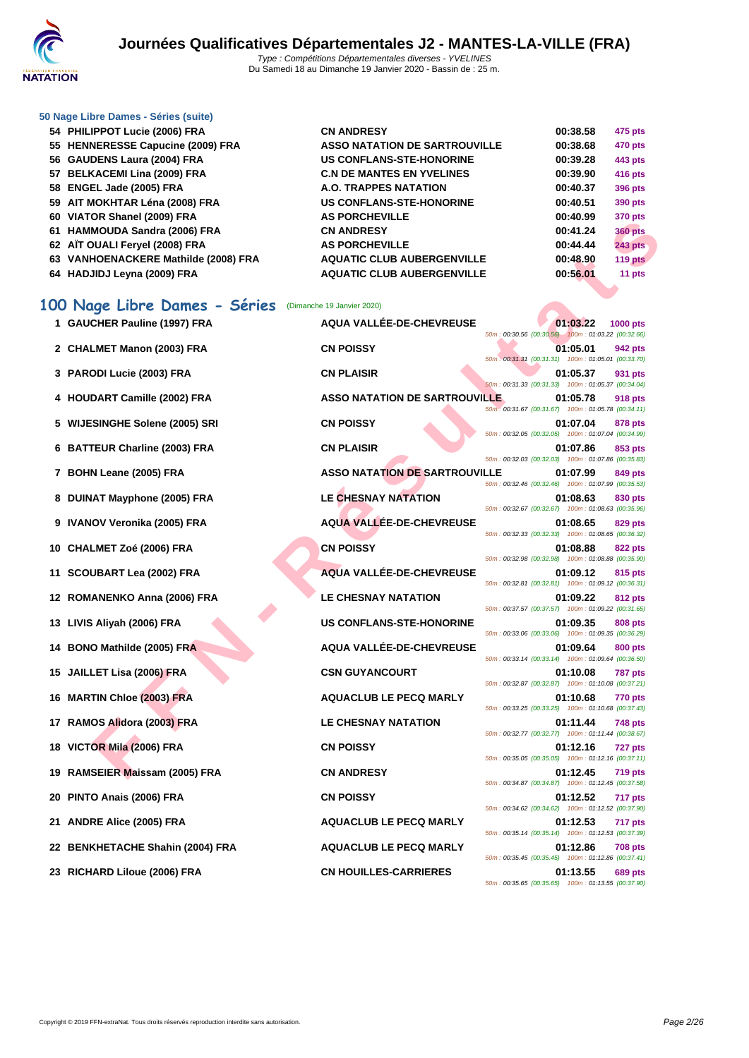

#### **[50 Nage L](http://www.ffnatation.fr/webffn/index.php)ibre Dames - Séries (suite)**

| 54 PHILIPPOT Lucie (2006) FRA        | <b>CN ANDRESY</b>                    | 00:38.58 | 475 pts        |
|--------------------------------------|--------------------------------------|----------|----------------|
| 55 HENNERESSE Capucine (2009) FRA    | <b>ASSO NATATION DE SARTROUVILLE</b> | 00:38.68 | 470 pts        |
| 56 GAUDENS Laura (2004) FRA          | <b>US CONFLANS-STE-HONORINE</b>      | 00:39.28 | 443 pts        |
| 57 BELKACEMI Lina (2009) FRA         | <b>C.N DE MANTES EN YVELINES</b>     | 00:39.90 | 416 pts        |
| 58 ENGEL Jade (2005) FRA             | <b>A.O. TRAPPES NATATION</b>         | 00:40.37 | 396 pts        |
| 59 AIT MOKHTAR Léna (2008) FRA       | <b>US CONFLANS-STE-HONORINE</b>      | 00:40.51 | 390 pts        |
| 60 VIATOR Shanel (2009) FRA          | <b>AS PORCHEVILLE</b>                | 00:40.99 | 370 pts        |
| 61 HAMMOUDA Sandra (2006) FRA        | <b>CN ANDRESY</b>                    | 00:41.24 | <b>360 pts</b> |
| 62 AÏT OUALI Feryel (2008) FRA       | <b>AS PORCHEVILLE</b>                | 00:44.44 | <b>243 pts</b> |
| 63 VANHOENACKERE Mathilde (2008) FRA | <b>AQUATIC CLUB AUBERGENVILLE</b>    | 00:48.90 | $119$ pts      |
| 64 HADJIDJ Leyna (2009) FRA          | <b>AQUATIC CLUB AUBERGENVILLE</b>    | 00:56.01 | 11 pts         |
|                                      |                                      |          |                |
| 00 Nage Libre Dames - Séries         | (Dimanche 19 Janvier 2020)           |          |                |
|                                      |                                      |          |                |

### **100 Nage Libre Dames - Séries** (Dimanche 19 Janvier 2020)

| $00 \text{ V}$ $\sim$ 10 $\sim$ 0 $\sim$ 0 $\sim$ 10 $\sim$ 10 $\sim$ 0 $\sim$ 0 $\sim$ | <b>AVI UNVIILVILLL</b>               | vv. <del>-</del> v.JJ<br><i>ar</i> u pis                                         |
|-----------------------------------------------------------------------------------------|--------------------------------------|----------------------------------------------------------------------------------|
| 61   HAMMOUDA Sandra (2006) FRA                                                         | <b>CN ANDRESY</b>                    | 00:41.24<br><b>360 pts</b>                                                       |
| 62   AÏT OUALI Feryel (2008) FRA                                                        | <b>AS PORCHEVILLE</b>                | 00:44.44<br><b>243 pts</b>                                                       |
| 63 VANHOENACKERE Mathilde (2008) FRA                                                    | <b>AQUATIC CLUB AUBERGENVILLE</b>    | 00:48.90<br>119 pts                                                              |
| 64   HADJIDJ Leyna (2009) FRA                                                           | <b>AQUATIC CLUB AUBERGENVILLE</b>    | 00:56.01<br>11 pts                                                               |
|                                                                                         |                                      |                                                                                  |
| 00 Nage Libre Dames - Séries                                                            | (Dimanche 19 Janvier 2020)           |                                                                                  |
| 1 GAUCHER Pauline (1997) FRA                                                            | <b>AQUA VALLÉE-DE-CHEVREUSE</b>      | 01:03.22<br>1000 pts<br>50m; 00:30.56 (00:30.56) 100m: 01:03.22 (00:32.66)       |
| 2 CHALMET Manon (2003) FRA                                                              | <b>CN POISSY</b>                     | 01:05.01<br>942 pts<br>50m: 00:31.31 (00:31.31) 100m: 01:05.01 (00:33.70)        |
| 3 PARODI Lucie (2003) FRA                                                               | <b>CN PLAISIR</b>                    | 01:05.37<br>931 pts<br>50m: 00:31.33 (00:31.33) 100m: 01:05.37 (00:34.04)        |
| 4 HOUDART Camille (2002) FRA                                                            | <b>ASSO NATATION DE SARTROUVILLE</b> | 01:05.78<br><b>918 pts</b><br>50m: 00:31.67 (00:31.67) 100m: 01:05.78 (00:34.11) |
| 5 WIJESINGHE Solene (2005) SRI                                                          | <b>CN POISSY</b>                     | 01:07.04<br>878 pts<br>50m: 00:32.05 (00:32.05) 100m: 01:07.04 (00:34.99)        |
| 6 BATTEUR Charline (2003) FRA                                                           | <b>CN PLAISIR</b>                    | 01:07.86<br>853 pts<br>50m: 00:32.03 (00:32.03) 100m: 01:07.86 (00:35.83)        |
| 7 BOHN Leane (2005) FRA                                                                 | <b>ASSO NATATION DE SARTROUVILLE</b> | 01:07.99<br>849 pts<br>50m: 00:32.46 (00:32.46) 100m: 01:07.99 (00:35.53)        |
| 8 DUINAT Mayphone (2005) FRA                                                            | <b>LE CHESNAY NATATION</b>           | 01:08.63<br>830 pts<br>50m: 00:32.67 (00:32.67) 100m: 01:08.63 (00:35.96)        |
| 9 IVANOV Veronika (2005) FRA                                                            | AQUA VALLÉE-DE-CHEVREUSE             | 01:08.65<br>829 pts<br>50m: 00:32.33 (00:32.33) 100m: 01:08.65 (00:36.32)        |
| 10 CHALMET Zoé (2006) FRA                                                               | <b>CN POISSY</b>                     | 01:08.88<br>822 pts<br>50m: 00:32.98 (00:32.98) 100m: 01:08.88 (00:35.90)        |
| 11 SCOUBART Lea (2002) FRA                                                              | AQUA VALLÉE-DE-CHEVREUSE             | 01:09.12<br>815 pts<br>50m: 00:32.81 (00:32.81) 100m: 01:09.12 (00:36.31)        |
| 12 ROMANENKO Anna (2006) FRA                                                            | <b>LE CHESNAY NATATION</b>           | 01:09.22<br>812 pts<br>50m: 00:37.57 (00:37.57) 100m: 01:09.22 (00:31.65)        |
| 13 LIVIS Aliyah (2006) FRA                                                              | US CONFLANS-STE-HONORINE             | 01:09.35<br>808 pts<br>50m: 00:33.06 (00:33.06) 100m: 01:09.35 (00:36.29)        |
| 14 BONO Mathilde (2005) FRA                                                             | AQUA VALLÉE-DE-CHEVREUSE             | 01:09.64<br>800 pts<br>50m: 00:33.14 (00:33.14) 100m: 01:09.64 (00:36.50)        |
| 15 JAILLET Lisa (2006) FRA                                                              | <b>CSN GUYANCOURT</b>                | 01:10.08<br><b>787 pts</b><br>50m: 00:32.87 (00:32.87) 100m: 01:10.08 (00:37.21) |
| 16 MARTIN Chloe (2003) FRA                                                              | <b>AQUACLUB LE PECQ MARLY</b>        | 01:10.68<br><b>770 pts</b><br>50m: 00:33.25 (00:33.25) 100m: 01:10.68 (00:37.43) |
| 17 RAMOS Alidora (2003) FRA                                                             | <b>LE CHESNAY NATATION</b>           | 01:11.44<br>748 pts<br>50m: 00:32.77 (00:32.77) 100m: 01:11.44 (00:38.67)        |
| 18 VICTOR Mila (2006) FRA                                                               | <b>CN POISSY</b>                     | 01:12.16<br>727 pts<br>50m: 00:35.05 (00:35.05) 100m: 01:12.16 (00:37.11)        |
| 19 RAMSEIER Maissam (2005) FRA                                                          | <b>CN ANDRESY</b>                    | 01:12.45<br><b>719 pts</b><br>50m: 00:34.87 (00:34.87) 100m: 01:12.45 (00:37.58) |
| 20 PINTO Anais (2006) FRA                                                               | <b>CN POISSY</b>                     | 01:12.52<br><b>717 pts</b><br>50m: 00:34.62 (00:34.62) 100m: 01:12.52 (00:37.90) |
| 21 ANDRE Alice (2005) FRA                                                               | <b>AQUACLUB LE PECQ MARLY</b>        | 01:12.53<br>717 pts<br>50m: 00:35.14 (00:35.14) 100m: 01:12.53 (00:37.39)        |
| 22 BENKHETACHE Shahin (2004) FRA                                                        | <b>AQUACLUB LE PECQ MARLY</b>        | 01:12.86<br><b>708 pts</b><br>50m: 00:35.45 (00:35.45) 100m: 01:12.86 (00:37.41) |
| 23 RICHARD Liloue (2006) FRA                                                            | <b>CN HOUILLES-CARRIERES</b>         | 01:13.55<br>689 pts<br>50m: 00:35.65 (00:35.65) 100m: 01:13.55 (00:37.90)        |
|                                                                                         |                                      |                                                                                  |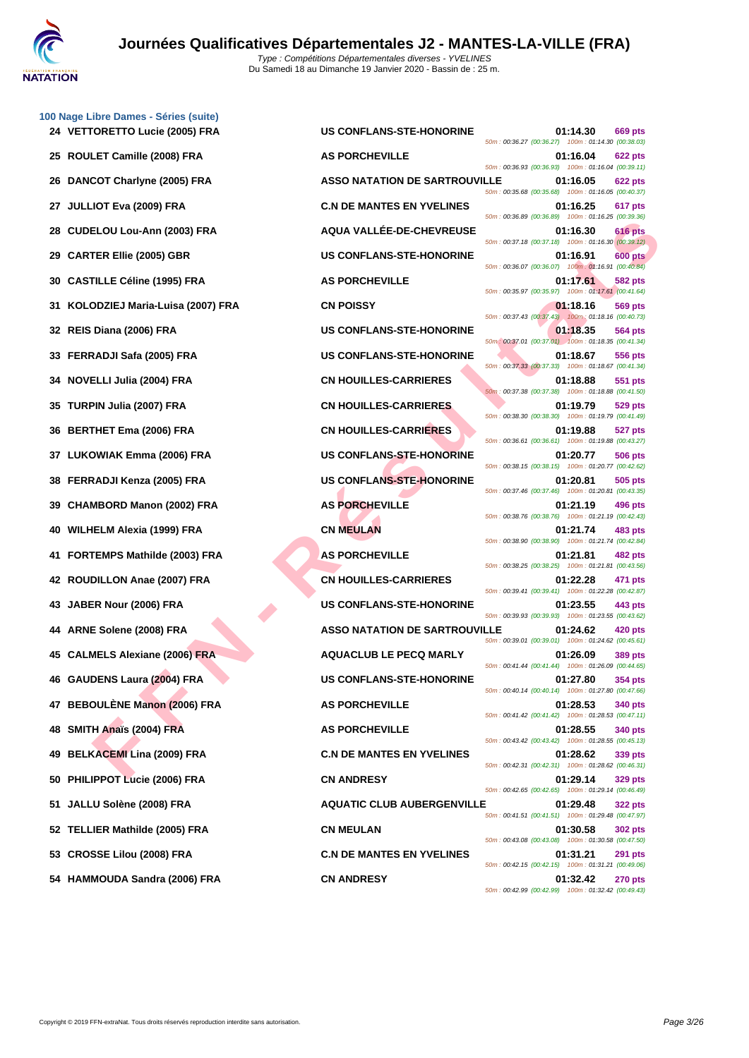

**[100 Nage](http://www.ffnatation.fr/webffn/index.php) Libre Dames - Séries (suite)**

|     |                                     |                                      | 50m: 00:36.27 (00:36.27) 100m: 01:14.30 (00:38.03)                                                                                     |
|-----|-------------------------------------|--------------------------------------|----------------------------------------------------------------------------------------------------------------------------------------|
|     | 25 ROULET Camille (2008) FRA        | <b>AS PORCHEVILLE</b>                | 01:16.04<br>622 pts<br>50m: 00:36.93 (00:36.93) 100m: 01:16.04 (00:39.11)                                                              |
|     | 26 DANCOT Charlyne (2005) FRA       | <b>ASSO NATATION DE SARTROUVILLE</b> | 01:16.05<br>622 pts<br>50m: 00:35.68 (00:35.68) 100m: 01:16.05 (00:40.37)                                                              |
| 27  | <b>JULLIOT Eva (2009) FRA</b>       | <b>C.N DE MANTES EN YVELINES</b>     | 01:16.25<br>617 pts<br>50m: 00:36.89 (00:36.89) 100m: 01:16.25 (00:39.36)                                                              |
| 28  | <b>CUDELOU Lou-Ann (2003) FRA</b>   | AQUA VALLÉE-DE-CHEVREUSE             | 616 pts<br>01:16.30<br>50m: 00:37.18 (00:37.18) 100m: 01:16.30 (00:39.12)                                                              |
| 29  | <b>CARTER Ellie (2005) GBR</b>      | <b>US CONFLANS-STE-HONORINE</b>      | 600 pts<br>01:16.91<br>50m: 00:36.07 (00:36.07) 100m: 01:16.91 (00:40.84)                                                              |
| 30  | <b>CASTILLE Céline (1995) FRA</b>   | <b>AS PORCHEVILLE</b>                | 01:17.61<br>582 pts<br>50m: 00:35.97 (00:35.97) 100m: 01:17.61 (00:41.64)                                                              |
| 31. | KOLODZIEJ Maria-Luisa (2007) FRA    | <b>CN POISSY</b>                     | 01:18.16<br>569 pts<br>50m: 00:37.43 (00:37.43) 100m: 01:18.16 (00:40.73)                                                              |
|     | 32 REIS Diana (2006) FRA            | US CONFLANS-STE-HONORINE             | 01:18.35<br>564 pts<br>50m: 00:37.01 (00:37.01) 100m: 01:18.35 (00:41.34)                                                              |
| 33  | FERRADJI Safa (2005) FRA            | <b>US CONFLANS-STE-HONORINE</b>      | 01:18.67<br>556 pts<br>50m: 00:37.33 (00:37.33) 100m: 01:18.67 (00:41.34)                                                              |
| 34  | <b>NOVELLI Julia (2004) FRA</b>     | <b>CN HOUILLES-CARRIERES</b>         | 01:18.88<br>551 pts<br>50m: 00:37.38 (00:37.38) 100m: 01:18.88 (00:41.50)                                                              |
| 35. | TURPIN Julia (2007) FRA             | <b>CN HOUILLES-CARRIERES</b>         | 01:19.79<br>529 pts<br>50m: 00:38.30 (00:38.30) 100m: 01:19.79 (00:41.49)                                                              |
|     | 36 BERTHET Ema (2006) FRA           | <b>CN HOUILLES-CARRIERES</b>         | 01:19.88<br>527 pts<br>50m: 00:36.61 (00:36.61) 100m: 01:19.88 (00:43.27)                                                              |
| 37  | LUKOWIAK Emma (2006) FRA            | <b>US CONFLANS-STE-HONORINE</b>      | 01:20.77<br>506 pts<br>50m: 00:38.15 (00:38.15) 100m: 01:20.77 (00:42.62)                                                              |
|     | 38 FERRADJI Kenza (2005) FRA        | US CONFLANS-STE-HONORINE             | 01:20.81<br>505 pts<br>50m: 00:37.46 (00:37.46) 100m: 01:20.81 (00:43.35)                                                              |
|     |                                     |                                      |                                                                                                                                        |
| 39  | <b>CHAMBORD Manon (2002) FRA</b>    | <b>AS PORCHEVILLE</b>                | 01:21.19<br>496 pts                                                                                                                    |
| 40  | WILHELM Alexia (1999) FRA           | <b>CN MEULAN</b>                     | 50m: 00:38.76 (00:38.76) 100m: 01:21.19 (00:42.43)<br>01:21.74<br>483 pts                                                              |
| 41. | <b>FORTEMPS Mathilde (2003) FRA</b> | <b>AS PORCHEVILLE</b>                | 50m: 00:38.90 (00:38.90) 100m: 01:21.74 (00:42.84)<br>01:21.81<br>482 pts                                                              |
|     | 42 ROUDILLON Anae (2007) FRA        | <b>CN HOUILLES-CARRIERES</b>         | 50m: 00:38.25 (00:38.25) 100m: 01:21.81 (00:43.56)<br>01:22.28<br>471 pts                                                              |
| 43  | JABER Nour (2006) FRA               | <b>US CONFLANS-STE-HONORINE</b>      | 50m: 00:39.41 (00:39.41) 100m: 01:22.28 (00:42.87)<br>01:23.55<br>443 pts                                                              |
| 44  | ARNE Solene (2008) FRA              | <b>ASSO NATATION DE SARTROUVILLE</b> | 50m: 00:39.93 (00:39.93) 100m: 01:23.55 (00:43.62)<br>01:24.62<br>420 pts                                                              |
| 45  | <b>CALMELS Alexiane (2006) FRA</b>  | <b>AQUACLUB LE PECQ MARLY</b>        | 50m: 00:39.01 (00:39.01) 100m: 01:24.62 (00:45.61)<br>01:26.09<br>389 pts                                                              |
|     | 46 GAUDENS Laura (2004) FRA         | <b>US CONFLANS-STE-HONORINE</b>      | 50m: 00:41.44 (00:41.44) 100m: 01:26.09 (00:44.65)<br>01:27.80<br>354 pts                                                              |
|     | 47 BEBOULÈNE Manon (2006) FRA       | <b>AS PORCHEVILLE</b>                | 50m: 00:40.14 (00:40.14) 100m: 01:27.80 (00:47.66)<br>01:28.53<br>340 pts                                                              |
|     | 48 SMITH Anaïs (2004) FRA           | <b>AS PORCHEVILLE</b>                | 50m: 00:41.42 (00:41.42) 100m: 01:28.53 (00:47.11)<br>01:28.55<br>340 pts                                                              |
|     | 49 BELKACEMI Lina (2009) FRA        | <b>C.N DE MANTES EN YVELINES</b>     | 50m: 00:43.42 (00:43.42) 100m: 01:28.55 (00:45.13)<br>01:28.62<br>339 pts                                                              |
|     | 50 PHILIPPOT Lucie (2006) FRA       | <b>CN ANDRESY</b>                    | 50m: 00:42.31 (00:42.31) 100m: 01:28.62 (00:46.31)<br>01:29.14<br><b>329 pts</b>                                                       |
|     | 51 JALLU Solène (2008) FRA          | <b>AQUATIC CLUB AUBERGENVILLE</b>    | 50m: 00:42.65 (00:42.65) 100m: 01:29.14 (00:46.49)<br>01:29.48<br>322 pts                                                              |
|     | 52 TELLIER Mathilde (2005) FRA      | <b>CN MEULAN</b>                     | 50m: 00:41.51 (00:41.51) 100m: 01:29.48 (00:47.97)<br>01:30.58<br>302 pts                                                              |
|     | 53 CROSSE Lilou (2008) FRA          | <b>C.N DE MANTES EN YVELINES</b>     | 50m: 00:43.08 (00:43.08) 100m: 01:30.58 (00:47.50)<br>01:31.21<br><b>291 pts</b><br>50m: 00:42.15 (00:42.15) 100m: 01:31.21 (00:49.06) |

| 24 VETTORETTO Lucie (2005) FRA      | <b>US CONFLANS-STE-HONORINE</b>      | 01:14.30<br><b>669 pts</b><br>50m: 00:36.27 (00:36.27) 100m: 01:14.30 (00:38.03) |
|-------------------------------------|--------------------------------------|----------------------------------------------------------------------------------|
| 25 ROULET Camille (2008) FRA        | <b>AS PORCHEVILLE</b>                | 01:16.04<br><b>622 pts</b><br>50m: 00:36.93 (00:36.93) 100m: 01:16.04 (00:39.11) |
| 26 DANCOT Charlyne (2005) FRA       | <b>ASSO NATATION DE SARTROUVILLE</b> | 01:16.05<br>622 pts<br>50m: 00:35.68 (00:35.68) 100m: 01:16.05 (00:40.37)        |
| 27 JULLIOT Eva (2009) FRA           | <b>C.N DE MANTES EN YVELINES</b>     | 01:16.25<br>617 pts<br>50m: 00:36.89 (00:36.89) 100m: 01:16.25 (00:39.36)        |
| 28 CUDELOU Lou-Ann (2003) FRA       | AQUA VALLÉE-DE-CHEVREUSE             | 01:16.30<br>616 pts<br>50m: 00:37.18 (00:37.18) 100m: 01:16.30 (00:39.12)        |
| 29 CARTER Ellie (2005) GBR          | <b>US CONFLANS-STE-HONORINE</b>      | 01:16.91<br>600 pts<br>50m: 00:36.07 (00:36.07) 100m: 01:16.91 (00:40.84)        |
| 30 CASTILLE Céline (1995) FRA       | <b>AS PORCHEVILLE</b>                | 01:17.61<br>582 pts<br>50m: 00:35.97 (00:35.97) 100m: 01:17.61 (00:41.64)        |
| 31 KOLODZIEJ Maria-Luisa (2007) FRA | <b>CN POISSY</b>                     | 01:18.16<br>569 pts<br>50m: 00:37.43 (00:37.43)  100m: 01:18.16 (00:40.73)       |
| 32 REIS Diana (2006) FRA            | <b>US CONFLANS-STE-HONORINE</b>      | 01:18.35<br>564 pts<br>50m: 00:37.01 (00:37.01) 100m: 01:18.35 (00:41.34)        |
| 33 FERRADJI Safa (2005) FRA         | <b>US CONFLANS-STE-HONORINE</b>      | 01:18.67<br>556 pts<br>50m: 00:37.33 (00:37.33) 100m: 01:18.67 (00:41.34)        |
| 34 NOVELLI Julia (2004) FRA         | <b>CN HOUILLES-CARRIERES</b>         | 01:18.88<br>551 pts<br>50m: 00:37.38 (00:37.38) 100m: 01:18.88 (00:41.50)        |
| 35 TURPIN Julia (2007) FRA          | <b>CN HOUILLES-CARRIERES</b>         | 01:19.79<br>529 pts<br>50m: 00:38.30 (00:38.30) 100m: 01:19.79 (00:41.49)        |
| 36 BERTHET Ema (2006) FRA           | <b>CN HOUILLES-CARRIERES</b>         | 01:19.88<br>527 pts<br>50m: 00:36.61 (00:36.61) 100m: 01:19.88 (00:43.27)        |
| 37 LUKOWIAK Emma (2006) FRA         | <b>US CONFLANS-STE-HONORINE</b>      | 01:20.77<br>506 pts<br>50m: 00:38.15 (00:38.15) 100m: 01:20.77 (00:42.62)        |
| 38 FERRADJI Kenza (2005) FRA        | <b>US CONFLANS-STE-HONORINE</b>      | 01:20.81<br>505 pts<br>50m: 00:37.46 (00:37.46) 100m: 01:20.81 (00:43.35)        |
| 39 CHAMBORD Manon (2002) FRA        | <b>AS PORCHEVILLE</b>                | 01:21.19<br>496 pts<br>50m: 00:38.76 (00:38.76) 100m: 01:21.19 (00:42.43)        |
| 40 WILHELM Alexia (1999) FRA        | <b>CN MEULAN</b>                     | 01:21.74<br>483 pts<br>50m: 00:38.90 (00:38.90) 100m: 01:21.74 (00:42.84)        |
| 41 FORTEMPS Mathilde (2003) FRA     | <b>AS PORCHEVILLE</b>                | 01:21.81<br>482 pts<br>50m: 00:38.25 (00:38.25) 100m: 01:21.81 (00:43.56)        |
| 42 ROUDILLON Anae (2007) FRA        | <b>CN HOUILLES-CARRIERES</b>         | 01:22.28<br>471 pts<br>50m: 00:39.41 (00:39.41) 100m: 01:22.28 (00:42.87)        |
| 43 JABER Nour (2006) FRA            | <b>US CONFLANS-STE-HONORINE</b>      | 01:23.55<br>443 pts<br>50m: 00:39.93 (00:39.93) 100m: 01:23.55 (00:43.62)        |
| 44 ARNE Solene (2008) FRA           | <b>ASSO NATATION DE SARTROUVILLE</b> | 01:24.62<br>420 pts<br>50m: 00:39.01 (00:39.01) 100m: 01:24.62 (00:45.61)        |
| 45 CALMELS Alexiane (2006) FRA      | <b>AQUACLUB LE PECQ MARLY</b>        | 01:26.09<br>389 pts<br>50m: 00:41.44 (00:41.44) 100m: 01:26.09 (00:44.65)        |
| 46 GAUDENS Laura (2004) FRA         | <b>US CONFLANS-STE-HONORINE</b>      | 01:27.80<br>354 pts<br>50m: 00:40.14 (00:40.14) 100m: 01:27.80 (00:47.66)        |
| 47 BEBOULÈNE Manon (2006) FRA       | <b>AS PORCHEVILLE</b>                | 01:28.53<br><b>340 pts</b><br>50m: 00:41.42 (00:41.42) 100m: 01:28.53 (00:47.11) |
| 48 SMITH Anaïs (2004) FRA           | <b>AS PORCHEVILLE</b>                | 01:28.55<br>340 pts<br>50m: 00:43.42 (00:43.42) 100m: 01:28.55 (00:45.13)        |
| 49 BELKACEMI Lina (2009) FRA        | <b>C.N DE MANTES EN YVELINES</b>     | 01:28.62<br>339 pts<br>50m: 00:42.31 (00:42.31) 100m: 01:28.62 (00:46.31)        |
| 50 PHILIPPOT Lucie (2006) FRA       | <b>CN ANDRESY</b>                    | 01:29.14<br>329 pts<br>50m: 00:42.65 (00:42.65) 100m: 01:29.14 (00:46.49)        |
| 51 JALLU Solène (2008) FRA          | <b>AQUATIC CLUB AUBERGENVILLE</b>    | 01:29.48<br><b>322 pts</b><br>50m: 00:41.51 (00:41.51) 100m: 01:29.48 (00:47.97) |
| 52 TELLIER Mathilde (2005) FRA      | <b>CN MEULAN</b>                     | 01:30.58<br><b>302 pts</b><br>50m: 00:43.08 (00:43.08) 100m: 01:30.58 (00:47.50) |
| 53 CROSSE Lilou (2008) FRA          | <b>C.N DE MANTES EN YVELINES</b>     | 01:31.21<br><b>291 pts</b><br>50m: 00:42.15 (00:42.15) 100m: 01:31.21 (00:49.06) |
| 54 HAMMOUDA Sandra (2006) FRA       | <b>CN ANDRESY</b>                    | 01:32.42<br><b>270 pts</b><br>50m: 00:42.99 (00:42.99) 100m: 01:32.42 (00:49.43) |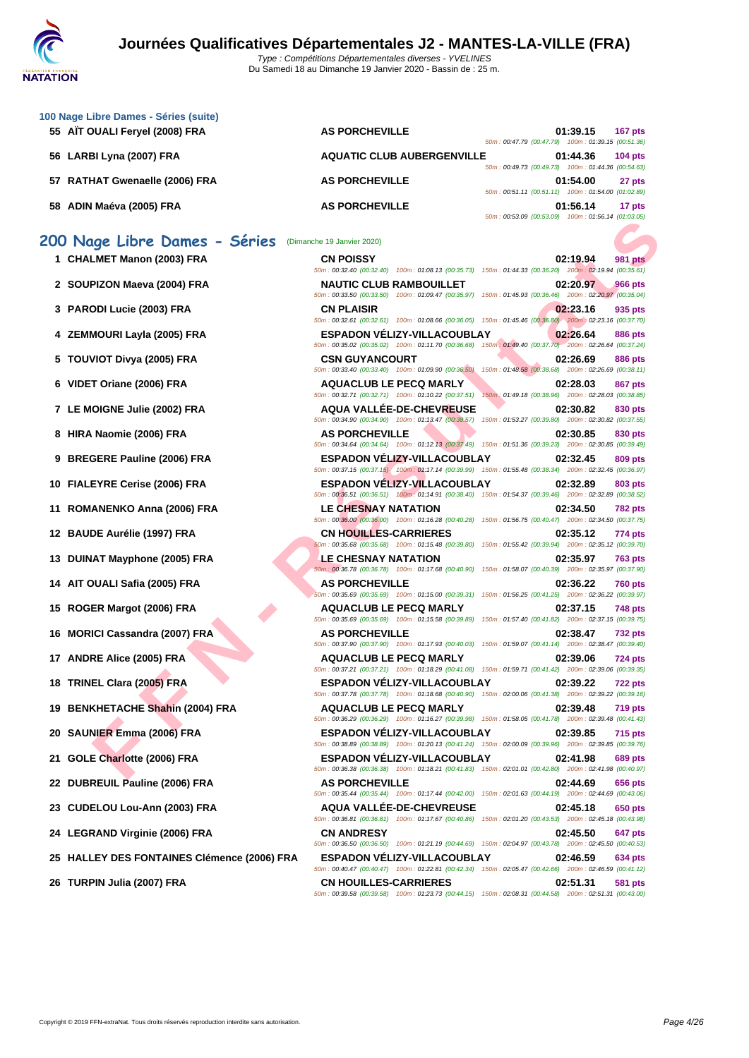| 100 Nage Libre Dames - Séries (suite) |                                                                        |                                                     |          |                |
|---------------------------------------|------------------------------------------------------------------------|-----------------------------------------------------|----------|----------------|
| 55 AIT OUALI Feryel (2008) FRA        | <b>AS PORCHEVILLE</b>                                                  | 50m: 00:47.79 (00:47.79) 100m: 01:39.15 (00:51.36)  | 01:39.15 | 167 pts        |
| 56 LARBI Lyna (2007) FRA              | <b>AQUATIC CLUB AUBERGENVILLE</b>                                      | 50m: 00:49.73 (00:49.73) 100m: 01:44.36 (00:54.63)  | 01:44.36 | $104$ pts      |
| 57 RATHAT Gwenaelle (2006) FRA        | <b>AS PORCHEVILLE</b>                                                  | 50m: 00:51.11 (00:51.11) 100m: 01:54.00 (01:02.89)  | 01:54.00 | 27 pts         |
| 58 ADIN Maéva (2005) FRA              | <b>AS PORCHEVILLE</b>                                                  | 50m: 00:53.09 (00:53.09) 100m: 01:56.14 (01:03.05)  | 01:56.14 | 17 pts         |
| 200 Nage Libre Dames - Séries         | (Dimanche 19 Janvier 2020)                                             |                                                     |          |                |
| 1 CHALMET Manon (2003) FRA            | <b>CN POISSY</b><br>50m: 00:32.40 (00:32.40) 100m: 01:08.13 (00:35.73) | 150m: 01:44.33 (00:36.20) 200m: 02:19.94 (00:35.61) | 02:19.94 | <b>981 pts</b> |
| 2 SOUPIZON Maeva (2004) FRA           | <b>NAUTIC CLUB RAMBOUILLET</b>                                         |                                                     | 02:20.97 | <b>966 pts</b> |

- **3 PARODI Lucie (2003) FRA**
- **4 ZEMMOURI Layla (2005) FRA**
- **5 TOUVIOT Divya (2005) FRA**
- **6 VIDET Oriane (2006) FRA ADUAC BU**
- **7 LE MOIGNE Julie (2002) FRA**
- **8 HIRA Naomie (2006) FRA**
- **9 BREGERE Pauline (2006) FRA**
- **10 FIALEYRE Cerise (2006) FRA**
- **11 ROMANENKO Anna (2006) FRA**
- **12 BAUDE Aurélie (1997) FRA**
- **13 DUINAT Mayphone (2005) FRA**
- **14 AIT OUALI Safia (2005) FRA**
- **15 ROGER Margot (2006) FRA AQUACIC LE PECQ MARCIAL PECCO MARCIAL PROPERTY OF SPINE PECA**
- **16 MORICI Cassandra (2007) FRA**
- **17 ANDRE Alice (2005) FRA**
- **18 TRINEL Clara (2005) FRA**
- **19 BENKHETACHE Shahin (2004) FRA**
- **20 SAUNIER Emma (2006) FRA**
- **21 GOLE Charlotte (2006) FRA**
- **22 DUBREUIL Pauline (2006) FRA BOOS**
- **23 CUDELOU Lou-Ann (2003) FRA**
- **24 LEGRAND Virginie (2006) FRA CONSIDERENT BURGER**
- **25 HALLEY DES FONTAINES Clémence (2006) FRA**
- **26 TURPIN Julia (2007) FRA**

|                                       |                                                                                                                                                  | <u>JUINT. UU.JJJ.UJ [UU.JJ.UJ]   TUUMT. UT.JU. IT [UT.UJ.UJ]</u>           |
|---------------------------------------|--------------------------------------------------------------------------------------------------------------------------------------------------|----------------------------------------------------------------------------|
| ige Libre Dames - Séries              | (Dimanche 19 Janvier 2020)                                                                                                                       |                                                                            |
| LMET Manon (2003) FRA                 | <b>CN POISSY</b>                                                                                                                                 | 02:19.94<br><b>981 pts</b>                                                 |
|                                       | 50m: 00:32.40 (00:32.40) 100m: 01:08.13 (00:35.73) 150m: 01:44.33 (00:36.20) 200m: 02:19.94 (00:35.61)                                           |                                                                            |
| PIZON Maeva (2004) FRA                | <b>NAUTIC CLUB RAMBOUILLET</b><br>50m: 00:33.50 (00:33.50) 100m: 01:09.47 (00:35.97) 150m: 01:45.93 (00:36.46) 200m: 02:20.97 (00:35.04)         | 02:20.97<br><b>966 pts</b>                                                 |
| <b>ODI Lucie (2003) FRA</b>           | <b>CN PLAISIR</b><br>50m : 00:32.61 (00:32.61) 100m : 01:08.66 (00:36.05) 150m : 01:45.46 (00:36.80) 200m : 02:23.16 (00:37.70)                  | 02:23.16<br>935 pts                                                        |
| MOURI Layla (2005) FRA                | <b>ESPADON VELIZY-VILLACOUBLAY</b><br>50m : 00:35.02 (00:35.02) 100m : 01:11.70 (00:36.68) 150m : 01:49.40 (00:37.70) 200m : 02:26.64 (00:37.24) | 02:26.64<br><b>886 pts</b>                                                 |
| VIOT Divya (2005) FRA                 | <b>CSN GUYANCOURT</b>                                                                                                                            | 02:26.69<br>886 pts                                                        |
| T Oriane (2006) FRA                   | 50m: 00:33.40 (00:33.40) 100m: 01:09.90 (00:36.50)<br><b>AQUACLUB LE PECQ MARLY</b>                                                              | 150m: 01:48.58 (00:38.68) 200m: 02:26.69 (00:38.11)<br>02:28.03<br>867 pts |
| OIGNE Julie (2002) FRA                | 50m: 00:32.71 (00:32.71) 100m: 01:10.22 (00:37.51)<br><b>AQUA VALLEE-DE-CHEVREUSE</b>                                                            | 150m; 01:49.18 (00:38.96) 200m: 02:28.03 (00:38.85)<br>02:30.82<br>830 pts |
| Naomie (2006) FRA ،                   | 50m: 00:34.90 (00:34.90) 100m: 01:13.47 (00:38.57) 150m: 01:53.27 (00:39.80) 200m: 02:30.82 (00:37.55)<br><b>AS PORCHEVILLE</b>                  | 02:30.85<br>830 pts                                                        |
| <b>GERE Pauline (2006) FRA</b>        | 50m: 00:34.64 (00:34.64) 100m: 01:12.13 (00:37.49) 150m: 01:51.36 (00:39.23) 200m: 02:30.85 (00:39.49)<br><b>ESPADON VELIZY-VILLACOUBLAY</b>     | 02:32.45<br>809 pts                                                        |
|                                       | 50m: 00:37.15 (00:37.15) 100m: 01:17.14 (00:39.99) 150m: 01:55.48 (00:38.34) 200m: 02:32.45 (00:36.97)                                           |                                                                            |
| EYRE Cerise (2006) FRA                | <b>ESPADON VELIZY-VILLACOUBLAY</b><br>50m: 00:36.51 (00:36.51) 100m: 01:14.91 (00:38.40) 150m: 01:54.37 (00:39.46) 200m: 02:32.89 (00:38.52)     | 02:32.89<br>803 pts                                                        |
| ANENKO Anna (2006) FRA                | <b>LE CHESNAY NATATION</b><br>50m : 00:36.00 (00:36.00) 100m : 01:16.28 (00:40.28) 150m : 01:56.75 (00:40.47) 200m : 02:34.50 (00:37.75)         | 02:34.50<br><b>782 pts</b>                                                 |
| DE Aurélie (1997) FRA                 | <b>CN HOUILLES-CARRIERES</b><br>50m : 00:35.68 (00:35.68) 100m : 01:15.48 (00:39.80) 150m : 01:55.42 (00:39.94) 200m : 02:35.12 (00:39.70)       | 02:35.12<br>774 pts                                                        |
| <b>IAT Mayphone (2005) FRA</b>        | <b>LE CHESNAY NATATION</b><br>50m: 00:36.78 (00:36.78) 100m: 01:17.68 (00:40.90) 150m: 01:58.07 (00:40.39) 200m: 02:35.97 (00:37.90)             | 02:35.97<br><b>763 pts</b>                                                 |
| <b>OUALI Safia (2005) FRA</b>         | <b>AS PORCHEVILLE</b><br>50m: 00:35.69 (00:35.69) 100m: 01:15.00 (00:39.31) 150m: 01:56.25 (00:41.25) 200m: 02:36.22 (00:39.97)                  | 02:36.22<br><b>760 pts</b>                                                 |
| ER Margot (2006) FRA                  | <b>AQUACLUB LE PECQ MARLY</b><br>50m: 00:35.69 (00:35.69) 100m: 01:15.58 (00:39.89) 150m: 01:57.40 (00:41.82) 200m: 02:37.15 (00:39.75)          | 02:37.15<br>748 pts                                                        |
| ICI Cassandra (2007) FRA              | <b>AS PORCHEVILLE</b>                                                                                                                            | 02:38.47<br><b>732 pts</b>                                                 |
| RE Alice (2005) FRA                   | 50m: 00:37.90 (00:37.90) 100m: 01:17.93 (00:40.03) 150m: 01:59.07 (00:41.14) 200m: 02:38.47 (00:39.40)<br><b>AQUACLUB LE PECQ MARLY</b>          | 02:39.06<br><b>724 pts</b>                                                 |
| EL Clara (2005) FRA                   | 50m: 00:37.21 (00:37.21) 100m: 01:18.29 (00:41.08) 150m: 01:59.71 (00:41.42) 200m: 02:39.06 (00:39.35)<br><b>ESPADON VELIZY-VILLACOUBLAY</b>     | 02:39.22<br><b>722 pts</b>                                                 |
| KHETACHE Shahin (2004) FRA            | 50m: 00:37.78 (00:37.78) 100m: 01:18.68 (00:40.90) 150m: 02:00.06 (00:41.38) 200m: 02:39.22 (00:39.16)<br><b>AQUACLUB LE PECQ MARLY</b>          | 02:39.48<br>719 pts                                                        |
| NIER Emma (2006) FRA                  | 50m : 00:36.29 (00:36.29) 100m : 01:16.27 (00:39.98) 150m : 01:58.05 (00:41.78) 200m : 02:39.48 (00:41.43)<br><b>ESPADON VELIZY-VILLACOUBLAY</b> | 02:39.85<br><b>715 pts</b>                                                 |
| E Charlotte (2006) FRA                | 50m : 00:38.89 (00:38.89) 100m : 01:20.13 (00:41.24) 150m : 02:00.09 (00:39.96) 200m : 02:39.85 (00:39.76)<br><b>ESPADON VÉLIZY-VILLACOUBLAY</b> | 02:41.98<br>689 pts                                                        |
| REUIL Pauline (2006) FRA              | 50m: 00:36.38 (00:36.38) 100m: 01:18.21 (00:41.83) 150m: 02:01.01 (00:42.80) 200m: 02:41.98 (00:40.97)<br><b>AS PORCHEVILLE</b>                  | 02:44.69<br>656 pts                                                        |
| ELOU Lou-Ann (2003) FRA               | 50m : 00:35.44 (00:35.44) 100m : 01:17.44 (00:42.00) 150m : 02:01.63 (00:44.19) 200m : 02:44.69 (00:43.06)<br><b>AQUA VALLEE-DE-CHEVREUSE</b>    | 02:45.18<br>650 pts                                                        |
| <b>RAND Virginie (2006) FRA</b>       | 50m : 00:36.81 (00:36.81) 100m : 01:17.67 (00:40.86) 150m : 02:01.20 (00:43.53) 200m : 02:45.18 (00:43.98)<br><b>CN ANDRESY</b>                  | 02:45.50<br>647 pts                                                        |
| LEY DES FONTAINES Clémence (2006) FRA | 50m: 00:36.50 (00:36.50) 100m: 01:21.19 (00:44.69) 150m: 02:04.97 (00:43.78) 200m: 02:45.50 (00:40.53)<br><b>ESPADON VELIZY-VILLACOUBLAY</b>     | 02:46.59<br>634 pts                                                        |
|                                       | 50m: 00:40.47 (00:40.47) 100m: 01:22.81 (00:42.34) 150m: 02:05.47 (00:42.66) 200m: 02:46.59 (00:41.12)                                           |                                                                            |
| PIN Julia (2007) FRA                  | <b>CN HOUILLES-CARRIERES</b><br>50m: 00:39.58 (00:39.58) 100m: 01:23.73 (00:44.15) 150m: 02:08.31 (00:44.58) 200m: 02:51.31 (00:43.00)           | 02:51.31<br>581 pts                                                        |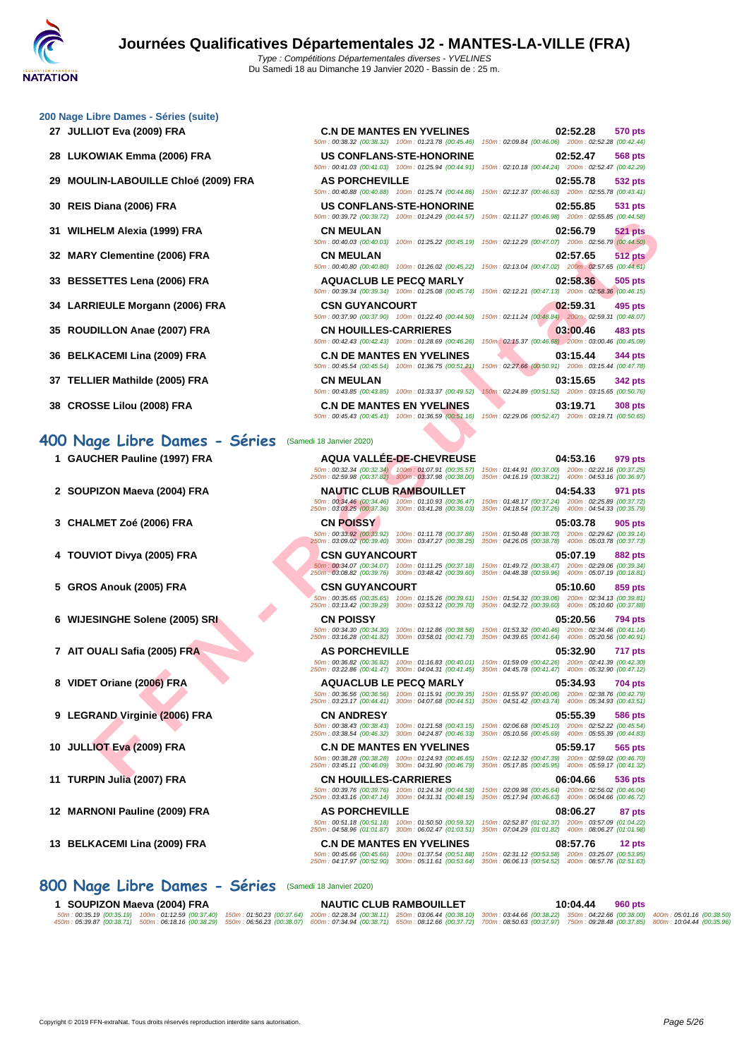|  |  | 200 Nage Libre Dames - Séries (suite) |  |
|--|--|---------------------------------------|--|

- 
- 
- **29 MOULIN-LABOUILLE Chloé (2009) FRA AS PORCHEVILLE 02:55.78 532 pts**
- 
- 
- 
- 
- 
- 
- 
- 
- 

#### **400 Nage Libre Dames - Séries** (Samedi 18 Janvier 2020)

- 
- 
- 
- 
- 
- **6 WIJESINGHE Solene (2005) SRI CN POISSY 05:20.56 794 pts**
- 
- **8 VIDET Oriane (2006) FRA AQUACLUB LE PECQ MARLY 05:34.93 704 pts**
- **9 LEGRAND Virginie (2006) FRA CN ANDRESY 05:55.39 586 pts**
- 
- 
- 
- 

| 00 Nage Libre Dames - Séries (suite) |                                                                                                               |                                                                                                                                   |
|--------------------------------------|---------------------------------------------------------------------------------------------------------------|-----------------------------------------------------------------------------------------------------------------------------------|
| 27 JULLIOT Eva (2009) FRA            | <b>C.N DE MANTES EN YVELINES</b>                                                                              | 02:52.28<br>570 pts                                                                                                               |
|                                      | 50m: 00:38.32 (00:38.32) 100m: 01:23.78 (00:45.46)                                                            | 150m: 02:09.84 (00:46.06) 200m: 02:52.28 (00:42.44)                                                                               |
| 28 LUKOWIAK Emma (2006) FRA          | <b>US CONFLANS-STE-HONORINE</b>                                                                               | 02:52.47<br>568 pts<br>50m : 00:41.03 (00:41.03) 100m : 01:25.94 (00:44.91) 150m : 02:10.18 (00:44.24) 200m : 02:52.47 (00:42.29) |
|                                      |                                                                                                               |                                                                                                                                   |
| 29 MOULIN-LABOUILLE Chloé (2009) FRA | <b>AS PORCHEVILLE</b><br>50m: 00:40.88 (00:40.88) 100m: 01:25.74 (00:44.86)                                   | 02:55.78<br>532 pts<br>150m: 02:12.37 (00:46.63) 200m: 02:55.78 (00:43.41)                                                        |
|                                      |                                                                                                               |                                                                                                                                   |
| 30 REIS Diana (2006) FRA             | <b>US CONFLANS-STE-HONORINE</b>                                                                               | 02:55.85<br>531 pts<br>50m : 00:39.72 (00:39.72) 100m : 01:24.29 (00:44.57) 150m : 02:11.27 (00:46.98) 200m : 02:55.85 (00:44.58) |
| 31 WILHELM Alexia (1999) FRA         | <b>CN MEULAN</b>                                                                                              | 02:56.79<br>521 pts                                                                                                               |
|                                      |                                                                                                               | 50m : 00:40.03 (00:40.03) 100m : 01:25.22 (00:45.19) 150m : 02:12.29 (00:47.07) 200m : 02:56.79 (00:44.50)                        |
| 32 MARY Clementine (2006) FRA        | <b>CN MEULAN</b>                                                                                              | 02:57.65<br><b>512 pts</b>                                                                                                        |
|                                      | 50m: 00:40.80 (00:40.80) 100m: 01:26.02 (00:45.22)                                                            | 150m: 02:13.04 (00:47.02) 200m: 02:57.65 (00:44.61)                                                                               |
| 33 BESSETTES Lena (2006) FRA         | <b>AQUACLUB LE PECQ MARLY</b>                                                                                 | 02:58.36<br>505 pts                                                                                                               |
|                                      | 50m: 00:39.34 (00:39.34) 100m: 01:25.08 (00:45.74)                                                            | 150m: 02:12.21 (00:47.13) 200m: 02:58.36 (00:46.15)                                                                               |
| 34 LARRIEULE Morgann (2006) FRA      | <b>CSN GUYANCOURT</b>                                                                                         | 02:59.31<br>495 pts                                                                                                               |
|                                      | 50m: 00:37.90 (00:37.90) 100m: 01:22.40 (00:44.50)                                                            | 150m: 02:11.24 (00:48.84) 200m: 02:59.31 (00:48.07)                                                                               |
| 35 ROUDILLON Anae (2007) FRA         | <b>CN HOUILLES-CARRIERES</b>                                                                                  | 03:00.46<br>483 pts                                                                                                               |
|                                      | 50m: 00:42.43 (00:42.43) 100m: 01:28.69 (00:46.26)                                                            | 150m: 02:15.37 (00:46.68) 200m: 03:00.46 (00:45.09)                                                                               |
| 36   BELKACEMI Lina (2009) FRA       | <b>C.N DE MANTES EN YVELINES</b>                                                                              | 03:15.44<br>344 pts                                                                                                               |
|                                      | 50m: 00:45.54 (00:45.54) 100m: 01:36.75 (00:51.21)                                                            | 150m: 02:27.66 (00:50.91) 200m: 03:15.44 (00:47.78)                                                                               |
| 37 TELLIER Mathilde (2005) FRA       | <b>CN MEULAN</b>                                                                                              | 03:15.65<br><b>342 pts</b>                                                                                                        |
|                                      | 50m: 00:43.85 (00:43.85) 100m: 01:33.37 (00:49.52)                                                            | 150m: 02:24.89 (00:51.52) 200m: 03:15.65 (00:50.76)                                                                               |
| 38 CROSSE Lilou (2008) FRA           | <b>C.N DE MANTES EN YVELINES</b>                                                                              | 03:19.71<br><b>308 pts</b>                                                                                                        |
|                                      | 50m: 00:45.43 (00:45.43) 100m: 01:36.59 (00:51.16)                                                            | 150m: 02:29.06 (00:52.47) 200m: 03:19.71 (00:50.65)                                                                               |
| 00 Nage Libre Dames - Séries         | (Samedi 18 Janvier 2020)                                                                                      |                                                                                                                                   |
| 1 GAUCHER Pauline (1997) FRA         | <b>AQUA VALLÉE-DE-CHEVREUSE</b>                                                                               | 04:53.16                                                                                                                          |
|                                      | 50m: 00:32.34 (00:32.34) 100m: 01:07.91 (00:35.57)                                                            | 979 pts<br>150m: 01:44.91 (00:37.00) 200m: 02:22.16 (00:37.25)                                                                    |
|                                      | 250m: 02:59.98 (00:37.82) 300m: 03:37.98 (00:38.00)                                                           | 350m: 04:16.19 (00:38.21) 400m: 04:53.16 (00:36.97)                                                                               |
| 2 SOUPIZON Maeva (2004) FRA          | <b>NAUTIC CLUB RAMBOUILLET</b>                                                                                | 04:54.33<br>971 pts                                                                                                               |
|                                      | 50m: 00:34.46 (00:34.46) 100m: 01:10.93 (00:36.47)<br>250m: 03:03.25 (00:37.36) 300m: 03:41.28 (00:38.03)     | 150m: 01:48.17 (00:37.24) 200m: 02:25.89 (00:37.72)<br>350m: 04:18.54 (00:37.26) 400m: 04:54.33 (00:35.79)                        |
| 3 CHALMET Zoé (2006) FRA             | <b>CN POISSY</b>                                                                                              | 05:03.78<br>905 pts                                                                                                               |
|                                      | 50m: 00:33.92 (00:33.92) 100m: 01:11.78 (00:37.86)                                                            | 150m: 01:50.48 (00:38.70) 200m: 02:29.62 (00:39.14)                                                                               |
|                                      | 250m: 03:09.02 (00:39.40) 300m: 03:47.27 (00:38.25)                                                           | 350m: 04:26.05 (00:38.78)  400m: 05:03.78 (00:37.73)                                                                              |
| 4 TOUVIOT Divya (2005) FRA           | <b>CSN GUYANCOURT</b>                                                                                         | 05:07.19<br>882 pts                                                                                                               |
|                                      | 50m: 00:34.07 (00:34.07) 100m: 01:11.25 (00:37.18)<br>250m: 03:08.82 (00:39.76) 300m: 03:48.42 (00:39.60)     | 150m: 01:49.72 (00:38.47) 200m: 02:29.06 (00:39.34)<br>350m: 04:48.38 (00:59.96) 400m: 05:07.19 (00:18.81)                        |
| 5 GROS Anouk (2005) FRA              | <b>CSN GUYANCOURT</b>                                                                                         | 05:10.60<br>859 pts                                                                                                               |
|                                      | 50m: 00:35.65 (00:35.65) 100m: 01:15.26 (00:39.61)                                                            | 150m: 01:54.32 (00:39.06) 200m: 02:34.13 (00:39.81)                                                                               |
|                                      | 250m: 03:13.42 (00:39.29) 300m: 03:53.12 (00:39.70)                                                           | 350m: 04:32.72 (00:39.60) 400m: 05:10.60 (00:37.88)                                                                               |
| 6 WIJESINGHE Solene (2005) SRI       | <b>CN POISSY</b><br>50m: 00:34.30 (00:34.30) 100m: 01:12.86 (00:38.56)                                        | 05:20.56<br>794 pts<br>150m: 01:53.32 (00:40.46) 200m: 02:34.46 (00:41.14)                                                        |
|                                      | 250m: 03:16.28 (00:41.82) 300m: 03:58.01 (00:41.73)                                                           | 350m: 04:39.65 (00:41.64) 400m: 05:20.56 (00:40.91)                                                                               |
| 7 AIT OUALI Safia (2005) FRA         | <b>AS PORCHEVILLE</b>                                                                                         | 05:32.90<br>717 pts                                                                                                               |
|                                      | 250m: 03:22.86 (00:41.47) 300m: 04:04.31 (00:41.45) 350m: 04:45.78 (00:41.47) 400m: 05:32.90 (00:47.12)       | 50m : 00:36.82 (00:36.82) 100m : 01:16.83 (00:40.01) 150m : 01:59.09 (00:42.26) 200m : 02:41.39 (00:42.30)                        |
| 8 VIDET Oriane (2006) FRA            |                                                                                                               |                                                                                                                                   |
|                                      | <b>AQUACLUB LE PECQ MARLY</b><br>50m: 00:36.56 (00:36.56) 100m: 01:15.91 (00:39.35)                           | 05:34.93<br>704 pts<br>150m: 01:55.97 (00:40.06) 200m: 02:38.76 (00:42.79)                                                        |
|                                      | 250m: 03:23.17 (00:44.41) 300m: 04:07.68 (00:44.51)                                                           | 350m: 04:51.42 (00:43.74) 400m: 05:34.93 (00:43.51)                                                                               |
| 9 LEGRAND Virginie (2006) FRA        | <b>CN ANDRESY</b>                                                                                             | 05:55.39<br>586 pts                                                                                                               |
|                                      | 50m: 00:38.43 (00:38.43)<br>100m : 01:21.58 (00:43.15)<br>250m: 03:38.54 (00:46.32) 300m: 04:24.87 (00:46.33) | 150m: 02:06.68 (00:45.10) 200m: 02:52.22 (00:45.54)<br>350m: 05:10.56 (00:45.69) 400m: 05:55.39 (00:44.83)                        |
|                                      | <b>C.N DE MANTES EN YVELINES</b>                                                                              | 05:59.17                                                                                                                          |
|                                      |                                                                                                               | 565 pts                                                                                                                           |
|                                      | 50m: 00:38.28 (00:38.28) 100m: 01:24.93 (00:46.65)                                                            | 150m: 02:12.32 (00:47.39) 200m: 02:59.02 (00:46.70)                                                                               |
| 10 JULLIOT Eva (2009) FRA            | 250m: 03:45.11 (00:46.09) 300m: 04:31.90 (00:46.79)                                                           | 350m: 05:17.85 (00:45.95) 400m: 05:59.17 (00:41.32)                                                                               |

### **1 GAUCHER Pauline (1997) FRA AQUA VALLÉE-DE-CHEVREUSE 04:53.16 979 pts**<br> **1 GAUCHER Pauline (1997) FRA** 50m : 00:32.34 (00:32.34 (00:32.34 (00:32.34 (00:32.54) 100m : 01:07.91 (00:35.57) 150m : 01:44.91 (00:37.0 50m : 00:32.34 (00:32.34) 100m : 01:07.91 (00:35.57) 150m : 01:44.91 (00:37.00) 200m : 02:22.16 (00:37.25) 250m : 02:59.98 (00:37.82) 300m : 03:37.98 (00:38.00) 350m : 04:16.19 (00:38.21) 400m : 04:53.16 (00:36.97) **2 SOUPIZON Maeva (2004) FRA NAUTIC CLUB RAMBOUILLET 04:54.33 971 pts** 50m : 00:34.46 (00:34.46) 100m : 01:10.93 (00:36.47) 150m : 01:48.17 (00:37.24) 200m : 02:25.89 (00:37.72) 250m : 03:03.25 (00:37.36) 300m : 03:41.28 (00:38.03) 350m : 04:18.54 (00:37.26) 400m : 04:54.33 (00:35.79) **3 CHALMET Zoé (2006) FRA CN POISSY 05:03.78 905 pts** 50m : 00:33.92 (00:33.92) 100m : 01:11.78 (00:37.86) 150m : 01:50.48 (00:38.70) 200m : 02:29.62 (00:39.14) 250m : 03:09.02 (00:39.40) 300m : 03:47.27 (00:38.25) 350m : 04:26.05 (00:38.78) 400m : 05:03.78 (00:37.73) **4 TOUVIOT Divya (2005) FRA CSN GUYANCOURT 05:07.19 882 pts** 50m : 00:34.07 (00:34.07) 100m : 01:11.25 (00:37.18) 150m : 01:49.72 (00:38.47) 200m : 02:29.06 (00:39.34) 250m : 03:08.82 (00:39.76) 300m : 03:48.42 (00:39.60) 350m : 04:48.38 (00:59.96) 400m : 05:07.19 (00:18.81) **5 GROS Anouk (2005) FRA CSN GUYANCOURT 05:10.60 859 pts** 50m : 00:35.65 (00:35.65) 100m : 01:15.26 (00:39.61) 150m : 01:54.32 (00:39.06) 200m : 02:34.13 (00:39.81) 250m : 03:13.42 (00:39.29) 300m : 03:53.12 (00:39.70) 350m : 04:32.72 (00:39.60) 400m : 05:10.60 (00:37.88)

- **10 JULLIOT Eva (2009) FRA C.N DE MANTES EN YVELINES 05:59.17 565 pts**
	- 50m : 00:38.28 (00:38.28) 100m : 01:24.93 (00:46.65) 150m : 02:12.32 (00:47.39) 200m : 02:59.02 (00:46.70) 250m : 03:45.11 (00:46.09) 300m : 04:31.90 (00:46.79) 350m : 05:17.85 (00:45.95) 400m : 05:59.17 (00:41.32)

50m : 00:39.76 (00:39.76) 100m : 01:24.34 (00:44.58) 150m : 02:09.98 (00:45.64) 200m : 02:56.02 (00:46.04) 250m : 03:43.16 (00:47.14) 300m : 04:31.31 (00:48.15) 350m : 05:17.94 (00:46.63) 400m : 06:04.66 (00:46.72)

**13 BELKACEMI Lina (2009) FRA C.N DE MANTES EN YVELINES 08:57.76 12 pts**

**11 TURPIN Julia (2007) FRA CN HOUILLES-CARRIERES 06:04.66 536 pts**

**12 MARNONI Pauline (2009) FRA AS PORCHEVILLE 12 MARNONI Pauline (2009) FRA AS PORCHEVILLE 08:06.27 87 pts**<br> **12 08:06.27 01:02.37 200m**: 02:52.87 (01:02.37) **200m**: 04:58.96 (01:01.87) **300m**: 06:02.47 50m : 00:51.18 (00:51.18) 100m : 01:50.50 (00:59.32) 150m : 02:52.87 (01:02.37) 200m : 03:57.09 (01:04.22) 250m : 04:58.96 (01:01.87) 300m : 06:02.47 (01:03.51) 350m : 07:04.29 (01:01.82) 400m : 08:06.27 (01:01.98)

50m : 00:45.66 (00:45.66) 100m : 01:37.54 (00:51.88) 150m : 02:31.12 (00:53.58) 200m : 03:25.07 (00:53.95) 250m : 04:17.97 (00:52.90) 300m : 05:11.61 (00:53.64) 350m : 06:06.13 (00:54.52) 400m : 08:57.76 (02:51.63)

|  |                             | 800 Nage Libre Dames - Séries (Samedi 18 Janvier 2020)                                                                                                                                                          |                                |          |         |  |
|--|-----------------------------|-----------------------------------------------------------------------------------------------------------------------------------------------------------------------------------------------------------------|--------------------------------|----------|---------|--|
|  | 1 SOUPIZON Maeva (2004) FRA |                                                                                                                                                                                                                 | <b>NAUTIC CLUB RAMBOUILLET</b> | 10:04.44 | 960 pts |  |
|  |                             | 50m: 00:35.19 (00:35.19) 100m: 01:12.59 (00:37.40) 150m: 01:50.23 (00:37.64) 200m: 02:28.34 (00:38.11) 250m: 03:06.44 (00:38.10) 300m: 03:44.66 (00:38.22) 350m: 04:22.66 (00:38.00) 400m: 05:01.16 (00:38.50)  |                                |          |         |  |
|  |                             | 450m: 05:39.87 (00:38.71) 500m: 06:18.16 (00:38.29) 550m: 06:56.23 (00:38.07) 600m: 07:34.94 (00:38.71) 650m: 08:12.66 (00:37.72) 700m: 08:50.63 (00:37.97) 750m: 09:28.48 (00:37.85) 800m: 10:04.44 (00:35.96) |                                |          |         |  |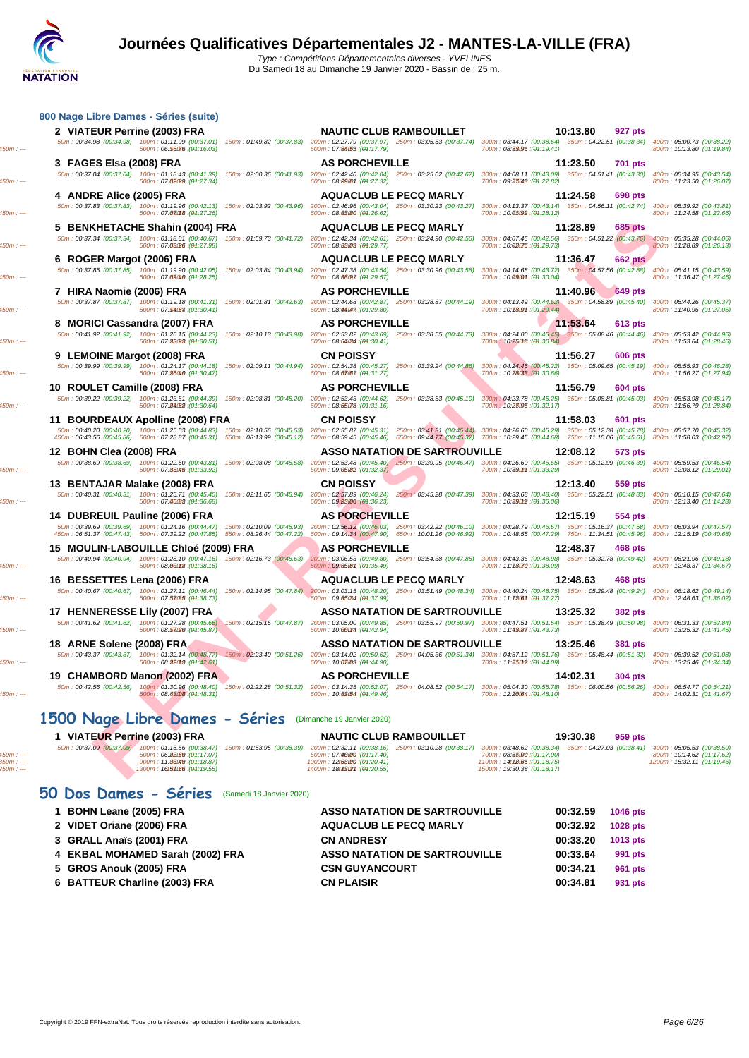### **NATATION**

Du Samedi 18 au Dimanche 19 Janvier 2020 - Bassin de : 25 m.

|                                                              | 800 Nage Libre Dames - Séries (suite)                                                                                                                            |                                                                                                                                                                                                                                     |                                                                                                              |                                                                                                                  |
|--------------------------------------------------------------|------------------------------------------------------------------------------------------------------------------------------------------------------------------|-------------------------------------------------------------------------------------------------------------------------------------------------------------------------------------------------------------------------------------|--------------------------------------------------------------------------------------------------------------|------------------------------------------------------------------------------------------------------------------|
| 2 VIATEUR Perrine (2003) FRA                                 |                                                                                                                                                                  | <b>NAUTIC CLUB RAMBOUILLET</b><br>50m: 00:34.98 (00:34.98) 100m: 01:11.99 (00:37.01) 150m: 01:49.82 (00:37.83) 200m: 02:27.79 (00:37.97) 250m: 03:05.53 (00:37.74)                                                                  | 10:13.80<br>927 pts<br>300m: 03:44.17 (00:38.64) 350m: 04:22.51 (00:38.34)                                   | 400m: 05:00.73 (00:38.22)                                                                                        |
|                                                              | 500m: 06:56076 : (01:16.03)                                                                                                                                      | 600m: 07:84.55 : (04:17.79)                                                                                                                                                                                                         | 700m: 08:53096 : (01:19.41)                                                                                  | 800m: 10:13.80 (01:19.84)                                                                                        |
| 3 FAGES Elsa (2008) FRA                                      |                                                                                                                                                                  | <b>AS PORCHEVILLE</b>                                                                                                                                                                                                               | 11:23.50<br>701 pts                                                                                          |                                                                                                                  |
|                                                              | 50m: 00:37.04 (00:37.04) 100m: 01:18.43 (00:41.39)<br>150m: 02:00.36 (00:41.93)<br>500m: 07:02029 : (01:27.34)                                                   | 200m: 02:42.40 (00:42.04) 250m: 03:25.02 (00:42.62)<br>600m: 08:89.6th : (04:27.32)                                                                                                                                                 | 300m: 04:08.11 (00:43.09) 350m: 04:51.41 (00:43.30)<br>700m: 09:53048 : (01:27.82)                           | 400m: 05:34.95 (00:43.54)<br>800m: 11:23.50 (01:26.07)                                                           |
| 4 ANDRE Alice (2005) FRA                                     |                                                                                                                                                                  | <b>AQUACLUB LE PECQ MARLY</b>                                                                                                                                                                                                       | 11:24.58<br><b>698 pts</b>                                                                                   |                                                                                                                  |
|                                                              | 500m: 07:08018 : (01:27.26)                                                                                                                                      | 50m: 00:37.83 (00:37.83) 100m: 01:19.96 (00:42.13) 150m: 02:03.92 (00:43.96) 200m: 02:46.96 (00:43.04) 250m: 03:30.23 (00:43.27) 300m: 04:13.37 (00:43.14) 350m: 04:56.11 (00:42.74)<br>600m: 08:83/80 : (04:26.62)                 | 700m: 10:05:92 : (01:28.12)                                                                                  | 400m: 05:39.92 (00:43.81)<br>800m: 11:24.58 (01:22.66)                                                           |
|                                                              | 5 BENKHETACHE Shahin (2004) FRA                                                                                                                                  | <b>AQUACLUB LE PECQ MARLY</b>                                                                                                                                                                                                       | 11:28.89<br>685 pts                                                                                          |                                                                                                                  |
|                                                              | 50m: 00:37.34 (00:37.34) 100m: 01:18.01 (00:40.67)<br>500m: 07:03/26 : (04:27.98)                                                                                | 150m: 01:59.73 (00:41.72) 200m: 02:42.34 (00:42.61) 250m: 03:24.90 (00:42.56)<br>600m: 08:83003 : (04:29.77)                                                                                                                        | 300m: 04:07.46 (00:42.56) 350m: 04:51.22 (00:43.76) 400m: 05:35.28 (00:44.06)<br>700m: 10:02076 : (01:29.73) | 800m: 11:28.89 (01:26.13)                                                                                        |
| 6 ROGER Margot (2006) FRA                                    |                                                                                                                                                                  | <b>AQUACLUB LE PECQ MARLY</b>                                                                                                                                                                                                       | 11:36.47<br><b>662 pts</b>                                                                                   |                                                                                                                  |
|                                                              | 50m: 00:37.85 (00:37.85) 100m: 01:19.90 (00:42.05)<br>150m: 02:03.84 (00:43.94)<br>500m: 07:09040 : (01:28.25)                                                   | 200m: 02:47.38 (00:43.54) 250m: 03:30.96 (00:43.58)<br>600m: 08:88097 : (04:29.57)                                                                                                                                                  | 300m: 04:14.68 (00:43.72) 350m: 04:57.56 (00:42.88)<br>700m: 10:090m : (01:30.04)                            | 400m: 05:41.15 (00:43.59)<br>800m: 11:36.47 (01:27.46)                                                           |
| 7 HIRA Naomie (2006) FRA                                     |                                                                                                                                                                  | <b>AS PORCHEVILLE</b>                                                                                                                                                                                                               | 11:40.96<br><b>649 pts</b>                                                                                   |                                                                                                                  |
|                                                              | 500m: 07:56077: (01:30.41)                                                                                                                                       | 50m: 00:37.87 (00:37.87) 100m: 01:19.18 (00:41.31) 150m: 02:01.81 (00:42.63) 200m: 02:44.68 (00:42.87) 250m: 03:28.87 (00:44.19) 300m: 04:13.49 (00:44.62) 350m: 04:58.89 (00:45.40)<br>600m: 08:44047. (04:29.80)                  | 700m: 10:7309m: (01:29.44)                                                                                   | 400m: 05:44.26 (00:45.37)<br>800m: 11:40.96 (01:27.05)                                                           |
|                                                              | 8 MORICI Cassandra (2007) FRA                                                                                                                                    | <b>AS PORCHEVILLE</b>                                                                                                                                                                                                               | 11:53.64<br>613 pts                                                                                          |                                                                                                                  |
|                                                              | 50m: 00:41.92 (00:41.92) 100m: 01:26.15 (00:44.23) 150m: 02:10.13 (00:43.98)                                                                                     | 200m: 02:53.82 (00:43.69) 250m: 03:38.55 (00:44.73)                                                                                                                                                                                 | 300m; 04:24.00 (00:45.45) 350m; 05:08.46 (00:44.46)                                                          | 400m: 05:53.42 (00:44.96)                                                                                        |
| 9 LEMOINE Margot (2008) FRA                                  | 500m: 07:23093 : (04:30.51)                                                                                                                                      | 600m: 08:56034 : (04:30.41)<br><b>CN POISSY</b>                                                                                                                                                                                     | 700m: 10:25018 : (01:30.84)<br>11:56.27<br>606 pts                                                           | 800m: 11:53.64 (01:28.46)                                                                                        |
|                                                              | 50m: 00:39.99 (00:39.99) 100m: 01:24.17 (00:44.18) 150m: 02:09.11 (00:44.94)                                                                                     | 200m: 02:54.38 (00:45.27) 250m: 03:39.24 (00:44.86)                                                                                                                                                                                 | 300m: 04:24.46 (00:45.22) 350m: 05:09.65 (00:45.19)                                                          | 400m: 05:55.93 (00:46.28)                                                                                        |
|                                                              | 500m: 07:26040 : (01:30.47)                                                                                                                                      | 600m: 08:53067 : (04:31.27)                                                                                                                                                                                                         | 700m: 10:28033 : (01:30.66)                                                                                  | 800m: 11:56.27 (01:27.94)                                                                                        |
| 10 ROULET Camille (2008) FRA                                 | 50m: 00:39.22 (00:39.22) 100m: 01:23.61 (00:44.39) 150m: 02:08.81 (00:45.20)                                                                                     | <b>AS PORCHEVILLE</b><br>200m: 02:53.43 (00:44.62)<br>250m: 03:38.53 (00:45.10)                                                                                                                                                     | 11:56.79<br>604 pts<br>300m: 04:23.78 (00:45.25) 350m: 05:08.81 (00:45.03)                                   | 400m: 05:53.98 (00:45.17)                                                                                        |
|                                                              | 500m: 07:24082 : (04:30.64)                                                                                                                                      | 600m: 08:55078 : (04:31.16)                                                                                                                                                                                                         | 700m: 10:28095 : (01:32.17)                                                                                  | 800m: 11:56.79 (01:28.84)                                                                                        |
|                                                              | 11 BOURDEAUX Apolline (2008) FRA<br>50m: 00:40.20 (00:40.20) 100m: 01:25.03 (00:44.83)                                                                           | <b>CN POISSY</b><br>150m: 02:10.56 (00:45.53) 200m: 02:55.87 (00:45.31) 250m: 03:41.31 (00:45.44) 300m: 04:26.60 (00:45.29) 350m: 05:12.38 (00:45.78)                                                                               | 11:58.03<br>601 pts                                                                                          | 400m: 05:57.70 (00:45.32)                                                                                        |
|                                                              |                                                                                                                                                                  | 450m : 06:43.56 (00:45.86) 500m : 07:28.87 (00:45.31) 550m : 08:13.99 (00:45.12) 600m : 08:59.45 (00:45.46) 650m : 09:44.77 (00:45.32) 700m : 10:29.45 (00:44.68) 750m : 11:15.06 (00:45.61)                                        |                                                                                                              | 800m: 11:58.03 (00:42.97)                                                                                        |
| 12 BOHN Clea (2008) FRA                                      |                                                                                                                                                                  | <b>ASSO NATATION DE SARTROUVILLE</b><br>50m : 00:38.69 (00:38.69) 100m : 01:22.50 (00:43.81) 150m : 02:08.08 (00:45.58) 200m : 02:53.48 (00:45.40) 250m : 03:39.95 (00:46.47) 300m : 04:26.60 (00:46.65) 350m : 05:12.99 (00:46.39) | 12:08.12<br>573 pts                                                                                          | 400m: 05:59.53 (00:46.54)                                                                                        |
|                                                              | 500m: 07:33045 : (01:33.92)                                                                                                                                      | 600m: 09:05082 (04:32.37)                                                                                                                                                                                                           | 700m: 10:390mm : (01:33.29)                                                                                  | 800m: 12:08.12 (01:29.01)                                                                                        |
|                                                              | 13 BENTAJAR Malake (2008) FRA<br>50m: 00:40.31 (00:40.31) 100m: 01:25.71 (00:45.40)                                                                              | <b>CN POISSY</b><br>200m: 02:57.89 (00:46.24) 250m: 03:45.28 (00:47.39)                                                                                                                                                             | 12:13.40<br>559 pts<br>300m: 04:33.68 (00:48.40) 350m: 05:22.51 (00:48.83)                                   |                                                                                                                  |
|                                                              | 150m: 02:11.65 (00:45.94)<br>500m: 07:46088 : (04:36.68)                                                                                                         | 600m: 09:83/06 : (01:36.23)                                                                                                                                                                                                         | 700m: 10:59012 : (01:36.06)                                                                                  | 400m: 06:10.15 (00:47.64)<br>800m: 12:13.40 (01:14.28)                                                           |
|                                                              | 14 DUBREUIL Pauline (2006) FRA                                                                                                                                   | <b>AS PORCHEVILLE</b>                                                                                                                                                                                                               | 12:15.19<br>554 pts                                                                                          |                                                                                                                  |
|                                                              |                                                                                                                                                                  |                                                                                                                                                                                                                                     |                                                                                                              |                                                                                                                  |
|                                                              | 50m: 00:39.69 (00:39.69) 100m: 01:24.16 (00:44.47)<br>150m: 02:10.09 (00:45.93)<br>450m: 06:51.37 (00:47.43) 500m: 07:39.22 (00:47.85) 550m: 08:26.44 (00:47.22) | 200m: 02:56.12 (00:46.03) 250m: 03:42.22 (00:46.10)<br>600m: 09:14.34 (00:47.90) 650m: 10:01.26 (00:46.92)                                                                                                                          | 300m: 04:28.79 (00:46.57) 350m: 05:16.37 (00:47.58)<br>700m: 10:48.55 (00:47.29) 750m: 11:34.51 (00:45.96)   |                                                                                                                  |
|                                                              | 15 MOULIN-LABOUILLE Chloé (2009) FRA                                                                                                                             | <b>AS PORCHEVILLE</b>                                                                                                                                                                                                               | 12:48.37<br>468 pts                                                                                          | 400m: 06:03.94 (00:47.57)<br>800m: 12:15.19 (00:40.68)                                                           |
|                                                              | 50m: 00:40.94 (00:40.94) 100m: 01:28.10 (00:47.16)<br>150m: 02:16.73 (00:48.63)<br>500m: 08:00012 : (01:38.16)                                                   | 200m: 03:06.53 (00:49.80) 250m: 03:54.38 (00:47.85)<br>600m: 09:85.6m : (04:35.49)                                                                                                                                                  | 300m: 04:43.36 (00:48.98) 350m: 05:32.78 (00:49.42) 400m: 06:21.96 (00:49.18)<br>700m: 11:73070 : (01:38.09) | 800m: 12:48.37 (01:34.67)                                                                                        |
|                                                              |                                                                                                                                                                  | <b>AQUACLUB LE PECQ MARLY</b>                                                                                                                                                                                                       | 12:48.63<br>468 pts                                                                                          |                                                                                                                  |
|                                                              | 500m: 07:58035 : (04:38.73)                                                                                                                                      | 50m: 00:40.67 (00:40.67) 100m: 01:27.11 (00:46.44) 150m: 02:14.95 (00:47.84) 200m: 03:03.15 (00:48.20) 250m: 03:51.49 (00:48.34)<br>600m: 09:85034 : (04:37.99)                                                                     | 300m: 04:40.24 (00:48.75) 350m: 05:29.48 (00:49.24)<br>700m: 11:726th: (01:37.27)                            |                                                                                                                  |
|                                                              |                                                                                                                                                                  | <b>ASSO NATATION DE SARTROUVILLE</b>                                                                                                                                                                                                | 13:25.32<br><b>382 pts</b>                                                                                   |                                                                                                                  |
|                                                              | 50m: 00:41.62 (00:41.62) 100m: 01:27.28 (00:45.66) 150m: 02:15.15 (00:47.87)<br>500m: 08:53020 : (01:45.87)                                                      | 200m: 03:05.00 (00:49.85) 250m: 03:55.97 (00:50.97)<br>600m: 10:000m4 : (04:42.94)                                                                                                                                                  | 300m: 04:47.51 (00:51.54) 350m: 05:38.49 (00:50.98)<br>700m: 11:43087 : (01:43.73)                           | 400m: 06:18.62 (00:49.14)<br>800m: 12:48.63 (01:36.02)<br>400m: 06:31.33 (00:52.84)<br>800m: 13:25.32 (01:41.45) |
|                                                              |                                                                                                                                                                  | <b>ASSO NATATION DE SARTROUVILLE</b>                                                                                                                                                                                                | 13:25.46<br>381 pts                                                                                          |                                                                                                                  |
|                                                              | 50m: 00:43.37 (00:43.37) 100m: 01:32.14 (00:48.77) 150m: 02:23.40 (00:51.26)                                                                                     | 200m: 03:14.02 (00:50.62) 250m: 04:05.36 (00:51.34) 300m: 04:57.12 (00:51.76) 350m: 05:48.44 (00:51.32)                                                                                                                             |                                                                                                              |                                                                                                                  |
|                                                              | 500m : 08:88018 : (04:42.61)                                                                                                                                     | 600m: 10:08008 : (01:44.90)                                                                                                                                                                                                         | 700m: 11:55012 : (01:44.09)                                                                                  | 400m: 06:39.52 (00:51.08)<br>800m: 13:25.46 (01:34.34)                                                           |
| 50m: 00:42.56 (00:42.56)                                     | 19 CHAMBORD Manon (2002) FRA<br>100m: 01:30.96 (00:48.40)                                                                                                        | <b>AS PORCHEVILLE</b><br>150m: 02:22.28 (00:51.32) 200m: 03:14.35 (00:52.07) 250m: 04:08.52 (00:54.17) 300m: 05:04.30 (00:55.78) 350m: 06:00.56 (00:56.26)                                                                          | 14:02.31<br><b>304 pts</b>                                                                                   |                                                                                                                  |
| 17 HENNERESSE Lily (2007) FRA<br>18 ARNE Solene (2008) FRA   | 500m: 08:43:08 : (01:48.31)<br>1500 Nage Libre Dames - Séries                                                                                                    | 600m: 10:88/54 : (04:49.46)<br>(Dimanche 19 Janvier 2020)                                                                                                                                                                           | 700m: 12:20.64 : (01:48.10)                                                                                  | 400m: 06:54.77 (00:54.21)<br>800m: 14:02.31 (01:41.67)                                                           |
| 16 BESSETTES Lena (2006) FRA<br>1 VIATEUR Perrine (2003) FRA |                                                                                                                                                                  | <b>NAUTIC CLUB RAMBOUILLET</b>                                                                                                                                                                                                      | 19:30.38<br>959 pts                                                                                          |                                                                                                                  |
| 50m: 00:37.09 (00:37.09)                                     | 100m: 01:15.56 (00:38.47) 150m: 01:53.95 (00:38.39)<br>500m: 06:2260: (04:17.07)                                                                                 | 200m: 02:32.11 (00:38.16) 250m: 03:10.28 (00:38.17)<br>600m: 07:46000 : (04:17.40)                                                                                                                                                  | 300m: 03:48.62 (00:38.34) 350m: 04:27.03 (00:38.41)<br>700m: 08:53000 : (01:17.00)                           | 400m: 05:05.53 (00:38.50)<br>800m: 10:14.62 (01:17.62)                                                           |
|                                                              | 900m: 11:93049 : (01:18.87)<br>1300m: 16t55066 : (01:19.55)                                                                                                      | 1000m: 12t53.90 : (04:20.41)<br>1400m: 18t420th: (04:20.55)                                                                                                                                                                         | 1100m: 14t18.65 : (01:18.75)<br>1500m: 19:30.38 (01:18.17)                                                   | 1200m: 15:32.11 (01:19.46)                                                                                       |

### **50 Dos Dames - Séries** (Samedi 18 Janvier 2020)

| 1 BOHN Leane (2005) FRA          | <b>ASSO NATATION DE SARTROUVILLE</b> | 00:32.59 | <b>1046 pts</b> |
|----------------------------------|--------------------------------------|----------|-----------------|
| 2 VIDET Oriane (2006) FRA        | <b>AQUACLUB LE PECQ MARLY</b>        | 00:32.92 | <b>1028 pts</b> |
| 3 GRALL Anaïs (2001) FRA         | <b>CN ANDRESY</b>                    | 00:33.20 | 1013 pts        |
| 4 EKBAL MOHAMED Sarah (2002) FRA | <b>ASSO NATATION DE SARTROUVILLE</b> | 00:33.64 | 991 pts         |
| 5 GROS Anouk (2005) FRA          | <b>CSN GUYANCOURT</b>                | 00:34.21 | 961 pts         |
| 6 BATTEUR Charline (2003) FRA    | <b>CN PLAISIR</b>                    | 00:34.81 | 931 pts         |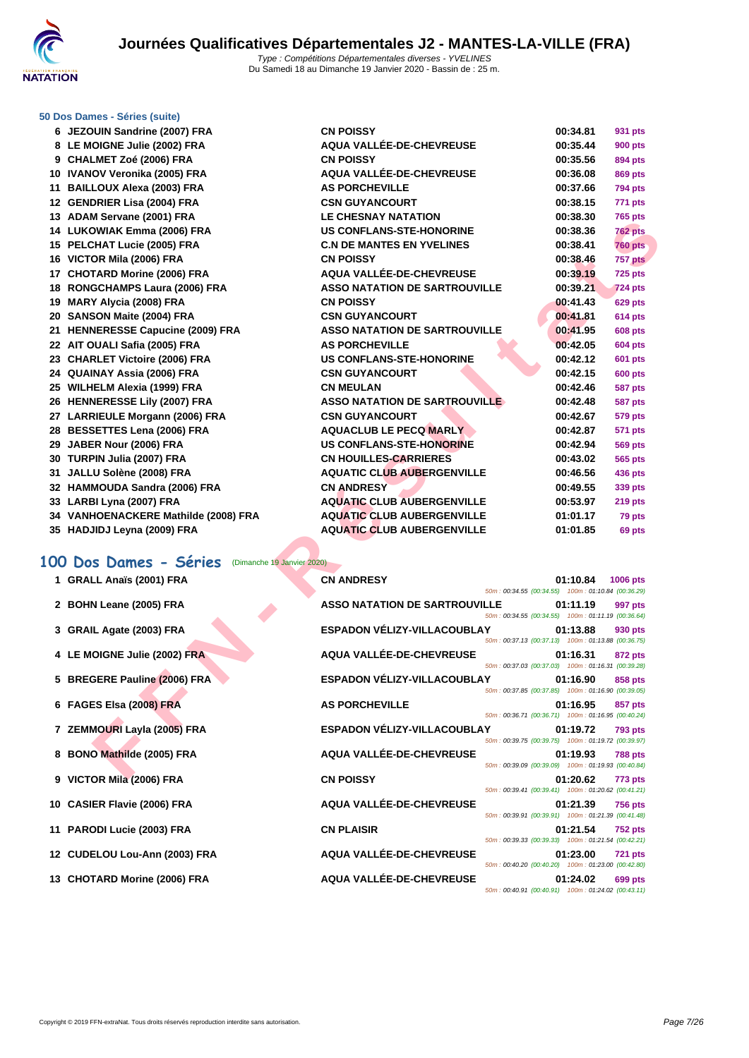

#### **[50 Dos D](http://www.ffnatation.fr/webffn/index.php)ames - Séries (suite)**

| 6 JEZOUIN Sandrine (2007) FRA                       | <b>CN POISSY</b>                                                                           | 00:34.81  | 931 pts         |
|-----------------------------------------------------|--------------------------------------------------------------------------------------------|-----------|-----------------|
| 8 LE MOIGNE Julie (2002) FRA                        | <b>AQUA VALLÉE-DE-CHEVREUSE</b>                                                            | 00:35.44  | <b>900 pts</b>  |
| 9 CHALMET Zoé (2006) FRA                            | <b>CN POISSY</b>                                                                           | 00:35.56  | 894 pts         |
| 10 IVANOV Veronika (2005) FRA                       | AQUA VALLÉE-DE-CHEVREUSE                                                                   | 00:36.08  | 869 pts         |
| 11 BAILLOUX Alexa (2003) FRA                        | <b>AS PORCHEVILLE</b>                                                                      | 00:37.66  | <b>794 pts</b>  |
| 12 GENDRIER Lisa (2004) FRA                         | <b>CSN GUYANCOURT</b>                                                                      | 00:38.15  | 771 pts         |
| 13 ADAM Servane (2001) FRA                          | <b>LE CHESNAY NATATION</b>                                                                 | 00:38.30  | 765 pts         |
| 14 LUKOWIAK Emma (2006) FRA                         | <b>US CONFLANS-STE-HONORINE</b>                                                            | 00:38.36  | <b>762 pts</b>  |
| 15 PELCHAT Lucie (2005) FRA                         | <b>C.N DE MANTES EN YVELINES</b>                                                           | 00:38.41  | <b>760 pts</b>  |
| 16 VICTOR Mila (2006) FRA                           | <b>CN POISSY</b>                                                                           | 00:38.46  | 757 pts         |
| 17 CHOTARD Morine (2006) FRA                        | <b>AQUA VALLÉE-DE-CHEVREUSE</b>                                                            | 00:39.19  | <b>725 pts</b>  |
| 18 RONGCHAMPS Laura (2006) FRA                      | <b>ASSO NATATION DE SARTROUVILLE</b>                                                       | 00:39.21  | <b>724 pts</b>  |
| 19 MARY Alycia (2008) FRA                           | <b>CN POISSY</b>                                                                           | 00:41.43  | <b>629 pts</b>  |
| 20 SANSON Maite (2004) FRA                          | <b>CSN GUYANCOURT</b>                                                                      | 00:41.81  | <b>614 pts</b>  |
| 21 HENNERESSE Capucine (2009) FRA                   | <b>ASSO NATATION DE SARTROUVILLE</b>                                                       | 00:41.95  | <b>608 pts</b>  |
| 22 AIT OUALI Safia (2005) FRA                       | <b>AS PORCHEVILLE</b>                                                                      | 00:42.05  | <b>604 pts</b>  |
| 23 CHARLET Victoire (2006) FRA                      | <b>US CONFLANS-STE-HONORINE</b>                                                            | 00:42.12  | <b>601 pts</b>  |
| 24 QUAINAY Assia (2006) FRA                         | <b>CSN GUYANCOURT</b>                                                                      | 00:42.15  | <b>600 pts</b>  |
| 25 WILHELM Alexia (1999) FRA                        | <b>CN MEULAN</b>                                                                           | 00:42.46  | <b>587 pts</b>  |
| 26 HENNERESSE Lily (2007) FRA                       | <b>ASSO NATATION DE SARTROUVILLE</b>                                                       | 00:42.48  | <b>587 pts</b>  |
| 27 LARRIEULE Morgann (2006) FRA                     | <b>CSN GUYANCOURT</b>                                                                      | 00:42.67  | 579 pts         |
| 28 BESSETTES Lena (2006) FRA                        | <b>AQUACLUB LE PECQ MARLY</b>                                                              | 00:42.87  | <b>571 pts</b>  |
| 29 JABER Nour (2006) FRA                            | <b>US CONFLANS-STE-HONORINE</b>                                                            | 00:42.94  | <b>569 pts</b>  |
| 30 TURPIN Julia (2007) FRA                          | <b>CN HOUILLES-CARRIERES</b>                                                               | 00:43.02  | 565 pts         |
| 31 JALLU Solène (2008) FRA                          | <b>AQUATIC CLUB AUBERGENVILLE</b>                                                          | 00:46.56  | 436 pts         |
| 32 HAMMOUDA Sandra (2006) FRA                       | <b>CN ANDRESY</b>                                                                          | 00:49.55  | 339 pts         |
| 33 LARBI Lyna (2007) FRA                            | <b>AQUATIC CLUB AUBERGENVILLE</b>                                                          | 00:53.97  | <b>219 pts</b>  |
| 34 VANHOENACKERE Mathilde (2008) FRA                | <b>AQUATIC CLUB AUBERGENVILLE</b>                                                          | 01:01.17  | 79 pts          |
| 35 HADJIDJ Leyna (2009) FRA                         | <b>AQUATIC CLUB AUBERGENVILLE</b>                                                          | 01:01.85  | 69 pts          |
| 00 Dos Dames - Séries<br>(Dimanche 19 Janvier 2020) |                                                                                            |           |                 |
| 1 GRALL Anaïs (2001) FRA                            | <b>CN ANDRESY</b><br>50m: 00:34.55 (00:34.55) 100m: 01:10.84 (00:36.29)                    | 01:10.84  | <b>1006 pts</b> |
| 2 BOHN Leane (2005) FRA                             | <b>ASSO NATATION DE SARTROUVILLE</b><br>50m: 00:34.55 (00:34.55) 100m: 01:11.19 (00:36.64) | 01:11.19  | 997 pts         |
| 3 GRAIL Agate (2003) FRA                            | <b>ESPADON VÉLIZY-VILLACOUBLAY</b><br>50m: 00:37.13 (00:37.13) 100m: 01:13.88 (00:36.75)   | 01:13.88  | 930 pts         |
| 4 LE MOIGNE Julie (2002) FRA                        | AQUA VALLÉE-DE-CHEVREUSE<br>50m: 00:37.03 (00:37.03) 100m: 01:16.31 (00:39.28)             | 01:16.31  | 872 pts         |
| 5 BREGERE Pauline (2006) FRA                        | ESPADON VÉLIZY-VILLACOUBLAY<br>50m: 00:37.85 (00:37.85) 100m: 01:16.90 (00:39.05)          | 01:16.90  | 858 pts         |
| 6 FAGES Elsa (2008) FRA                             | <b>AS PORCHEVILLE</b><br>50m: 00:36.71 (00:36.71) 100m: 01:16.95 (00:40.24)                | 01:16.95  | 857 pts         |
| 7 ZEMMOURI Layla (2005) FRA                         | <b>ESPADON VÉLIZY-VILLACOUBLAY</b><br>50m: 00:39.75 (00:39.75) 100m: 01:19.72 (00:39.97)   | 01:19.72  | <b>793 pts</b>  |
| 8 BONO Mathilde (2005) FRA                          | AQUA VALLÉE-DE-CHEVREUSE<br>50m: 00:39.09 (00:39.09) 100m: 01:19.93 (00:40.84)             | 01:19.93  | <b>788 pts</b>  |
| A MOTOR MILL COOCH FRA                              | CHI DOICCV                                                                                 | 0.4.00.00 | フフウ             |

# 100 Dos Dames - Séries (Dimanche 19 Janvier 2020)<br>1 GRALL Anaïs (2001) FRA CN ANDRESY

- 
- **BOHN Leane (2005) FRA ASSOCIATES**
- **GRAIL Agate (2003) FRA DESPADDING VELIX**
- **LE MOIGNE Julie (2002) FRA A**
- **BREGERE Pauline (2006) FRA ESPADON VÉLIX**
- **FAGES Elsa (2008) FRA AS**
- **ZEMMOURI Layla (2005) FRA ESPADON VÉLIX**
- **BONO Mathilde (2005) FRA A**
- **VICTOR Mila (2006) FRA C**
- **CASIER Flavie (2006) FRA A**
- **PARODI Lucie (2003) FRA C**
- **CUDELOU Lou-Ann (2003) FRA A**
- **CHOTARD Morine (2006) FRA A**

| 1 GRALL Anaïs (2001) FRA     | <b>CN ANDRESY</b>                    | 50m: 00:34.55 (00:34.55) 100m: 01:10.84 (00:36.29) | 01:10.84         | <b>1006 pts</b> |
|------------------------------|--------------------------------------|----------------------------------------------------|------------------|-----------------|
| 2 BOHN Leane (2005) FRA      | <b>ASSO NATATION DE SARTROUVILLE</b> | 50m: 00:34.55 (00:34.55) 100m: 01:11.19 (00:36.64) | 01:11.19         | 997 pts         |
| 3 GRAIL Agate (2003) FRA     | ESPADON VÉLIZY-VILLACOUBLAY          | 50m: 00:37.13 (00:37.13) 100m: 01:13.88 (00:36.75) | 01:13.88         | 930 pts         |
| 4 LE MOIGNE Julie (2002) FRA | <b>AQUA VALLÉE-DE-CHEVREUSE</b>      | 50m: 00:37.03 (00:37.03) 100m: 01:16.31 (00:39.28) | 01:16.31         | 872 pts         |
| 5 BREGERE Pauline (2006) FRA | ESPADON VÉLIZY-VILLACOUBLAY          | 50m: 00:37.85 (00:37.85) 100m: 01:16.90 (00:39.05) | 01:16.90         | 858 pts         |
| 6 FAGES Elsa (2008) FRA      | <b>AS PORCHEVILLE</b>                | 50m: 00:36.71 (00:36.71) 100m: 01:16.95 (00:40.24) | 01:16.95 857 pts |                 |
| 7 ZEMMOURI Layla (2005) FRA  | ESPADON VÉLIZY-VILLACOUBLAY 01:19.72 | 50m: 00:39.75 (00:39.75) 100m: 01:19.72 (00:39.97) |                  | <b>793 pts</b>  |
| 8 BONO Mathilde (2005) FRA   | AQUA VALLÉE-DE-CHEVREUSE             | 50m: 00:39.09 (00:39.09) 100m: 01:19.93 (00:40.84) | 01:19.93         | <b>788 pts</b>  |
| 9 VICTOR Mila (2006) FRA     | <b>CN POISSY</b>                     | 50m: 00:39.41 (00:39.41) 100m: 01:20.62 (00:41.21) | 01:20.62         | <b>773 pts</b>  |
| 10 CASIER Flavie (2006) FRA  | <b>AQUA VALLÉE-DE-CHEVREUSE</b>      | 50m: 00:39.91 (00:39.91) 100m: 01:21.39 (00:41.48) | 01:21.39         | <b>756 pts</b>  |
| 11 PARODI Lucie (2003) FRA   | <b>CN PLAISIR</b>                    | 50m: 00:39.33 (00:39.33) 100m: 01:21.54 (00:42.21) | 01:21.54         | <b>752 pts</b>  |
| 2 CUDELOU Lou-Ann (2003) FRA | AQUA VALLÉE-DE-CHEVREUSE             | 50m: 00:40.20 (00:40.20) 100m: 01:23.00 (00:42.80) | 01:23.00         | <b>721 pts</b>  |
| 13 CHOTARD Morine (2006) FRA | <b>AQUA VALLÉE-DE-CHEVREUSE</b>      | 50m: 00:40.91 (00:40.91) 100m: 01:24.02 (00:43.11) | 01:24.02         | 699 pts         |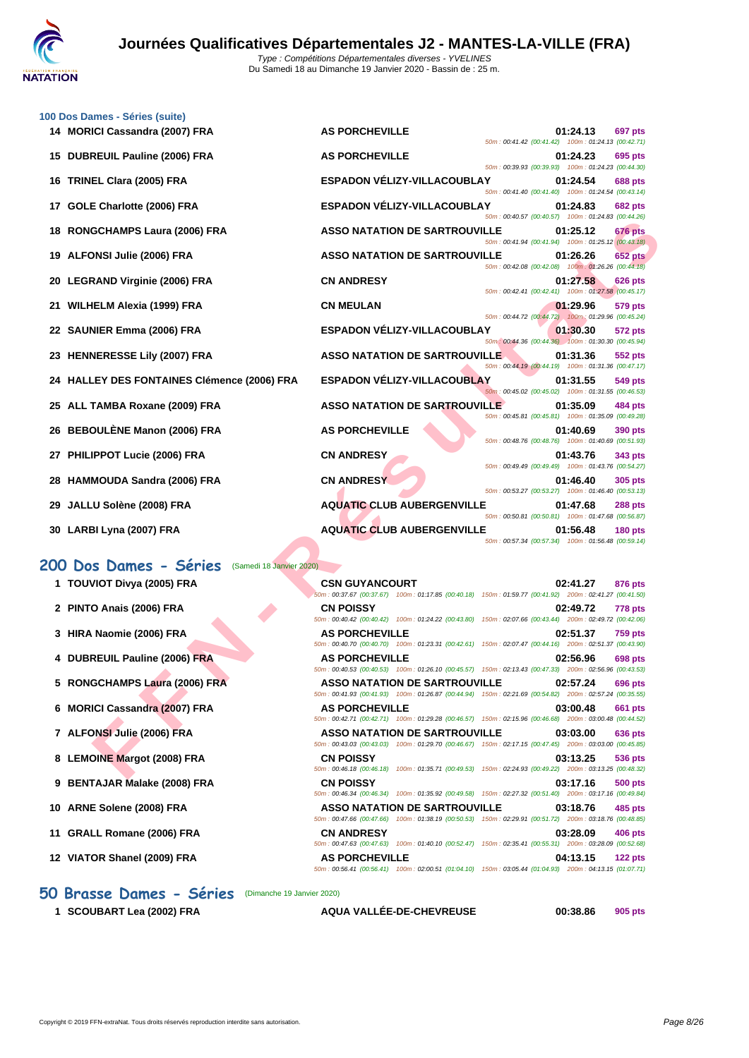

|    | 100 Dos Dames - Séries (suite)                     |                                                                                                                                                    |                                                    |          |                |
|----|----------------------------------------------------|----------------------------------------------------------------------------------------------------------------------------------------------------|----------------------------------------------------|----------|----------------|
|    | 14 MORICI Cassandra (2007) FRA                     | <b>AS PORCHEVILLE</b>                                                                                                                              | 50m: 00:41.42 (00:41.42) 100m: 01:24.13 (00:42.71) | 01:24.13 | 697 pts        |
| 15 | DUBREUIL Pauline (2006) FRA                        | <b>AS PORCHEVILLE</b>                                                                                                                              | 50m: 00:39.93 (00:39.93) 100m: 01:24.23 (00:44.30) | 01:24.23 | 695 pts        |
| 16 | TRINEL Clara (2005) FRA                            | ESPADON VÉLIZY-VILLACOUBLAY                                                                                                                        | 50m: 00:41.40 (00:41.40) 100m: 01:24.54 (00:43.14) | 01:24.54 | <b>688 pts</b> |
| 17 | GOLE Charlotte (2006) FRA                          | ESPADON VÉLIZY-VILLACOUBLAY                                                                                                                        | 50m: 00:40.57 (00:40.57) 100m: 01:24.83 (00:44.26) | 01:24.83 | <b>682 pts</b> |
| 18 | RONGCHAMPS Laura (2006) FRA                        | <b>ASSO NATATION DE SARTROUVILLE</b>                                                                                                               | 50m: 00:41.94 (00:41.94) 100m: 01:25.12 (00:43.18) | 01:25.12 | 676 pts        |
|    | 19 ALFONSI Julie (2006) FRA                        | <b>ASSO NATATION DE SARTROUVILLE</b>                                                                                                               | 50m: 00:42.08 (00:42.08) 100m: 01:26.26 (00:44.18) | 01:26.26 | <b>652 pts</b> |
| 20 | <b>LEGRAND Virginie (2006) FRA</b>                 | <b>CN ANDRESY</b>                                                                                                                                  |                                                    | 01:27.58 | <b>626 pts</b> |
| 21 | WILHELM Alexia (1999) FRA                          | <b>CN MEULAN</b>                                                                                                                                   | 50m: 00:42.41 (00:42.41) 100m: 01:27.58 (00:45.17) | 01:29.96 | 579 pts        |
|    | 22 SAUNIER Emma (2006) FRA                         | <b>ESPADON VÉLIZY-VILLACOUBLAY</b>                                                                                                                 | 50m: 00:44.72 (00:44.72) 100m: 01:29.96 (00:45.24) | 01:30.30 | 572 pts        |
| 23 | <b>HENNERESSE Lily (2007) FRA</b>                  | <b>ASSO NATATION DE SARTROUVILLE</b>                                                                                                               | 50m: 00:44.36 (00:44.36) 100m: 01:30.30 (00:45.94) | 01:31.36 | 552 pts        |
| 24 | <b>HALLEY DES FONTAINES Clémence (2006) FRA</b>    | <b>ESPADON VÉLIZY-VILLACOUBLAY</b>                                                                                                                 | 50m: 00:44.19 (00:44.19) 100m: 01:31.36 (00:47.17) | 01:31.55 | 549 pts        |
|    | 25 ALL TAMBA Roxane (2009) FRA                     | <b>ASSO NATATION DE SARTROUVILLE</b>                                                                                                               | 50m: 00:45.02 (00:45.02) 100m: 01:31.55 (00:46.53) | 01:35.09 | 484 pts        |
| 26 | <b>BEBOULÈNE Manon (2006) FRA</b>                  | <b>AS PORCHEVILLE</b>                                                                                                                              | 50m: 00:45.81 (00:45.81) 100m: 01:35.09 (00:49.28) | 01:40.69 | <b>390 pts</b> |
| 27 | PHILIPPOT Lucie (2006) FRA                         | <b>CN ANDRESY</b>                                                                                                                                  | 50m: 00:48.76 (00:48.76) 100m: 01:40.69 (00:51.93) | 01:43.76 | 343 pts        |
| 28 | <b>HAMMOUDA Sandra (2006) FRA</b>                  | <b>CN ANDRESY</b>                                                                                                                                  | 50m: 00:49.49 (00:49.49) 100m: 01:43.76 (00:54.27) | 01:46.40 | 305 pts        |
|    |                                                    | <b>AQUATIC CLUB AUBERGENVILLE</b>                                                                                                                  | 50m: 00:53.27 (00:53.27) 100m: 01:46.40 (00:53.13) |          |                |
| 29 | JALLU Solène (2008) FRA                            |                                                                                                                                                    | 50m: 00:50.81 (00:50.81) 100m: 01:47.68 (00:56.87) | 01:47.68 | <b>288 pts</b> |
|    | 30 LARBI Lyna (2007) FRA                           | <b>AQUATIC CLUB AUBERGENVILLE</b>                                                                                                                  | 50m: 00:57.34 (00:57.34) 100m: 01:56.48 (00:59.14) | 01:56.48 | <b>180 pts</b> |
|    | 200 Dos Dames - Séries<br>(Samedi 18 Janvier 2020) |                                                                                                                                                    |                                                    |          |                |
|    | 1 TOUVIOT Divya (2005) FRA                         | <b>CSN GUYANCOURT</b><br>50m: 00:37.67 (00:37.67) 100m: 01:17.85 (00:40.18) 150m: 01:59.77 (00:41.92) 200m: 02:41.27 (00:41.50)                    |                                                    | 02:41.27 | 876 pts        |
|    | 2 PINTO Anais (2006) FRA                           | <b>CN POISSY</b>                                                                                                                                   |                                                    | 02:49.72 | <b>778 pts</b> |
|    | 3 HIRA Naomie (2006) FRA                           | 50m : 00:40.42 (00:40.42) 100m : 01:24.22 (00:43.80) 150m : 02:07.66 (00:43.44) 200m : 02:49.72 (00:42.06)<br><b>AS PORCHEVILLE</b>                |                                                    | 02:51.37 | <b>759 pts</b> |
|    | 4 DUBREUIL Pauline (2006) FRA                      | 50m: 00:40.70 (00:40.70) 100m: 01:23.31 (00:42.61) 150m: 02:07.47 (00:44.16) 200m: 02:51.37 (00:43.90)<br><b>AS PORCHEVILLE</b>                    |                                                    | 02:56.96 | 698 pts        |
|    | 5 RONGCHAMPS Laura (2006) FRA                      | 50m: 00:40.53 (00:40.53) 100m: 01:26.10 (00:45.57) 150m: 02:13.43 (00:47.33) 200m: 02:56.96 (00:43.53)<br><b>ASSO NATATION DE SARTROUVILLE</b>     |                                                    | 02:57.24 | 696 pts        |
| 6  | <b>MORICI Cassandra (2007) FRA</b>                 | 50m : 00:41.93 (00:41.93) 100m : 01:26.87 (00:44.94) 150m : 02:21.69 (00:54.82) 200m : 02:57.24 (00:35.55)<br><b>AS PORCHEVILLE</b>                |                                                    | 03:00.48 | 661 pts        |
|    | 7 ALFONSI Julie (2006) FRA                         | 50m : 00:42.71 (00:42.71) 100m : 01:29.28 (00:46.57) 150m : 02:15.96 (00:46.68) 200m : 03:00.48 (00:44.52)<br><b>ASSO NATATION DE SARTROUVILLE</b> |                                                    | 03:03.00 | 636 pts        |
|    | 8 LEMOINE Margot (2008) FRA                        | 50m : 00:43.03 (00:43.03) 100m : 01:29.70 (00:46.67) 150m : 02:17.15 (00:47.45) 200m : 03:03.00 (00:45.85)<br><b>CN POISSY</b>                     |                                                    | 03:13.25 | 536 pts        |
|    |                                                    | 50m: 00:46.18 (00:46.18) 100m: 01:35.71 (00:49.53) 150m: 02:24.93 (00:49.22) 200m: 03:13.25 (00:48.32)                                             |                                                    |          |                |

- **3 HIRA Naomie (2006) FRA AS PORCHEVILLE 02:51.37 759 pts**
- **4 DUBREUIL Pauline (2006) FRA AS PORCHEVILLE 02:56.96 698 pts**
- **5 RONGCHAMPS Laura (2006) FRA ASSO NATATION DE SARTROUVILLE 02:57.24 696 pts**
- **6 MORICI Cassandra (2007) FRA AS PORCHEVILLE 03:00.48 661 pts**
- **7 ALFONSI Julie (2006) FRA ASSO NATATION DE SARTROUVILLE 03:03.00 636 pts**
- **8 LEMOINE Margot (2008) FRA CN POISSY 03:13.25 536 pts**
- **9 BENTAJAR Malake (2008) FRA CN POISSY 03:17.16 500 pts**
- **10 ARNE Solene (2008) FRA ASSO NATATION DE SARTROUVILLE 03:18.76 485 pts**
- **11 GRALL Romane (2006) FRA CN ANDRESY 03:28.09 406 pts**
- **12 VIATOR Shanel (2009) FRA AS PORCHEVILLE 04:13.15 122 pts**

**1 SCOUBART Lea (2002) FRA AQUA VALLÉE-DE-CHEVREUSE 00:38.86 905 pts**

50m : 00:46.34 (00:46.34) 100m : 01:35.92 (00:49.58) 150m : 02:27.32 (00:51.40) 200m : 03:17.16 (00:49.84)

50m : 00:47.66 (00:47.66) 100m : 01:38.19 (00:50.53) 150m : 02:29.91 (00:51.72) 200m : 03:18.76 (00:48.85)

50m : 00:47.63 (00:47.63) 100m : 01:40.10 (00:52.47) 150m : 02:35.41 (00:55.31) 200m : 03:28.09 (00:52.68)

50m : 00:56.41 (00:56.41) 100m : 02:00.51 (01:04.10) 150m : 03:05.44 (01:04.93) 200m : 04:13.15 (01:07.71)

**50 Brasse Dames - Séries** (Dimanche 19 Janvier 2020)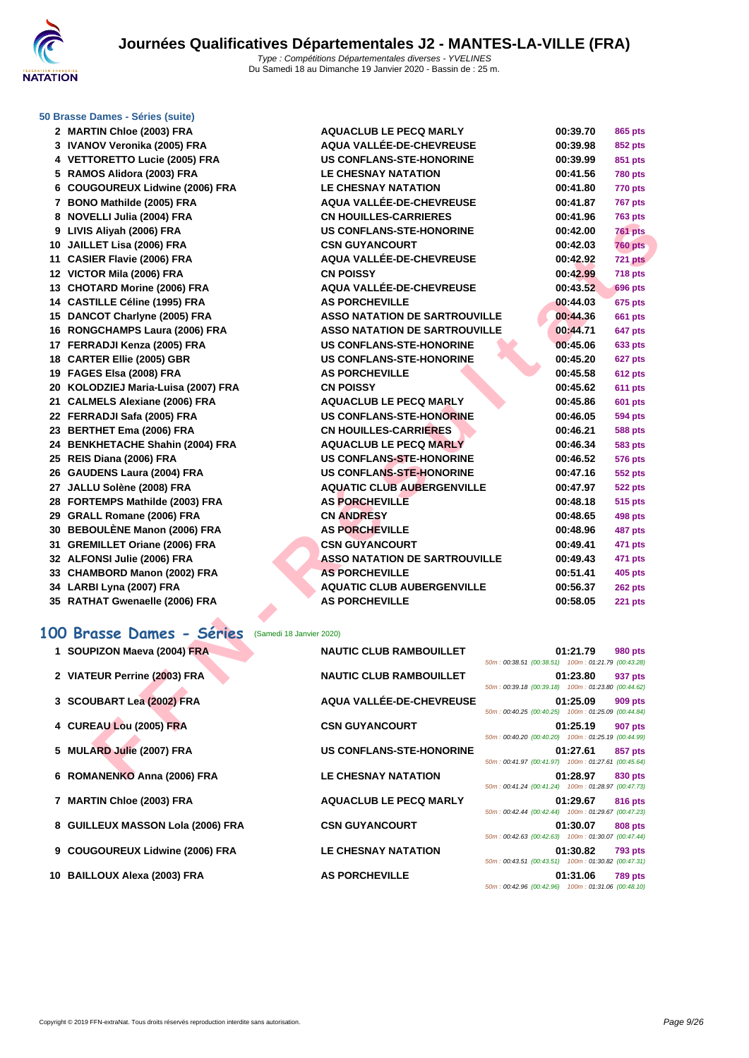

#### **[50 Brasse](http://www.ffnatation.fr/webffn/index.php) Dames - Séries (suite)**

| 2 MARTIN Chloe (2003) FRA                             | <b>AQUACLUB LE PECQ MARLY</b>        |                                                    | 00:39.70 | 865 pts        |
|-------------------------------------------------------|--------------------------------------|----------------------------------------------------|----------|----------------|
| 3 IVANOV Veronika (2005) FRA                          | AQUA VALLÉE-DE-CHEVREUSE             |                                                    | 00:39.98 | 852 pts        |
| 4 VETTORETTO Lucie (2005) FRA                         | <b>US CONFLANS-STE-HONORINE</b>      |                                                    | 00:39.99 | 851 pts        |
| 5 RAMOS Alidora (2003) FRA                            | <b>LE CHESNAY NATATION</b>           |                                                    | 00:41.56 | <b>780 pts</b> |
| 6 COUGOUREUX Lidwine (2006) FRA                       | <b>LE CHESNAY NATATION</b>           |                                                    | 00:41.80 | 770 pts        |
| 7 BONO Mathilde (2005) FRA                            | AQUA VALLÉE-DE-CHEVREUSE             |                                                    | 00:41.87 | <b>767 pts</b> |
| 8 NOVELLI Julia (2004) FRA                            | <b>CN HOUILLES-CARRIERES</b>         |                                                    | 00:41.96 | <b>763 pts</b> |
| 9 LIVIS Aliyah (2006) FRA                             | <b>US CONFLANS-STE-HONORINE</b>      |                                                    | 00:42.00 | <b>761 pts</b> |
| 10 JAILLET Lisa (2006) FRA                            | <b>CSN GUYANCOURT</b>                |                                                    | 00:42.03 | <b>760 pts</b> |
| 11 CASIER Flavie (2006) FRA                           | <b>AQUA VALLÉE-DE-CHEVREUSE</b>      |                                                    | 00:42.92 | 721 pts        |
| 12 VICTOR Mila (2006) FRA                             | <b>CN POISSY</b>                     |                                                    | 00:42.99 | <b>718 pts</b> |
| 13 CHOTARD Morine (2006) FRA                          | AQUA VALLÉE-DE-CHEVREUSE             |                                                    | 00:43.52 | <b>696 pts</b> |
| 14 CASTILLE Céline (1995) FRA                         | <b>AS PORCHEVILLE</b>                |                                                    | 00:44.03 | 675 pts        |
| 15 DANCOT Charlyne (2005) FRA                         | <b>ASSO NATATION DE SARTROUVILLE</b> |                                                    | 00:44.36 | <b>661 pts</b> |
| 16 RONGCHAMPS Laura (2006) FRA                        | <b>ASSO NATATION DE SARTROUVILLE</b> |                                                    | 00:44.71 | 647 pts        |
| 17 FERRADJI Kenza (2005) FRA                          | <b>US CONFLANS-STE-HONORINE</b>      |                                                    | 00:45.06 | 633 pts        |
| 18 CARTER Ellie (2005) GBR                            | <b>US CONFLANS-STE-HONORINE</b>      |                                                    | 00:45.20 | 627 pts        |
| 19 FAGES Elsa (2008) FRA                              | <b>AS PORCHEVILLE</b>                |                                                    | 00:45.58 | <b>612 pts</b> |
| 20 KOLODZIEJ Maria-Luisa (2007) FRA                   | <b>CN POISSY</b>                     |                                                    | 00:45.62 | 611 pts        |
| 21 CALMELS Alexiane (2006) FRA                        | <b>AQUACLUB LE PECQ MARLY</b>        |                                                    | 00:45.86 | <b>601 pts</b> |
| 22 FERRADJI Safa (2005) FRA                           | <b>US CONFLANS-STE-HONORINE</b>      |                                                    | 00:46.05 | <b>594 pts</b> |
| 23 BERTHET Ema (2006) FRA                             | <b>CN HOUILLES-CARRIERES</b>         |                                                    | 00:46.21 | <b>588 pts</b> |
| 24 BENKHETACHE Shahin (2004) FRA                      | <b>AQUACLUB LE PECQ MARLY</b>        |                                                    | 00:46.34 | <b>583 pts</b> |
| 25 REIS Diana (2006) FRA                              | US CONFLANS-STE-HONORINE             |                                                    | 00:46.52 | <b>576 pts</b> |
| 26 GAUDENS Laura (2004) FRA                           | <b>US CONFLANS-STE-HONORINE</b>      |                                                    | 00:47.16 | 552 pts        |
| 27 JALLU Solène (2008) FRA                            | <b>AQUATIC CLUB AUBERGENVILLE</b>    |                                                    | 00:47.97 | <b>522 pts</b> |
| 28 FORTEMPS Mathilde (2003) FRA                       | <b>AS PORCHEVILLE</b>                |                                                    | 00:48.18 | 515 pts        |
| 29 GRALL Romane (2006) FRA                            | <b>CN ANDRESY</b>                    |                                                    | 00:48.65 | <b>498 pts</b> |
| 30 BEBOULÈNE Manon (2006) FRA                         | <b>AS PORCHEVILLE</b>                |                                                    | 00:48.96 | 487 pts        |
| 31 GREMILLET Oriane (2006) FRA                        | <b>CSN GUYANCOURT</b>                |                                                    | 00:49.41 | 471 pts        |
| 32 ALFONSI Julie (2006) FRA                           | <b>ASSO NATATION DE SARTROUVILLE</b> |                                                    | 00:49.43 | 471 pts        |
| 33 CHAMBORD Manon (2002) FRA                          | <b>AS PORCHEVILLE</b>                |                                                    | 00:51.41 | <b>405 pts</b> |
| 34 LARBI Lyna (2007) FRA                              | <b>AQUATIC CLUB AUBERGENVILLE</b>    |                                                    | 00:56.37 | 262 pts        |
| 35 RATHAT Gwenaelle (2006) FRA                        | <b>AS PORCHEVILLE</b>                |                                                    | 00:58.05 | 221 pts        |
|                                                       |                                      |                                                    |          |                |
| 100 Brasse Dames - Séries<br>(Samedi 18 Janvier 2020) |                                      |                                                    |          |                |
| 1 SOUPIZON Maeva (2004) FRA                           | <b>NAUTIC CLUB RAMBOUILLET</b>       | 50m: 00:38.51 (00:38.51) 100m: 01:21.79 (00:43.28) | 01:21.79 | <b>980 pts</b> |
| 2 VIATEUR Perrine (2003) FRA                          | <b>NAUTIC CLUB RAMBOUILLET</b>       | 50m: 00:39.18 (00:39.18) 100m: 01:23.80 (00:44.62) | 01:23.80 | 937 pts        |
| 3 SCOUBART Lea (2002) FRA                             | AQUA VALLÉE-DE-CHEVREUSE             |                                                    | 01:25.09 | <b>909 pts</b> |
| 4 CUREAU Lou (2005) FRA                               | <b>CSN GUYANCOURT</b>                | 50m: 00:40.25 (00:40.25) 100m: 01:25.09 (00:44.84) | 01:25.19 | 907 pts        |
|                                                       |                                      | 50m: 00:40.20 (00:40.20) 100m: 01:25.19 (00:44.99) |          |                |
| 5 MULARD Julie (2007) FRA                             | <b>US CONFLANS-STE-HONORINE</b>      | 50m: 00:41.97 (00:41.97) 100m: 01:27.61 (00:45.64) | 01:27.61 | 857 pts        |
| 6 ROMANENKO Anna (2006) FRA                           | <b>LE CHESNAY NATATION</b>           |                                                    | 01:28.97 | 830 pts        |

### **100 Brasse Dames - Séries** (Samedi 18 Janvier 2020)

| 1 SOUPIZON Maeva (2004) FRA       | <b>NAUTIC CLUB RAMBOUILLET</b>  | 50m: 00:38.51 (00:38.51) 100m: 01:21.79 (00:43.28)                                                       | 01:21.79 | <b>980 pts</b> |
|-----------------------------------|---------------------------------|----------------------------------------------------------------------------------------------------------|----------|----------------|
| 2 VIATEUR Perrine (2003) FRA      | <b>NAUTIC CLUB RAMBOUILLET</b>  | 50m: 00:39.18 (00:39.18) 100m: 01:23.80 (00:44.62)                                                       | 01:23.80 | 937 pts        |
| 3 SCOUBART Lea (2002) FRA         | AQUA VALLÉE-DE-CHEVREUSE        |                                                                                                          | 01:25.09 | 909 pts        |
| 4 CUREAU Lou (2005) FRA           | <b>CSN GUYANCOURT</b>           | 50m: 00:40.25 (00:40.25) 100m: 01:25.09 (00:44.84)<br>50m: 00:40.20 (00:40.20) 100m: 01:25.19 (00:44.99) | 01:25.19 | 907 pts        |
| 5 MULARD Julie (2007) FRA         | <b>US CONFLANS-STE-HONORINE</b> |                                                                                                          | 01:27.61 | 857 pts        |
| 6 ROMANENKO Anna (2006) FRA       | <b>LE CHESNAY NATATION</b>      | 50m: 00:41.97 (00:41.97) 100m: 01:27.61 (00:45.64)<br>50m: 00:41.24 (00:41.24) 100m: 01:28.97 (00:47.73) | 01:28.97 | 830 pts        |
| 7 MARTIN Chloe (2003) FRA         | <b>AQUACLUB LE PECQ MARLY</b>   | 50m: 00:42.44 (00:42.44) 100m: 01:29.67 (00:47.23)                                                       | 01:29.67 | 816 pts        |
| 8 GUILLEUX MASSON Lola (2006) FRA | <b>CSN GUYANCOURT</b>           | 50m: 00:42.63 (00:42.63) 100m: 01:30.07 (00:47.44)                                                       | 01:30.07 | <b>808 pts</b> |
| 9 COUGOUREUX Lidwine (2006) FRA   | <b>LE CHESNAY NATATION</b>      | 50m: 00:43.51 (00:43.51) 100m: 01:30.82 (00:47.31)                                                       | 01:30.82 | <b>793 pts</b> |
| 10 BAILLOUX Alexa (2003) FRA      | <b>AS PORCHEVILLE</b>           | 50m: 00:42.96 (00:42.96) 100m: 01:31.06 (00:48.10)                                                       | 01:31.06 | <b>789 pts</b> |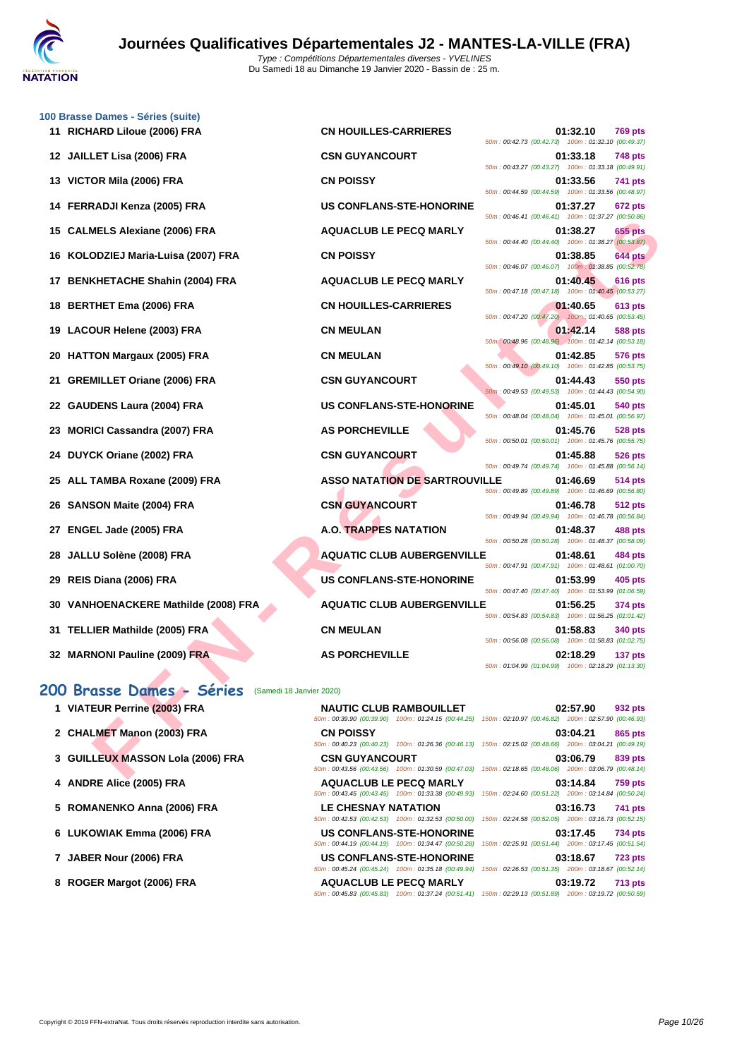

**[100 Brass](http://www.ffnatation.fr/webffn/index.php)e Dames - Séries (suite)**

| 11 RICHARD Liloue (2006) FRA                          | <b>CN HOUILLES-CARRIERES</b>         | 01:32.10<br><b>769 pts</b><br>50m: 00:42.73 (00:42.73) 100m: 01:32.10 (00:49.37)                                                  |
|-------------------------------------------------------|--------------------------------------|-----------------------------------------------------------------------------------------------------------------------------------|
| 12 JAILLET Lisa (2006) FRA                            | <b>CSN GUYANCOURT</b>                | 01:33.18<br><b>748 pts</b><br>50m: 00:43.27 (00:43.27) 100m: 01:33.18 (00:49.91)                                                  |
| VICTOR Mila (2006) FRA<br>13                          | <b>CN POISSY</b>                     | 01:33.56<br>741 pts                                                                                                               |
| FERRADJI Kenza (2005) FRA<br>14.                      | <b>US CONFLANS-STE-HONORINE</b>      | 50m: 00:44.59 (00:44.59) 100m: 01:33.56 (00:48.97)<br>01:37.27<br>672 pts                                                         |
| <b>CALMELS Alexiane (2006) FRA</b><br>15              | <b>AQUACLUB LE PECQ MARLY</b>        | 50m: 00:46.41 (00:46.41) 100m: 01:37.27 (00:50.86)<br>01:38.27<br><b>655 pts</b>                                                  |
| KOLODZIEJ Maria-Luisa (2007) FRA<br>16                | <b>CN POISSY</b>                     | 50m: 00:44.40 (00:44.40) 100m: 01:38.27 (00:53.87)<br>01:38.85<br><b>644 pts</b>                                                  |
| <b>BENKHETACHE Shahin (2004) FRA</b><br>17            | <b>AQUACLUB LE PECQ MARLY</b>        | 50m: 00:46.07 (00:46.07) 100m: 01:38.85 (00:52.78)<br>01:40.45<br><b>616 pts</b>                                                  |
| 18 BERTHET Ema (2006) FRA                             | <b>CN HOUILLES-CARRIERES</b>         | 50m: 00:47.18 (00:47.18) 100m: 01:40.45 (00:53.27)<br>01:40.65<br><b>613 pts</b>                                                  |
| 19 LACOUR Helene (2003) FRA                           | <b>CN MEULAN</b>                     | 50m: 00:47.20 (00:47.20) 100m: 01:40.65 (00:53.45)<br>01:42.14<br>588 pts                                                         |
| <b>HATTON Margaux (2005) FRA</b><br>20                | <b>CN MEULAN</b>                     | 50m : 00:48.96 (00:48.96) 100m : 01:42.14 (00:53.18)<br>01:42.85<br><b>576 pts</b>                                                |
| <b>GREMILLET Oriane (2006) FRA</b><br>21              | <b>CSN GUYANCOURT</b>                | 50m: 00:49.10 (00:49.10) 100m: 01:42.85 (00:53.75)<br>01:44.43<br>550 pts                                                         |
|                                                       |                                      | 50m: 00:49.53 (00:49.53) 100m: 01:44.43 (00:54.90)                                                                                |
| GAUDENS Laura (2004) FRA<br>22                        | <b>US CONFLANS-STE-HONORINE</b>      | 01:45.01<br>540 pts<br>50m: 00:48.04 (00:48.04) 100m: 01:45.01 (00:56.97)                                                         |
| <b>MORICI Cassandra (2007) FRA</b><br>23              | <b>AS PORCHEVILLE</b>                | 01:45.76<br><b>528 pts</b><br>50m: 00:50.01 (00:50.01) 100m: 01:45.76 (00:55.75)                                                  |
| DUYCK Oriane (2002) FRA<br>24                         | <b>CSN GUYANCOURT</b>                | 01:45.88<br><b>526 pts</b><br>50m: 00:49.74 (00:49.74) 100m: 01:45.88 (00:56.14)                                                  |
| ALL TAMBA Roxane (2009) FRA<br>25                     | <b>ASSO NATATION DE SARTROUVILLE</b> | 01:46.69<br>514 pts<br>50m : 00:49.89 (00:49.89) 100m : 01:46.69 (00:56.80)                                                       |
| <b>SANSON Maite (2004) FRA</b><br>26                  | <b>CSN GUYANCOURT</b>                | 01:46.78<br>512 pts<br>50m: 00:49.94 (00:49.94) 100m: 01:46.78 (00:56.84)                                                         |
| ENGEL Jade (2005) FRA<br>27                           | <b>A.O. TRAPPES NATATION</b>         | 01:48.37<br>488 pts<br>50m: 00:50.28 (00:50.28) 100m: 01:48.37 (00:58.09)                                                         |
| JALLU Solène (2008) FRA<br>28                         | <b>AQUATIC CLUB AUBERGENVILLE</b>    | 01:48.61<br>484 pts<br>50m: 00:47.91 (00:47.91) 100m: 01:48.61 (01:00.70)                                                         |
| REIS Diana (2006) FRA<br>29                           | <b>US CONFLANS-STE-HONORINE</b>      | 01:53.99<br>405 pts<br>50m: 00:47.40 (00:47.40) 100m: 01:53.99 (01:06.59)                                                         |
| <b>VANHOENACKERE Mathilde (2008) FRA</b><br>30        | <b>AQUATIC CLUB AUBERGENVILLE</b>    | 01:56.25<br>374 pts                                                                                                               |
| <b>TELLIER Mathilde (2005) FRA</b><br>31              | <b>CN MEULAN</b>                     | 50m: 00:54.83 (00:54.83) 100m: 01:56.25 (01:01.42)<br>01:58.83<br>340 pts                                                         |
| 32 MARNONI Pauline (2009) FRA                         | <b>AS PORCHEVILLE</b>                | 50m: 00:56.08 (00:56.08) 100m: 01:58.83 (01:02.75)<br>02:18.29<br>137 pts                                                         |
|                                                       |                                      | 50m: 01:04.99 (01:04.99) 100m: 02:18.29 (01:13.30)                                                                                |
| 200 Brasse Dames - Séries<br>(Samedi 18 Janvier 2020) |                                      |                                                                                                                                   |
| 1 VIATEUR Perrine (2003) FRA                          | <b>NAUTIC CLUB RAMBOUILLET</b>       | 02:57.90<br>932 pts<br>50m: 00:39.90 (00:39.90) 100m: 01:24.15 (00:44.25) 150m: 02:10.97 (00:46.82) 200m: 02:57.90 (00:46.93)     |
| 2 CHALMET Manon (2003) FRA                            | <b>CN POISSY</b>                     | 03:04.21<br>865 pts<br>50m : 00:40.23 (00:40.23) 100m : 01:26.36 (00:46.13) 150m : 02:15.02 (00:48.66) 200m : 03:04.21 (00:49.19) |
| 3 GUILLEUX MASSON Lola (2006) FRA                     | <b>CSN GUYANCOURT</b>                | 03:06.79<br>839 pts                                                                                                               |
|                                                       |                                      | 50m : 00:43.56 (00:43.56) 100m : 01:30.59 (00:47.03) 150m : 02:18.65 (00:48.06) 200m : 03:06.79 (00:48.14)                        |

### **200 Brasse Dames - Séries** (Samedi 18 Janvier 2020)

| 1 VIATEUR Perrine (2003) FRA |
|------------------------------|
|------------------------------|

- **2 CHALMET Manon (2003) FRA**
- **3 GUILLEUX MASSON Lola (2006) FRA**
- **4 ANDRE Alice (2005) FRA**
- **5** ROMANENKO Anna (2006) FRA
- **6** LUKOWIAK Emma (2006) FRA
- **7 JABER Nour (2006) FRA**
- **8 ROGER Margot (2006) FRA**

| 1 VIATEUR Perrine (2003) FRA      | <b>NAUTIC CLUB RAMBOUILLET</b><br>50m: 00:39.90 (00:39.90) 100m: 01:24.15 (00:44.25) 150m: 02:10.97 (00:46.82) 200m: 02:57.90 (00:46.93                                                                                                     | 02:57.90 | 932 pts        |
|-----------------------------------|---------------------------------------------------------------------------------------------------------------------------------------------------------------------------------------------------------------------------------------------|----------|----------------|
| 2 CHALMET Manon (2003) FRA        | <b>CN POISSY</b><br>50m : 00:40.23 (00:40.23) 100m : 01:26.36 (00:46.13) 150m : 02:15.02 (00:48.66) 200m : 03:04.21 (00:49.19)                                                                                                              | 03:04.21 | 865 pts        |
| 3 GUILLEUX MASSON Lola (2006) FRA | <b>CSN GUYANCOURT</b><br>50m: 00:43.56 (00:43.56) 100m: 01:30.59 (00:47.03) 150m: 02:18.65 (00:48.06) 200m: 03:06.79 (00:48.14                                                                                                              | 03:06.79 | 839 pts        |
| 4 ANDRE Alice (2005) FRA          | <b>AQUACLUB LE PECQ MARLY</b><br>50m: 00:43.45 (00:43.45) 100m: 01:33.38 (00:49.93) 150m: 02:24.60 (00:51.22) 200m: 03:14.84 (00:50.24                                                                                                      | 03:14.84 | <b>759 pts</b> |
| 5 ROMANENKO Anna (2006) FRA       | <b>LE CHESNAY NATATION</b>                                                                                                                                                                                                                  | 03:16.73 | <b>741 pts</b> |
| 6 LUKOWIAK Emma (2006) FRA        | 50m: 00:42.53 (00:42.53) 100m: 01:32.53 (00:50.00) 150m: 02:24.58 (00:52.05) 200m: 03:16.73 (00:52.15<br>US CONFLANS-STE-HONORINE<br>50m: 00:44.19 (00:44.19) 100m: 01:34.47 (00:50.28) 150m: 02:25.91 (00:51.44) 200m: 03:17.45 (00:51.54) | 03:17.45 | 734 pts        |
| 7 JABER Nour (2006) FRA           | US CONFLANS-STE-HONORINE                                                                                                                                                                                                                    | 03:18.67 | <b>723 pts</b> |
| 8 ROGER Margot (2006) FRA         | 50m: 00:45.24 (00:45.24) 100m: 01:35.18 (00:49.94) 150m: 02:26.53 (00:51.35) 200m: 03:18.67 (00:52.14)<br><b>AQUACLUB LE PECQ MARLY</b>                                                                                                     | 03:19.72 | <b>713 pts</b> |
|                                   | 50m; 00:45.83 (00:45.83) 100m; 01:37.24 (00:51.41) 150m; 02:29.13 (00:51.89) 200m; 03:19.72 (00:50.59                                                                                                                                       |          |                |

|  | บ∠.งก.งบ งง∡ pเจ                                    |  |
|--|-----------------------------------------------------|--|
|  | 150m: 02:10.97 (00:46.82) 200m: 02:57.90 (00:46.93) |  |
|  | 03:04.21 865 pts                                    |  |
|  | 150m: 02:15.02 (00:48.66) 200m: 03:04.21 (00:49.19) |  |
|  | 03:06.79 839 pts                                    |  |
|  | 150m: 02:18.65 (00:48.06) 200m: 03:06.79 (00:48.14) |  |
|  | 03:14.84 759 pts                                    |  |
|  | 150m: 02:24.60 (00:51.22) 200m: 03:14.84 (00:50.24) |  |
|  | 03:16.73 741 pts                                    |  |
|  | 150m: 02:24.58 (00:52.05) 200m: 03:16.73 (00:52.15) |  |
|  | 03:17.45 734 pts                                    |  |
|  | 150m: 02:25.91 (00:51.44) 200m: 03:17.45 (00:51.54) |  |
|  | 03:18.67 723 pts                                    |  |
|  | 150m: 02:26.53 (00:51.35) 200m: 03:18.67 (00:52.14) |  |
|  | 03:19.72 713 pts                                    |  |
|  | 150m: 02:29.13 (00:51.89) 200m: 03:19.72 (00:50.59) |  |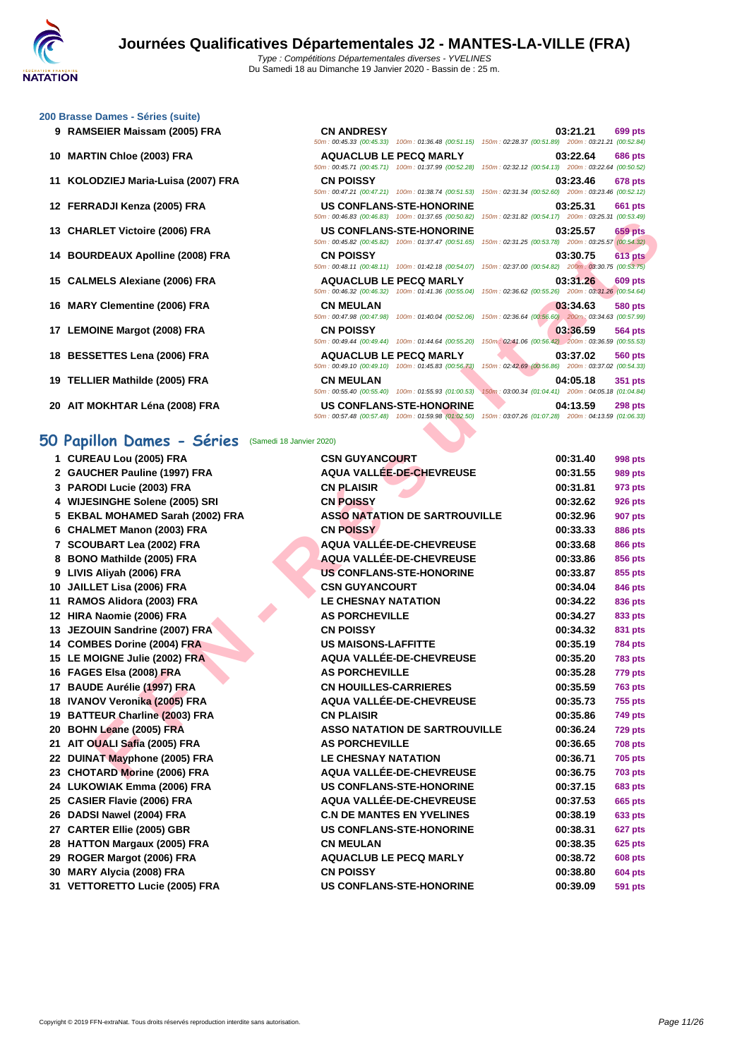50m : 00:45.33 (00:45.33) 100m : 01:36.48 (00:51.15) 150m : 02:28.37 (00:51.89) 200m : 03:21.21 (00:52.84)

50m : 00:45.71 (00:45.71) 100m : 01:37.99 (00:52.28) 150m : 02:32.12 (00:54.13) 200m : 03:22.64 (00:50.52)

50m : 00:47.21 (00:47.21) 100m : 01:38.74 (00:51.53) 150m : 02:31.34 (00:52.60) 200m : 03:23.46 (00:52.12)

50m : 00:46.83 (00:46.83) 100m : 01:37.65 (00:50.82) 150m : 02:31.82 (00:54.17) 200m : 03:25.31 (00:53.49)

#### **[200 Brass](http://www.ffnatation.fr/webffn/index.php)e Dames - Séries (suite)**

- **RAMSEIER Maissam (2005) FRA CN ANDRESY 03:21.21 699 pts**
- **MARTIN Chloe (2003) FRA AQUACLUB LE PECQ MARLY 03:22.64 686 pts**
- **KOLODZIEJ Maria-Luisa (2007) FRA CN POISSY 03:23.46 678 pts**
- **FERRADJI Kenza (2005) FRA US CONFLANS-STE-HONORINE 03:25.31 661 pts**
- **CHARLET Victoire (2006) FRA US CONFLANS-STE-HONORINE 03:25.57 659 pts**
- **BOURDEAUX Apolline (2008) FRA CN POISSY 03:30.75 613 pts**
- **CALMELS Alexiane (2006) FRA AQUACLUB LE PECQ MARLY 03:31.26 609 pts**
- **MARY Clementine (2006) FRA CN MEULAN 03:34.63 580 pts**
- **LEMOINE Margot (2008) FRA CN POISSY 03:36.59 564 pts**
- **BESSETTES Lena (2006) FRA AQUACLUB LE PECQ MARLY 03:37.02 560 pts**
- **TELLIER Mathilde (2005) FRA CN MEULAN 04:05.18 351 pts**
- **AIT MOKHTAR Léna (2008) FRA US CONFLANS-STE-HONORINE 04:13.59 298 pts**

### **50 Papillon Dames - Séries** (Samedi 18 Janvier 2020)

| 13 CHARLET Victoire (2006) FRA                                | <b>US CONFLANS-STE-HONORINE</b><br>50m: 00:45.82 (00:45.82) 100m: 01:37.47 (00:51.65) 150m: 02:31.25 (00:53.78) 200m: 03:25.57 (00:54.32) | 03:25.57<br>659 pts                                                        |
|---------------------------------------------------------------|-------------------------------------------------------------------------------------------------------------------------------------------|----------------------------------------------------------------------------|
| 14 BOURDEAUX Apolline (2008) FRA                              | <b>CN POISSY</b>                                                                                                                          | 03:30.75<br><b>613 pts</b>                                                 |
| 15 CALMELS Alexiane (2006) FRA                                | 50m: 00:48.11 (00:48.11) 100m: 01:42.18 (00:54.07) 150m: 02:37.00 (00:54.82) 200m: 03:30.75 (00:53.75)<br><b>AQUACLUB LE PECQ MARLY</b>   | 03:31.26<br>609 pts                                                        |
|                                                               | 50m : 00:46.32 (00:46.32) 100m : 01:41.36 (00:55.04) 150m : 02:36.62 (00:55.26) 200m : 03:31.26 (00:54.64)                                |                                                                            |
| 16 MARY Clementine (2006) FRA                                 | CN MEULAN<br>50m: 00:47.98 (00:47.98) 100m: 01:40.04 (00:52.06)                                                                           | 03:34.63<br>580 pts<br>150m: 02:36.64 (00:56.60) 200m: 03:34.63 (00:57.99) |
| 17 LEMOINE Margot (2008) FRA                                  | <b>CN POISSY</b>                                                                                                                          | 03:36.59<br>564 pts                                                        |
|                                                               | 50m : 00:49.44 (00:49.44) 100m : 01:44.64 (00:55.20) 150m : 02:41.06 (00:56.42) 200m : 03:36.59 (00:55.53)                                |                                                                            |
| 18 BESSETTES Lena (2006) FRA                                  | <b>AQUACLUB LE PECQ MARLY</b><br>50m: 00:49.10 (00:49.10) 100m: 01:45.83 (00:56.73)                                                       | 03:37.02<br>560 pts<br>150m: 02:42.69 (00:56.86) 200m: 03:37.02 (00:54.33) |
| 19 TELLIER Mathilde (2005) FRA                                | CN MEULAN                                                                                                                                 | 04:05.18<br>351 pts                                                        |
|                                                               | 50m: 00:55.40 (00:55.40) 100m: 01:55.93 (01:00.53)                                                                                        | 150m: 03:00.34 (01:04.41) 200m: 04:05.18 (01:04.84)                        |
| 20 AIT MOKHTAR Léna (2008) FRA                                | <b>US CONFLANS-STE-HONORINE</b>                                                                                                           | 04:13.59<br>298 pts                                                        |
|                                                               | 50m: 00:57.48 (00:57.48) 100m: 01:59.98 (01:02.50) 150m: 03:07.26 (01:07.28) 200m: 04:13.59 (01:06.33)                                    |                                                                            |
| 50 Papillon Dames - Séries                                    | (Samedi 18 Janvier 2020)                                                                                                                  |                                                                            |
| 1 CUREAU Lou (2005) FRA                                       | <b>CSN GUYANCOURT</b>                                                                                                                     | 00:31.40<br>998 pts                                                        |
| 2 GAUCHER Pauline (1997) FRA                                  | AQUA VALLÉE-DE-CHEVREUSE                                                                                                                  | 00:31.55<br>989 pts                                                        |
| 3 PARODI Lucie (2003) FRA                                     | <b>CN PLAISIR</b>                                                                                                                         | 00:31.81<br>973 pts                                                        |
| 4 WIJESINGHE Solene (2005) SRI                                | <b>CN POISSY</b>                                                                                                                          | 00:32.62<br><b>926 pts</b>                                                 |
| 5 EKBAL MOHAMED Sarah (2002) FRA                              | <b>ASSO NATATION DE SARTROUVILLE</b>                                                                                                      | 00:32.96<br>907 pts                                                        |
| 6 CHALMET Manon (2003) FRA                                    | <b>CN POISSY</b>                                                                                                                          | 00:33.33<br>886 pts                                                        |
| 7 SCOUBART Lea (2002) FRA                                     | <b>AQUA VALLÉE-DE-CHEVREUSE</b>                                                                                                           | 00:33.68<br>866 pts                                                        |
| 8 BONO Mathilde (2005) FRA                                    | AQUA VALLÉE-DE-CHEVREUSE                                                                                                                  | 00:33.86<br>856 pts                                                        |
| 9 LIVIS Aliyah (2006) FRA                                     | <b>US CONFLANS-STE-HONORINE</b>                                                                                                           | 00:33.87<br>855 pts                                                        |
| 10 JAILLET Lisa (2006) FRA                                    | <b>CSN GUYANCOURT</b>                                                                                                                     | 00:34.04<br>846 pts                                                        |
| 11 RAMOS Alidora (2003) FRA                                   | <b>LE CHESNAY NATATION</b>                                                                                                                | 00:34.22<br>836 pts                                                        |
| 12 HIRA Naomie (2006) FRA                                     | <b>AS PORCHEVILLE</b><br><b>CN POISSY</b>                                                                                                 | 00:34.27<br>833 pts<br>00:34.32                                            |
| 13 JEZOUIN Sandrine (2007) FRA<br>14 COMBES Dorine (2004) FRA | <b>US MAISONS-LAFFITTE</b>                                                                                                                | 831 pts                                                                    |
|                                                               | AQUA VALLÉE-DE-CHEVREUSE                                                                                                                  | 00:35.19<br><b>784 pts</b><br>00:35.20                                     |
| 15 LE MOIGNE Julie (2002) FRA<br>16 FAGES Elsa (2008) FRA     | <b>AS PORCHEVILLE</b>                                                                                                                     | 783 pts<br>00:35.28<br>779 pts                                             |
| 17 BAUDE Aurélie (1997) FRA                                   | <b>CN HOUILLES-CARRIERES</b>                                                                                                              | 00:35.59<br>763 pts                                                        |
| 18 IVANOV Veronika (2005) FRA                                 | AQUA VALLÉE-DE-CHEVREUSE                                                                                                                  | 00:35.73<br>755 pts                                                        |
| 19 BATTEUR Charline (2003) FRA                                | <b>CN PLAISIR</b>                                                                                                                         | 00:35.86<br>749 pts                                                        |
| 20 BOHN Leane (2005) FRA                                      | <b>ASSO NATATION DE SARTROUVILLE</b>                                                                                                      | 00:36.24<br>729 pts                                                        |
| 21 AIT OUALI Safia (2005) FRA                                 | <b>AS PORCHEVILLE</b>                                                                                                                     | 00:36.65<br><b>708 pts</b>                                                 |
| 22 DUINAT Mayphone (2005) FRA                                 | <b>LE CHESNAY NATATION</b>                                                                                                                | 00:36.71<br><b>705 pts</b>                                                 |
| 23 CHOTARD Morine (2006) FRA                                  | <b>AQUA VALLÉE-DE-CHEVREUSE</b>                                                                                                           | 00:36.75<br><b>703 pts</b>                                                 |
| 24 LUKOWIAK Emma (2006) FRA                                   | US CONFLANS-STE-HONORINE                                                                                                                  | 00:37.15<br><b>683 pts</b>                                                 |
| 25 CASIER Flavie (2006) FRA                                   | AQUA VALLÉE-DE-CHEVREUSE                                                                                                                  | 00:37.53<br>665 pts                                                        |
| 26 DADSI Nawel (2004) FRA                                     | <b>C.N DE MANTES EN YVELINES</b>                                                                                                          | 00:38.19<br>633 pts                                                        |
| 27 CARTER Ellie (2005) GBR                                    | <b>US CONFLANS-STE-HONORINE</b>                                                                                                           | 00:38.31<br>627 pts                                                        |
| 28 HATTON Margaux (2005) FRA                                  | <b>CN MEULAN</b>                                                                                                                          | 00:38.35<br>625 pts                                                        |
| 29 ROGER Margot (2006) FRA                                    | <b>AQUACLUB LE PECQ MARLY</b>                                                                                                             | 00:38.72<br>608 pts                                                        |
| 30 MARY Alycia (2008) FRA                                     | <b>CN POISSY</b>                                                                                                                          | 00:38.80<br><b>604 pts</b>                                                 |
| 31 VETTORETTO Lucie (2005) FRA                                | US CONFLANS-STE-HONORINE                                                                                                                  | 00:39.09<br><b>591 pts</b>                                                 |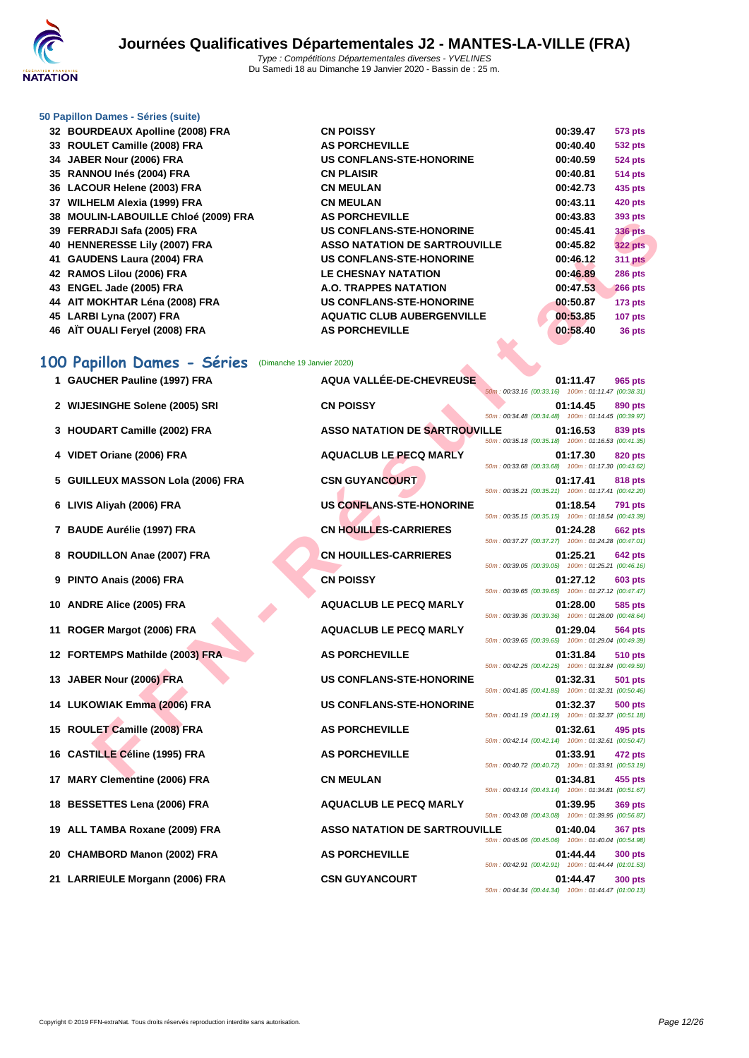

#### **[50 Papillo](http://www.ffnatation.fr/webffn/index.php)n Dames - Séries (suite)**

| 32 BOURDEAUX Apolline (2008) FRA     | <b>CN POISSY</b>                     | 00:39.47 | 573 pts        |
|--------------------------------------|--------------------------------------|----------|----------------|
| 33 ROULET Camille (2008) FRA         | <b>AS PORCHEVILLE</b>                | 00:40.40 | 532 pts        |
| 34 JABER Nour (2006) FRA             | US CONFLANS-STE-HONORINE             | 00:40.59 | <b>524 pts</b> |
| 35 RANNOU Inés (2004) FRA            | <b>CN PLAISIR</b>                    | 00:40.81 | <b>514 pts</b> |
| 36 LACOUR Helene (2003) FRA          | <b>CN MEULAN</b>                     | 00:42.73 | 435 pts        |
| 37 WILHELM Alexia (1999) FRA         | <b>CN MEULAN</b>                     | 00:43.11 | 420 pts        |
| 38 MOULIN-LABOUILLE Chloé (2009) FRA | <b>AS PORCHEVILLE</b>                | 00:43.83 | 393 pts        |
| 39 FERRADJI Safa (2005) FRA          | <b>US CONFLANS-STE-HONORINE</b>      | 00:45.41 | <b>336 pts</b> |
| 40 HENNERESSE Lily (2007) FRA        | <b>ASSO NATATION DE SARTROUVILLE</b> | 00:45.82 | <b>322 pts</b> |
| 41 GAUDENS Laura (2004) FRA          | US CONFLANS-STE-HONORINE             | 00:46.12 | <b>311 pts</b> |
| 42 RAMOS Lilou (2006) FRA            | <b>LE CHESNAY NATATION</b>           | 00:46.89 | <b>286 pts</b> |
| 43 ENGEL Jade (2005) FRA             | A.O. TRAPPES NATATION                | 00:47.53 | <b>266 pts</b> |
| 44 AIT MOKHTAR Léna (2008) FRA       | <b>US CONFLANS-STE-HONORINE</b>      | 00:50.87 | $173$ pts      |
| 45 LARBI Lyna (2007) FRA             | <b>AQUATIC CLUB AUBERGENVILLE</b>    | 00:53.85 | <b>107 pts</b> |
| 46 AIT OUALI Fervel (2008) FRA       | <b>AS PORCHEVILLE</b>                | 00:58.40 | 36 pts         |

### **100 Papillon Dames - Séries** (Dimanche 19 Janvier 2020)

|   | 30 MOULIN-LADOUILLE UNIUS (2003) I IVA                    |                                      |                                                    | vv. <del>+</del> v.vv | ວອວ µເຣ        |
|---|-----------------------------------------------------------|--------------------------------------|----------------------------------------------------|-----------------------|----------------|
|   | 39 FERRADJI Safa (2005) FRA                               | <b>US CONFLANS-STE-HONORINE</b>      |                                                    | 00:45.41              | 336 pts        |
|   | 40 HENNERESSE Lily (2007) FRA                             | <b>ASSO NATATION DE SARTROUVILLE</b> |                                                    | 00:45.82              | <b>322 pts</b> |
|   | 41 GAUDENS Laura (2004) FRA                               | <b>US CONFLANS-STE-HONORINE</b>      |                                                    | 00:46.12              | <b>311 pts</b> |
|   | 42 RAMOS Lilou (2006) FRA                                 | <b>LE CHESNAY NATATION</b>           |                                                    | 00:46.89              | <b>286 pts</b> |
|   | 43 ENGEL Jade (2005) FRA                                  | A.O. TRAPPES NATATION                |                                                    | 00:47.53              | <b>266 pts</b> |
|   | 44 AIT MOKHTAR Léna (2008) FRA                            | <b>US CONFLANS-STE-HONORINE</b>      |                                                    | 00:50.87              | 173 pts        |
|   | 45 LARBI Lyna (2007) FRA                                  | <b>AQUATIC CLUB AUBERGENVILLE</b>    |                                                    | 00:53.85              | <b>107 pts</b> |
|   | 46 AÏT OUALI Feryel (2008) FRA                            | <b>AS PORCHEVILLE</b>                |                                                    | 00:58.40              | 36 pts         |
|   |                                                           |                                      |                                                    |                       |                |
|   | 100 Papillon Dames - Séries<br>(Dimanche 19 Janvier 2020) |                                      |                                                    |                       |                |
|   | 1 GAUCHER Pauline (1997) FRA                              | AQUA VALLÉE-DE-CHEVREUSE             |                                                    | 01:11.47              | 965 pts        |
|   |                                                           |                                      | 50m: 00:33.16 (00:33.16) 100m: 01:11.47 (00:38.31) |                       |                |
|   | 2 WIJESINGHE Solene (2005) SRI                            | <b>CN POISSY</b>                     |                                                    | 01:14.45              | 890 pts        |
|   |                                                           |                                      | 50m: 00:34.48 (00:34.48) 100m: 01:14.45 (00:39.97) |                       |                |
|   | 3 HOUDART Camille (2002) FRA                              | <b>ASSO NATATION DE SARTROUVILLE</b> |                                                    | 01:16.53              | 839 pts        |
|   |                                                           |                                      | 50m: 00:35.18 (00:35.18) 100m: 01:16.53 (00:41.35) |                       |                |
|   | 4 VIDET Oriane (2006) FRA                                 | <b>AQUACLUB LE PECQ MARLY</b>        | 50m: 00:33.68 (00:33.68) 100m: 01:17.30 (00:43.62) | 01:17.30              | 820 pts        |
|   | 5 GUILLEUX MASSON Lola (2006) FRA                         | <b>CSN GUYANCOURT</b>                |                                                    | 01:17.41              | 818 pts        |
|   |                                                           |                                      | 50m: 00:35.21 (00:35.21) 100m: 01:17.41 (00:42.20) |                       |                |
|   | 6 LIVIS Aliyah (2006) FRA                                 | <b>US CONFLANS-STE-HONORINE</b>      |                                                    | 01:18.54              | 791 pts        |
|   |                                                           |                                      | 50m: 00:35.15 (00:35.15) 100m: 01:18.54 (00:43.39) |                       |                |
|   | 7 BAUDE Aurélie (1997) FRA                                | <b>CN HOUILLES-CARRIERES</b>         | 50m: 00:37.27 (00:37.27) 100m: 01:24.28 (00:47.01) | 01:24.28              | <b>662 pts</b> |
| 8 | ROUDILLON Anae (2007) FRA                                 | <b>CN HOUILLES-CARRIERES</b>         |                                                    | 01:25.21              | 642 pts        |
|   |                                                           |                                      | 50m: 00:39.05 (00:39.05) 100m: 01:25.21 (00:46.16) |                       |                |
|   | PINTO Anais (2006) FRA                                    | <b>CN POISSY</b>                     |                                                    | 01:27.12              | 603 pts        |
|   |                                                           |                                      | 50m: 00:39.65 (00:39.65) 100m: 01:27.12 (00:47.47) |                       |                |
|   | 10 ANDRE Alice (2005) FRA                                 | <b>AQUACLUB LE PECQ MARLY</b>        | 50m: 00:39.36 (00:39.36) 100m: 01:28.00 (00:48.64) | 01:28.00              | 585 pts        |
|   | 11 ROGER Margot (2006) FRA                                | <b>AQUACLUB LE PECQ MARLY</b>        |                                                    | 01:29.04              | 564 pts        |
|   |                                                           |                                      | 50m: 00:39.65 (00:39.65) 100m: 01:29.04 (00:49.39) |                       |                |
|   | 12 FORTEMPS Mathilde (2003) FRA                           | <b>AS PORCHEVILLE</b>                |                                                    | 01:31.84              | 510 pts        |
|   |                                                           |                                      | 50m: 00:42.25 (00:42.25) 100m: 01:31.84 (00:49.59) |                       |                |
|   | 13 JABER Nour (2006) FRA                                  | <b>US CONFLANS-STE-HONORINE</b>      |                                                    | 01:32.31              | <b>501 pts</b> |
|   |                                                           |                                      | 50m: 00:41.85 (00:41.85) 100m: 01:32.31 (00:50.46) |                       |                |
|   | 14 LUKOWIAK Emma (2006) FRA                               | <b>US CONFLANS-STE-HONORINE</b>      | 50m: 00:41.19 (00:41.19) 100m: 01:32.37 (00:51.18) | 01:32.37              | 500 pts        |
|   | 15 ROULET Camille (2008) FRA                              | <b>AS PORCHEVILLE</b>                |                                                    | 01:32.61              | 495 pts        |
|   |                                                           |                                      | 50m: 00:42.14 (00:42.14) 100m: 01:32.61 (00:50.47) |                       |                |
|   | 16 CASTILLE Céline (1995) FRA                             | <b>AS PORCHEVILLE</b>                |                                                    | 01:33.91              | 472 pts        |
|   |                                                           |                                      | 50m: 00:40.72 (00:40.72) 100m: 01:33.91 (00:53.19) |                       |                |
|   | 17 MARY Clementine (2006) FRA                             | <b>CN MEULAN</b>                     | 50m: 00:43.14 (00:43.14) 100m: 01:34.81 (00:51.67) | 01:34.81              | 455 pts        |
|   | 18 BESSETTES Lena (2006) FRA                              | <b>AQUACLUB LE PECQ MARLY</b>        |                                                    | 01:39.95              | <b>369 pts</b> |
|   |                                                           |                                      | 50m: 00:43.08 (00:43.08) 100m: 01:39.95 (00:56.87) |                       |                |
|   | 19 ALL TAMBA Roxane (2009) FRA                            | <b>ASSO NATATION DE SARTROUVILLE</b> |                                                    | 01:40.04              | <b>367 pts</b> |
|   |                                                           |                                      | 50m: 00:45.06 (00:45.06) 100m: 01:40.04 (00:54.98) |                       |                |
|   | 20 CHAMBORD Manon (2002) FRA                              | <b>AS PORCHEVILLE</b>                | 50m: 00:42.91 (00:42.91) 100m: 01:44.44 (01:01.53) | 01:44.44              | <b>300 pts</b> |
|   | 21 LARRIEULE Morgann (2006) FRA                           | <b>CSN GUYANCOURT</b>                |                                                    | 01:44.47              | <b>300 pts</b> |
|   |                                                           |                                      | 50m: 00:44.34 (00:44.34) 100m: 01:44.47 (01:00.13) |                       |                |
|   |                                                           |                                      |                                                    |                       |                |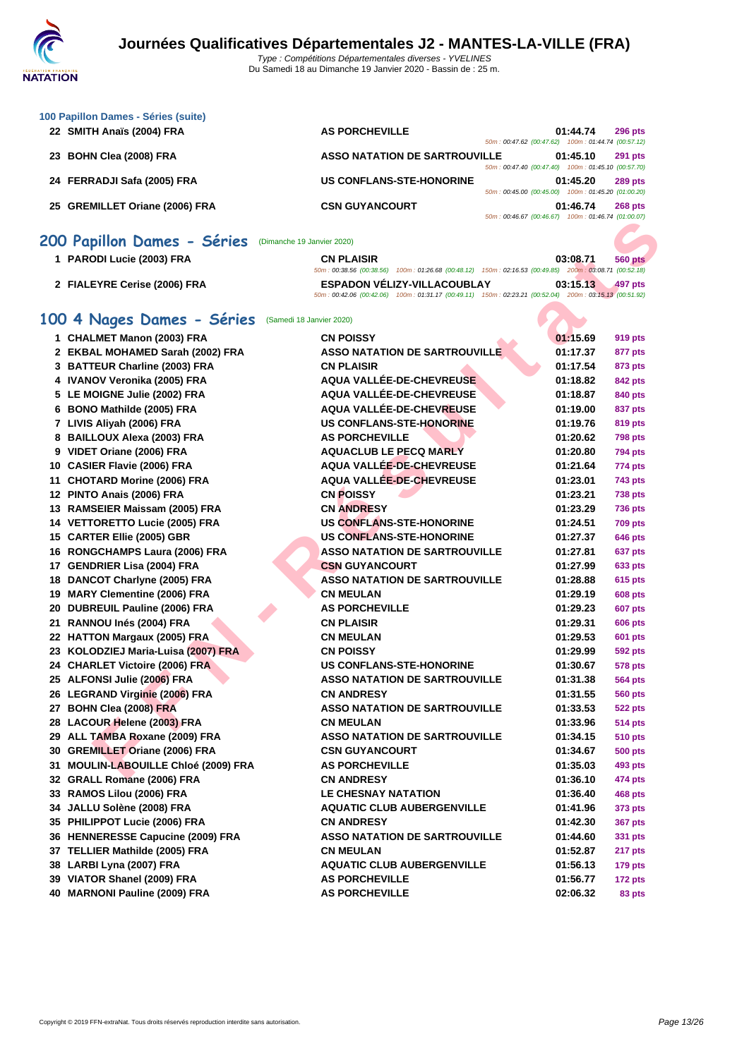| 100 Papillon Dames - Séries (suite) |                                                                                                              |  |
|-------------------------------------|--------------------------------------------------------------------------------------------------------------|--|
| 22 SMITH Anaïs (2004) FRA           | <b>AS PORCHEVILLE</b><br>01:44.74<br><b>296 pts</b><br>100m: 01:44.74 (00:57.12)<br>50m: 00:47.62 (00:47.62) |  |
| 23 BOHN Clea (2008) FRA             | <b>ASSO NATATION DE SARTROUVILLE</b><br>01:45.10<br><b>291 pts</b>                                           |  |
|                                     | 100m: 01:45.10 (00:57.70)<br>50m: 00:47.40 (00:47.40)                                                        |  |
| 24 FERRADJI Safa (2005) FRA         | <b>US CONFLANS-STE-HONORINE</b><br>01:45.20<br><b>289 pts</b>                                                |  |
|                                     | 100m: 01:45.20 (01:00.20)<br>50m: 00:45.00 (00:45.00)                                                        |  |
| 25 GREMILLET Oriane (2006) FRA      | <b>CSN GUYANCOURT</b><br>01:46.74<br><b>268 pts</b>                                                          |  |
|                                     | 50m: 00:46.67 (00:46.67)<br>100m: 01:46.74 (01:00.07)                                                        |  |
|                                     |                                                                                                              |  |

### **200 Papillon Dames - Séries** (Dimanche 19 Janvier 2020)

| PARODI Lucie (2003) FRA      | <b>CN PLAISIR</b>                  | 03:08.71<br>560 pts                                                                                    |
|------------------------------|------------------------------------|--------------------------------------------------------------------------------------------------------|
|                              |                                    | 50m: 00:38.56 (00:38.56) 100m: 01:26.68 (00:48.12) 150m: 02:16.53 (00:49.85) 200m: 03:08.71 (00:52.18) |
| 2 FIALEYRE Cerise (2006) FRA | <b>ESPADON VÉLIZY-VILLACOUBLAY</b> | 03:15.13<br>$-497$ pts                                                                                 |
|                              |                                    | 50m: 00:42.06 (00:42.06) 100m: 01:31.17 (00:49.11) 150m: 02:23.21 (00:52.04) 200m: 03:15.13 (00:51.92) |

### **100 4 Nages Dames - Séries** (Samedi 18 Janvier 2020)

|                                                              |                                                                                                                                              | $5000 \cdot 100.4000 \cdot 100.4000 \cdot 10000 \cdot 100.4000 + 10000000$ |                |
|--------------------------------------------------------------|----------------------------------------------------------------------------------------------------------------------------------------------|----------------------------------------------------------------------------|----------------|
| <b>00 Papillon Dames - Séries</b> (Dimanche 19 Janvier 2020) |                                                                                                                                              |                                                                            |                |
| 1 PARODI Lucie (2003) FRA                                    | <b>CN PLAISIR</b><br>50m: 00:38.56 (00:38.56) 100m: 01:26.68 (00:48.12) 150m: 02:16.53 (00:49.85) 200m: 03:08.71 (00:52.18)                  | 03:08.71                                                                   | <b>560 pts</b> |
| 2 FIALEYRE Cerise (2006) FRA                                 | <b>ESPADON VELIZY-VILLACOUBLAY</b><br>50m: 00:42.06 (00:42.06) 100m: 01:31.17 (00:49.11) 150m: 02:23.21 (00:52.04) 200m: 03:15.13 (00:51.92) | 03:15.13                                                                   | 497 pts        |
| 00 4 Nages Dames - Séries                                    | (Samedi 18 Janvier 2020)                                                                                                                     |                                                                            |                |
| 1 CHALMET Manon (2003) FRA                                   | <b>CN POISSY</b>                                                                                                                             | 01:15.69                                                                   | 919 pts        |
| 2 EKBAL MOHAMED Sarah (2002) FRA                             | <b>ASSO NATATION DE SARTROUVILLE</b>                                                                                                         | 01:17.37                                                                   | 877 pts        |
| 3 BATTEUR Charline (2003) FRA                                | <b>CN PLAISIR</b>                                                                                                                            | 01:17.54                                                                   | 873 pts        |
| 4 IVANOV Veronika (2005) FRA                                 | <b>AQUA VALLÉE-DE-CHEVREUSE</b>                                                                                                              | 01:18.82                                                                   | 842 pts        |
| 5 LE MOIGNE Julie (2002) FRA                                 | AQUA VALLÉE-DE-CHEVREUSE                                                                                                                     | 01:18.87                                                                   | 840 pts        |
| 6 BONO Mathilde (2005) FRA                                   | <b>AQUA VALLÉE-DE-CHEVREUSE</b>                                                                                                              | 01:19.00                                                                   | 837 pts        |
| 7 LIVIS Aliyah (2006) FRA                                    | <b>US CONFLANS-STE-HONORINE</b>                                                                                                              | 01:19.76                                                                   | 819 pts        |
| 8 BAILLOUX Alexa (2003) FRA                                  | <b>AS PORCHEVILLE</b>                                                                                                                        | 01:20.62                                                                   | <b>798 pts</b> |
| 9 VIDET Oriane (2006) FRA                                    | <b>AQUACLUB LE PECQ MARLY</b>                                                                                                                | 01:20.80                                                                   | <b>794 pts</b> |
| 10 CASIER Flavie (2006) FRA                                  | AQUA VALLÉE-DE-CHEVREUSE                                                                                                                     | 01:21.64                                                                   | 774 pts        |
| 11 CHOTARD Morine (2006) FRA                                 | <b>AQUA VALLÉE-DE-CHEVREUSE</b>                                                                                                              | 01:23.01                                                                   | <b>743 pts</b> |
| 12 PINTO Anais (2006) FRA                                    | <b>CN POISSY</b>                                                                                                                             | 01:23.21                                                                   | <b>738 pts</b> |
| 13 RAMSEIER Maissam (2005) FRA                               | <b>CN ANDRESY</b>                                                                                                                            | 01:23.29                                                                   | <b>736 pts</b> |
| 14 VETTORETTO Lucie (2005) FRA                               | <b>US CONFLANS-STE-HONORINE</b>                                                                                                              | 01:24.51                                                                   | <b>709 pts</b> |
| 15 CARTER Ellie (2005) GBR                                   | <b>US CONFLANS-STE-HONORINE</b>                                                                                                              | 01:27.37                                                                   | <b>646 pts</b> |
| 16 RONGCHAMPS Laura (2006) FRA                               | <b>ASSO NATATION DE SARTROUVILLE</b>                                                                                                         | 01:27.81                                                                   | 637 pts        |
| 17 GENDRIER Lisa (2004) FRA                                  | <b>CSN GUYANCOURT</b>                                                                                                                        | 01:27.99                                                                   | 633 pts        |
| 18 DANCOT Charlyne (2005) FRA                                | <b>ASSO NATATION DE SARTROUVILLE</b>                                                                                                         | 01:28.88                                                                   | <b>615 pts</b> |
| 19 MARY Clementine (2006) FRA                                | <b>CN MEULAN</b>                                                                                                                             | 01:29.19                                                                   | <b>608 pts</b> |
| 20 DUBREUIL Pauline (2006) FRA                               | <b>AS PORCHEVILLE</b>                                                                                                                        | 01:29.23                                                                   | 607 pts        |
| 21 RANNOU Inés (2004) FRA                                    | <b>CN PLAISIR</b>                                                                                                                            | 01:29.31                                                                   | <b>606 pts</b> |
| 22 HATTON Margaux (2005) FRA                                 | <b>CN MEULAN</b>                                                                                                                             | 01:29.53                                                                   | 601 pts        |
| 23 KOLODZIEJ Maria-Luisa (2007) FRA                          | <b>CN POISSY</b>                                                                                                                             | 01:29.99                                                                   | <b>592 pts</b> |
| 24 CHARLET Victoire (2006) FRA                               | <b>US CONFLANS-STE-HONORINE</b>                                                                                                              | 01:30.67                                                                   | <b>578 pts</b> |
| 25 ALFONSI Julie (2006) FRA                                  | <b>ASSO NATATION DE SARTROUVILLE</b>                                                                                                         | 01:31.38                                                                   | 564 pts        |
| 26 LEGRAND Virginie (2006) FRA                               | <b>CN ANDRESY</b>                                                                                                                            | 01:31.55                                                                   | 560 pts        |
| 27 BOHN Clea (2008) FRA                                      | <b>ASSO NATATION DE SARTROUVILLE</b>                                                                                                         | 01:33.53                                                                   | <b>522 pts</b> |
| 28 LACOUR Helene (2003) FRA                                  | <b>CN MEULAN</b>                                                                                                                             | 01:33.96                                                                   | <b>514 pts</b> |
| 29 ALL TAMBA Roxane (2009) FRA                               | <b>ASSO NATATION DE SARTROUVILLE</b>                                                                                                         | 01:34.15                                                                   | <b>510 pts</b> |
| 30 GREMILLET Oriane (2006) FRA                               | <b>CSN GUYANCOURT</b>                                                                                                                        | 01:34.67                                                                   | <b>500 pts</b> |
| 31 MOULIN-LABOUILLE Chloé (2009) FRA                         | <b>AS PORCHEVILLE</b>                                                                                                                        | 01:35.03                                                                   | 493 pts        |
| 32 GRALL Romane (2006) FRA                                   | <b>CN ANDRESY</b>                                                                                                                            | 01:36.10                                                                   | 474 pts        |
| 33 RAMOS Lilou (2006) FRA                                    | <b>LE CHESNAY NATATION</b>                                                                                                                   | 01:36.40                                                                   | 468 pts        |
| 34 JALLU Solène (2008) FRA                                   | <b>AQUATIC CLUB AUBERGENVILLE</b>                                                                                                            | 01:41.96                                                                   | 373 pts        |
| 35 PHILIPPOT Lucie (2006) FRA                                | <b>CN ANDRESY</b>                                                                                                                            | 01:42.30                                                                   | <b>367 pts</b> |
| 36 HENNERESSE Capucine (2009) FRA                            | <b>ASSO NATATION DE SARTROUVILLE</b>                                                                                                         | 01:44.60                                                                   | 331 pts        |
| 37 TELLIER Mathilde (2005) FRA                               | <b>CN MEULAN</b>                                                                                                                             | 01:52.87                                                                   | 217 pts        |
| 38 LARBI Lyna (2007) FRA                                     | <b>AQUATIC CLUB AUBERGENVILLE</b>                                                                                                            | 01:56.13                                                                   | <b>179 pts</b> |
| 39 VIATOR Shanel (2009) FRA                                  | <b>AS PORCHEVILLE</b>                                                                                                                        | 01:56.77                                                                   | 172 pts        |
| 40 MARNONI Pauline (2009) FRA                                | <b>AS PORCHEVILLE</b>                                                                                                                        | 02:06.32                                                                   | 83 pts         |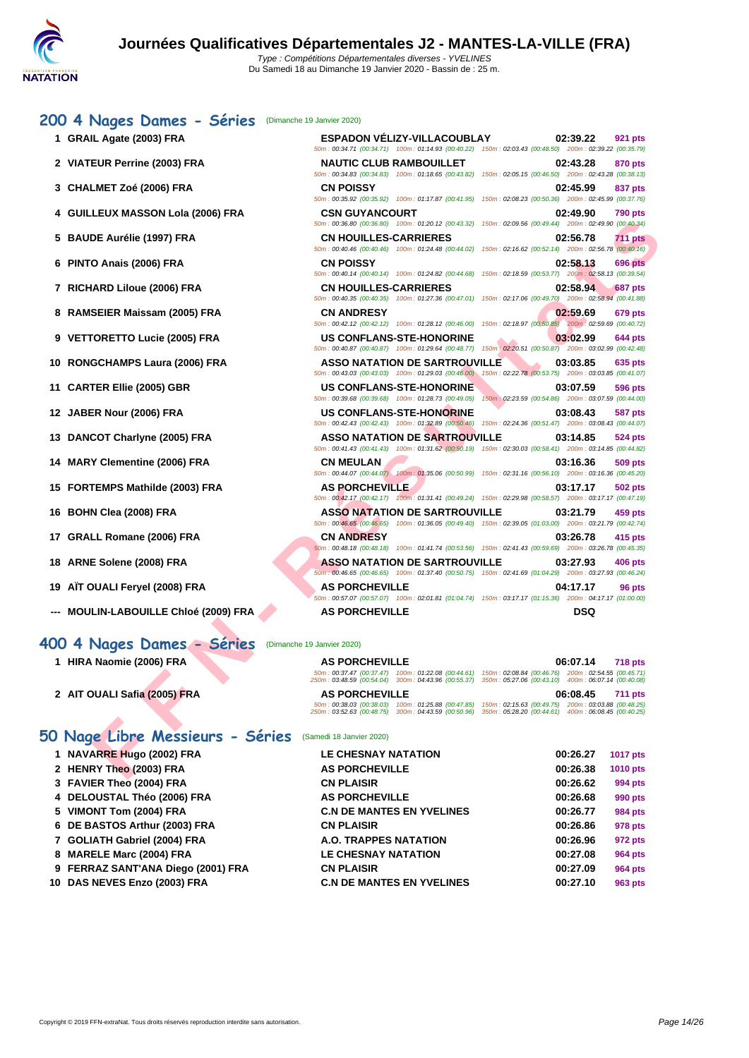| (Dimanche 19 Janvier 2020)                                   |                                                                                                                                                                                                                                                                                                                                                                                                                                                                                                                                                                                                                                                                                                                                                                                                                                                                                                                                                                                                                                                                                                                                                                                                                                                                                                                                                                                                                                                                                                                                                                                                                                                                                                                                                                                                                                                                                                                                                                                                                                                                                                                                                                                                                                                                                                                                                                                                                                                                                                                                             |
|--------------------------------------------------------------|---------------------------------------------------------------------------------------------------------------------------------------------------------------------------------------------------------------------------------------------------------------------------------------------------------------------------------------------------------------------------------------------------------------------------------------------------------------------------------------------------------------------------------------------------------------------------------------------------------------------------------------------------------------------------------------------------------------------------------------------------------------------------------------------------------------------------------------------------------------------------------------------------------------------------------------------------------------------------------------------------------------------------------------------------------------------------------------------------------------------------------------------------------------------------------------------------------------------------------------------------------------------------------------------------------------------------------------------------------------------------------------------------------------------------------------------------------------------------------------------------------------------------------------------------------------------------------------------------------------------------------------------------------------------------------------------------------------------------------------------------------------------------------------------------------------------------------------------------------------------------------------------------------------------------------------------------------------------------------------------------------------------------------------------------------------------------------------------------------------------------------------------------------------------------------------------------------------------------------------------------------------------------------------------------------------------------------------------------------------------------------------------------------------------------------------------------------------------------------------------------------------------------------------------|
| <b>ESPADON VELIZY-VILLACOUBLAY</b>                           | 02:39.22<br>921 pts                                                                                                                                                                                                                                                                                                                                                                                                                                                                                                                                                                                                                                                                                                                                                                                                                                                                                                                                                                                                                                                                                                                                                                                                                                                                                                                                                                                                                                                                                                                                                                                                                                                                                                                                                                                                                                                                                                                                                                                                                                                                                                                                                                                                                                                                                                                                                                                                                                                                                                                         |
| <b>NAUTIC CLUB RAMBOUILLET</b>                               | 02:43.28<br>870 pts                                                                                                                                                                                                                                                                                                                                                                                                                                                                                                                                                                                                                                                                                                                                                                                                                                                                                                                                                                                                                                                                                                                                                                                                                                                                                                                                                                                                                                                                                                                                                                                                                                                                                                                                                                                                                                                                                                                                                                                                                                                                                                                                                                                                                                                                                                                                                                                                                                                                                                                         |
| <b>CN POISSY</b>                                             | 02:45.99<br>837 pts                                                                                                                                                                                                                                                                                                                                                                                                                                                                                                                                                                                                                                                                                                                                                                                                                                                                                                                                                                                                                                                                                                                                                                                                                                                                                                                                                                                                                                                                                                                                                                                                                                                                                                                                                                                                                                                                                                                                                                                                                                                                                                                                                                                                                                                                                                                                                                                                                                                                                                                         |
| <b>CSN GUYANCOURT</b>                                        | 02:49.90<br>790 pts                                                                                                                                                                                                                                                                                                                                                                                                                                                                                                                                                                                                                                                                                                                                                                                                                                                                                                                                                                                                                                                                                                                                                                                                                                                                                                                                                                                                                                                                                                                                                                                                                                                                                                                                                                                                                                                                                                                                                                                                                                                                                                                                                                                                                                                                                                                                                                                                                                                                                                                         |
| <b>CN HOUILLES-CARRIERES</b>                                 | 02:56.78<br><b>711 pts</b>                                                                                                                                                                                                                                                                                                                                                                                                                                                                                                                                                                                                                                                                                                                                                                                                                                                                                                                                                                                                                                                                                                                                                                                                                                                                                                                                                                                                                                                                                                                                                                                                                                                                                                                                                                                                                                                                                                                                                                                                                                                                                                                                                                                                                                                                                                                                                                                                                                                                                                                  |
| <b>CN POISSY</b>                                             | 02:58.13<br>696 pts                                                                                                                                                                                                                                                                                                                                                                                                                                                                                                                                                                                                                                                                                                                                                                                                                                                                                                                                                                                                                                                                                                                                                                                                                                                                                                                                                                                                                                                                                                                                                                                                                                                                                                                                                                                                                                                                                                                                                                                                                                                                                                                                                                                                                                                                                                                                                                                                                                                                                                                         |
| <b>CN HOUILLES-CARRIERES</b>                                 | 02:58.94<br>687 pts                                                                                                                                                                                                                                                                                                                                                                                                                                                                                                                                                                                                                                                                                                                                                                                                                                                                                                                                                                                                                                                                                                                                                                                                                                                                                                                                                                                                                                                                                                                                                                                                                                                                                                                                                                                                                                                                                                                                                                                                                                                                                                                                                                                                                                                                                                                                                                                                                                                                                                                         |
| <b>CN ANDRESY</b>                                            | 02:59.69<br>679 pts                                                                                                                                                                                                                                                                                                                                                                                                                                                                                                                                                                                                                                                                                                                                                                                                                                                                                                                                                                                                                                                                                                                                                                                                                                                                                                                                                                                                                                                                                                                                                                                                                                                                                                                                                                                                                                                                                                                                                                                                                                                                                                                                                                                                                                                                                                                                                                                                                                                                                                                         |
| <b>US CONFLANS-STE-HONORINE</b>                              | 03:02.99<br>644 pts                                                                                                                                                                                                                                                                                                                                                                                                                                                                                                                                                                                                                                                                                                                                                                                                                                                                                                                                                                                                                                                                                                                                                                                                                                                                                                                                                                                                                                                                                                                                                                                                                                                                                                                                                                                                                                                                                                                                                                                                                                                                                                                                                                                                                                                                                                                                                                                                                                                                                                                         |
| <b>ASSO NATATION DE SARTROUVILLE</b>                         | 03:03.85<br>635 pts                                                                                                                                                                                                                                                                                                                                                                                                                                                                                                                                                                                                                                                                                                                                                                                                                                                                                                                                                                                                                                                                                                                                                                                                                                                                                                                                                                                                                                                                                                                                                                                                                                                                                                                                                                                                                                                                                                                                                                                                                                                                                                                                                                                                                                                                                                                                                                                                                                                                                                                         |
| <b>US CONFLANS-STE-HONORINE</b>                              | 03:07.59<br>596 pts                                                                                                                                                                                                                                                                                                                                                                                                                                                                                                                                                                                                                                                                                                                                                                                                                                                                                                                                                                                                                                                                                                                                                                                                                                                                                                                                                                                                                                                                                                                                                                                                                                                                                                                                                                                                                                                                                                                                                                                                                                                                                                                                                                                                                                                                                                                                                                                                                                                                                                                         |
| <b>US CONFLANS-STE-HONORINE</b>                              | 150m : 02:23.59 (00:54.86) 200m : 03:07.59 (00:44.00)<br>03:08.43<br>587 pts                                                                                                                                                                                                                                                                                                                                                                                                                                                                                                                                                                                                                                                                                                                                                                                                                                                                                                                                                                                                                                                                                                                                                                                                                                                                                                                                                                                                                                                                                                                                                                                                                                                                                                                                                                                                                                                                                                                                                                                                                                                                                                                                                                                                                                                                                                                                                                                                                                                                |
| <b>ASSO NATATION DE SARTROUVILLE</b>                         | 03:14.85<br>524 pts                                                                                                                                                                                                                                                                                                                                                                                                                                                                                                                                                                                                                                                                                                                                                                                                                                                                                                                                                                                                                                                                                                                                                                                                                                                                                                                                                                                                                                                                                                                                                                                                                                                                                                                                                                                                                                                                                                                                                                                                                                                                                                                                                                                                                                                                                                                                                                                                                                                                                                                         |
| <b>CN MEULAN</b>                                             | 03:16.36<br>509 pts                                                                                                                                                                                                                                                                                                                                                                                                                                                                                                                                                                                                                                                                                                                                                                                                                                                                                                                                                                                                                                                                                                                                                                                                                                                                                                                                                                                                                                                                                                                                                                                                                                                                                                                                                                                                                                                                                                                                                                                                                                                                                                                                                                                                                                                                                                                                                                                                                                                                                                                         |
| <b>AS PORCHEVILLE</b>                                        | 03:17.17<br>502 pts                                                                                                                                                                                                                                                                                                                                                                                                                                                                                                                                                                                                                                                                                                                                                                                                                                                                                                                                                                                                                                                                                                                                                                                                                                                                                                                                                                                                                                                                                                                                                                                                                                                                                                                                                                                                                                                                                                                                                                                                                                                                                                                                                                                                                                                                                                                                                                                                                                                                                                                         |
| <b>ASSO NATATION DE SARTROUVILLE</b>                         | 03:21.79<br>459 pts                                                                                                                                                                                                                                                                                                                                                                                                                                                                                                                                                                                                                                                                                                                                                                                                                                                                                                                                                                                                                                                                                                                                                                                                                                                                                                                                                                                                                                                                                                                                                                                                                                                                                                                                                                                                                                                                                                                                                                                                                                                                                                                                                                                                                                                                                                                                                                                                                                                                                                                         |
| <b>CN ANDRESY</b>                                            | 03:26.78<br>415 pts                                                                                                                                                                                                                                                                                                                                                                                                                                                                                                                                                                                                                                                                                                                                                                                                                                                                                                                                                                                                                                                                                                                                                                                                                                                                                                                                                                                                                                                                                                                                                                                                                                                                                                                                                                                                                                                                                                                                                                                                                                                                                                                                                                                                                                                                                                                                                                                                                                                                                                                         |
| <b>ASSO NATATION DE SARTROUVILLE</b>                         | 03:27.93<br><b>406 pts</b>                                                                                                                                                                                                                                                                                                                                                                                                                                                                                                                                                                                                                                                                                                                                                                                                                                                                                                                                                                                                                                                                                                                                                                                                                                                                                                                                                                                                                                                                                                                                                                                                                                                                                                                                                                                                                                                                                                                                                                                                                                                                                                                                                                                                                                                                                                                                                                                                                                                                                                                  |
| <b>AS PORCHEVILLE</b>                                        | 04:17.17<br>96 pts                                                                                                                                                                                                                                                                                                                                                                                                                                                                                                                                                                                                                                                                                                                                                                                                                                                                                                                                                                                                                                                                                                                                                                                                                                                                                                                                                                                                                                                                                                                                                                                                                                                                                                                                                                                                                                                                                                                                                                                                                                                                                                                                                                                                                                                                                                                                                                                                                                                                                                                          |
| <b>AS PORCHEVILLE</b>                                        | <b>DSQ</b>                                                                                                                                                                                                                                                                                                                                                                                                                                                                                                                                                                                                                                                                                                                                                                                                                                                                                                                                                                                                                                                                                                                                                                                                                                                                                                                                                                                                                                                                                                                                                                                                                                                                                                                                                                                                                                                                                                                                                                                                                                                                                                                                                                                                                                                                                                                                                                                                                                                                                                                                  |
|                                                              |                                                                                                                                                                                                                                                                                                                                                                                                                                                                                                                                                                                                                                                                                                                                                                                                                                                                                                                                                                                                                                                                                                                                                                                                                                                                                                                                                                                                                                                                                                                                                                                                                                                                                                                                                                                                                                                                                                                                                                                                                                                                                                                                                                                                                                                                                                                                                                                                                                                                                                                                             |
|                                                              |                                                                                                                                                                                                                                                                                                                                                                                                                                                                                                                                                                                                                                                                                                                                                                                                                                                                                                                                                                                                                                                                                                                                                                                                                                                                                                                                                                                                                                                                                                                                                                                                                                                                                                                                                                                                                                                                                                                                                                                                                                                                                                                                                                                                                                                                                                                                                                                                                                                                                                                                             |
|                                                              | 06:07.14<br><b>718 pts</b>                                                                                                                                                                                                                                                                                                                                                                                                                                                                                                                                                                                                                                                                                                                                                                                                                                                                                                                                                                                                                                                                                                                                                                                                                                                                                                                                                                                                                                                                                                                                                                                                                                                                                                                                                                                                                                                                                                                                                                                                                                                                                                                                                                                                                                                                                                                                                                                                                                                                                                                  |
| <b>AS PORCHEVILLE</b>                                        | 06:08.45<br>711 pts                                                                                                                                                                                                                                                                                                                                                                                                                                                                                                                                                                                                                                                                                                                                                                                                                                                                                                                                                                                                                                                                                                                                                                                                                                                                                                                                                                                                                                                                                                                                                                                                                                                                                                                                                                                                                                                                                                                                                                                                                                                                                                                                                                                                                                                                                                                                                                                                                                                                                                                         |
|                                                              | 150m: 02:15.63 (00:49.75) 200m: 03:03.88 (00:48.25)                                                                                                                                                                                                                                                                                                                                                                                                                                                                                                                                                                                                                                                                                                                                                                                                                                                                                                                                                                                                                                                                                                                                                                                                                                                                                                                                                                                                                                                                                                                                                                                                                                                                                                                                                                                                                                                                                                                                                                                                                                                                                                                                                                                                                                                                                                                                                                                                                                                                                         |
| 50 Nage Libre Messieurs - Séries<br>(Samedi 18 Janvier 2020) |                                                                                                                                                                                                                                                                                                                                                                                                                                                                                                                                                                                                                                                                                                                                                                                                                                                                                                                                                                                                                                                                                                                                                                                                                                                                                                                                                                                                                                                                                                                                                                                                                                                                                                                                                                                                                                                                                                                                                                                                                                                                                                                                                                                                                                                                                                                                                                                                                                                                                                                                             |
| <b>LE CHESNAY NATATION</b>                                   | 00:26.27<br><b>1017 pts</b>                                                                                                                                                                                                                                                                                                                                                                                                                                                                                                                                                                                                                                                                                                                                                                                                                                                                                                                                                                                                                                                                                                                                                                                                                                                                                                                                                                                                                                                                                                                                                                                                                                                                                                                                                                                                                                                                                                                                                                                                                                                                                                                                                                                                                                                                                                                                                                                                                                                                                                                 |
| <b>AS PORCHEVILLE</b>                                        | 00:26.38<br>1010 pts                                                                                                                                                                                                                                                                                                                                                                                                                                                                                                                                                                                                                                                                                                                                                                                                                                                                                                                                                                                                                                                                                                                                                                                                                                                                                                                                                                                                                                                                                                                                                                                                                                                                                                                                                                                                                                                                                                                                                                                                                                                                                                                                                                                                                                                                                                                                                                                                                                                                                                                        |
|                                                              | 50m: 00:34.71 (00:34.71) 100m: 01:14.93 (00:40.22) 150m: 02:03.43 (00:48.50) 200m: 02:39.22 (00:35.79)<br>50m : 00:34.83 (00:34.83) 100m : 01:18.65 (00:43.82) 150m : 02:05.15 (00:46.50) 200m : 02:43.28 (00:38.13)<br>50m : 00:35.92 (00:35.92) 100m : 01:17.87 (00:41.95) 150m : 02:08.23 (00:50.36) 200m : 02:45.99 (00:37.76)<br>50m : 00:36.80 (00:36.80) 100m : 01:20.12 (00:43.32) 150m : 02:09.56 (00:49.44) 200m : 02:49.90 (00:40.34)<br>50m : 00:40.46 (00:40.46) 100m : 01:24.48 (00:44.02) 150m : 02:16.62 (00:52.14) 200m : 02:56.78 (00:40.16)<br>50m : 00:40.14 (00:40.14) 100m : 01:24.82 (00:44.68) 150m : 02:18.59 (00:53.77) 200m : 02:58.13 (00:39.54)<br>50m : 00:40.35 (00:40.35) 100m : 01:27.36 (00:47.01) 150m : 02:17.06 (00:49.70) 200m : 02:58.94 (00:41.88)<br>50m : 00:42.12 (00:42.12) 100m : 01:28.12 (00:46.00) 150m : 02:18.97 (00:50.85) 200m : 02:59.69 (00:40.72)<br>50m: 00:40.87 (00:40.87) 100m: 01:29.64 (00:48.77) 150m: 02:20.51 (00:50.87) 200m: 03:02.99 (00:42.48)<br>50m: 00:43.03 (00:43.03) 100m: 01:29.03 (00:46.00) 150m: 02:22.78 (00:53.75) 200m: 03:03.85 (00:41.07)<br>50m: 00:39.68 (00:39.68) 100m: 01:28.73 (00:49.05)<br>50m : 00:42.43 (00:42.43) 100m : 01:32.89 (00:50.46) 150m : 02:24.36 (00:51.47) 200m : 03:08.43 (00:44.07)<br>50m : 00:41.43 (00:41.43) 100m : 01:31.62 (00:50.19) 150m : 02:30.03 (00:58.41) 200m : 03:14.85 (00:44.82)<br>50m : 00:44.07 (00:44.07) 100m : 01:35.06 (00:50.99) 150m : 02:31.16 (00:56.10) 200m : 03:16.36 (00:45.20)<br>50m: 00:42.17 (00:42.17) 100m: 01:31.41 (00:49.24) 150m: 02:29.98 (00:58.57) 200m: 03:17.17 (00:47.19)<br>50m : 00:46.65 (00:46.65) 100m : 01:36.05 (00:49.40) 150m : 02:39.05 (01:03.00) 200m : 03:21.79 (00:42.74)<br>50m : 00:48.18 (00:48.18) 100m : 01:41.74 (00:53.56) 150m : 02:41.43 (00:59.69) 200m : 03:26.78 (00:45.35)<br>50m : 00:46.65 (00:46.65) 100m : 01:37.40 (00:50.75) 150m : 02:41.69 (01:04.29) 200m : 03:27.93 (00:46.24)<br>50m: 00:57.07 (00:57.07) 100m: 02:01.81 (01:04.74) 150m: 03:17.17 (01:15.36) 200m: 04:17.17 (01:00.00)<br>(Dimanche 19 Janvier 2020)<br><b>AS PORCHEVILLE</b><br>50m: 00:37.47 (00:37.47) 100m: 01:22.08 (00:44.61) 150m: 02:08.84 (00:46.76) 200m: 02:54.55 (00:45.71)<br>250m : 03:48.59 (00:54.04) 300m : 04:43.96 (00:55.37) 350m : 05:27.06 (00:43.10) 400m : 06:07.14 (00:40.08)<br>50m: 00:38.03 (00:38.03) 100m: 01:25.88 (00:47.85)<br>250m: 03:52.63 (00:48.75) 300m: 04:43.59 (00:50.96) 350m: 05:28.20 (00:44.61) 400m: 06:08.45 (00:40.25) |

## **400 4 Nages Dames - Séries** (Dimanche 19 Janvier 2020)

| HIRA Naomie (2006) FRA       | <b>AS PORCHEVILLE</b> | 06:07.14<br><b>718 pts</b>                                                                                                                                                                                        |
|------------------------------|-----------------------|-------------------------------------------------------------------------------------------------------------------------------------------------------------------------------------------------------------------|
|                              |                       | 50m: 00:37.47 (00:37.47) 100m: 01:22.08 (00:44.61) 150m: 02:08.84 (00:46.76) 200m: 02:54.55 (00:45.71)<br>250m: 03:48.59 (00:54.04) 300m: 04:43.96 (00:55.37) 350m: 05:27.06 (00:43.10) 400m: 06:07.14 (00:40.08) |
| 2 AIT OUALI Safia (2005) FRA | <b>AS PORCHEVILLE</b> | 06:08.45<br><b>711 pts</b>                                                                                                                                                                                        |
|                              |                       | 50m: 00:38.03 (00:38.03) 100m: 01:25.88 (00:47.85) 150m: 02:15.63 (00:49.75) 200m: 03:03.88 (00:48.25)<br>250m: 03:52.63 (00:48.75) 300m: 04:43.59 (00:50.96) 350m: 05:28.20 (00:44.61) 400m: 06:08.45 (00:40.25) |

### **50 Nage Libre Messieurs - Séries** (Samedi 18 Janvier 2020)

| 1 NAVARRE Hugo (2002) FRA          | <b>LE CHESNAY NATATION</b>       | 00:26.27 | <b>1017 pts</b> |
|------------------------------------|----------------------------------|----------|-----------------|
| 2 HENRY Theo (2003) FRA            | <b>AS PORCHEVILLE</b>            | 00:26.38 | <b>1010 pts</b> |
| 3 FAVIER Theo (2004) FRA           | <b>CN PLAISIR</b>                | 00:26.62 | 994 pts         |
| 4 DELOUSTAL Théo (2006) FRA        | <b>AS PORCHEVILLE</b>            | 00:26.68 | 990 pts         |
| 5 VIMONT Tom (2004) FRA            | <b>C.N DE MANTES EN YVELINES</b> | 00:26.77 | 984 pts         |
| 6 DE BASTOS Arthur (2003) FRA      | <b>CN PLAISIR</b>                | 00:26.86 | 978 pts         |
| 7 GOLIATH Gabriel (2004) FRA       | A.O. TRAPPES NATATION            | 00:26.96 | 972 pts         |
| 8 MARELE Marc (2004) FRA           | <b>LE CHESNAY NATATION</b>       | 00:27.08 | 964 pts         |
| 9 FERRAZ SANT'ANA Diego (2001) FRA | <b>CN PLAISIR</b>                | 00:27.09 | 964 pts         |
| 10 DAS NEVES Enzo (2003) FRA       | <b>C.N DE MANTES EN YVELINES</b> | 00:27.10 | 963 pts         |
|                                    |                                  |          |                 |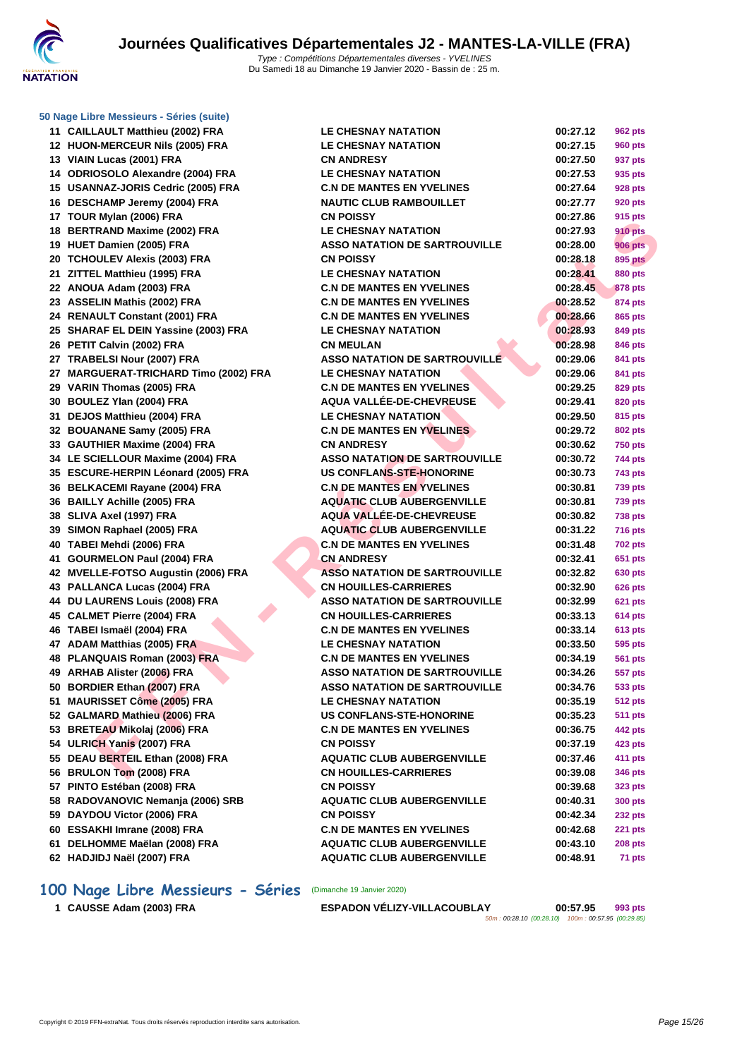

**[50 Nage L](http://www.ffnatation.fr/webffn/index.php)ibre Messieurs - Séries (suite)**

| 12       | CAILLAULT Matthieu (2002) FRA                         |
|----------|-------------------------------------------------------|
|          | <b>HUON-MERCEUR Nils (2005) FRA</b>                   |
|          | 13 VIAIN Lucas (2001) FRA                             |
|          | 14 ODRIOSOLO Alexandre (2004) FRA                     |
|          | 15 USANNAZ-JORIS Cedric (2005) FRA                    |
|          | 16 DESCHAMP Jeremy (2004) FRA                         |
|          | 17 TOUR Mylan (2006) FRA                              |
| 18       | <b>BERTRAND Maxime (2002) FRA</b>                     |
|          | 19 HUET Damien (2005) FRA                             |
|          | 20 TCHOULEV Alexis (2003) FRA                         |
|          | 21 ZITTEL Matthieu (1995) FRA                         |
|          | 22 ANOUA Adam (2003) FRA                              |
|          | 23 ASSELIN Mathis (2002) FRA                          |
|          | 24 RENAULT Constant (2001) FRA                        |
|          | 25 SHARAF EL DEIN Yassine (2003) FRA                  |
|          | 26 PETIT Calvin (2002) FRA                            |
|          | 27 TRABELSI Nour (2007) FRA                           |
|          | 27 MARGUERAT-TRICHARD Timo (2002) FRA                 |
|          | 29 VARIN Thomas (2005) FRA                            |
|          | 30 BOULEZ Ylan (2004) FRA                             |
| 31       | DEJOS Matthieu (2004) FRA                             |
|          | 32 BOUANANE Samy (2005) FRA                           |
|          | 33 GAUTHIER Maxime (2004) FRA                         |
|          | 34 LE SCIELLOUR Maxime (2004) FRA                     |
|          | 35 ESCURE-HERPIN Léonard (2005) FRA                   |
|          | 36 BELKACEMI Rayane (2004) FRA                        |
| 36       | <b>BAILLY Achille (2005) FRA</b>                      |
|          |                                                       |
|          |                                                       |
|          | 38 SLIVA Axel (1997) FRA                              |
| 39       | SIMON Raphael (2005) FRA                              |
| 40       | TABEI Mehdi (2006) FRA                                |
| 41       | <b>GOURMELON Paul (2004) FRA</b>                      |
|          | 42 MVELLE-FOTSO Augustin (2006) FRA                   |
|          | 43 PALLANCA Lucas (2004) FRA                          |
| 44       | DU LAURENS Louis (2008) FRA                           |
|          | 45 CALMET Pierre (2004) FRA                           |
|          | 46 TABEI Ismaël (2004) FRA                            |
|          | 47 ADAM Matthias (2005) FRA                           |
|          | 48 PLANQUAIS Roman (2003) FRA                         |
|          | 49 ARHAB Alister (2006) FRA                           |
| 50       | <b>BORDIER Ethan (2007) FRA</b>                       |
| 51       | <b>MAURISSET Côme (2005) FRA</b>                      |
| 52       | <b>GALMARD Mathieu (2006) FRA</b>                     |
| 53       | <b>BRETEAU Mikolaj (2006) FRA</b>                     |
| 54       | <b>ULRICH Yanis (2007) FRA</b>                        |
| 55       | DEAU BERTEIL Ethan (2008) FRA                         |
| 56       | <b>BRULON Tom (2008) FRA</b>                          |
|          | 57 PINTO Estéban (2008) FRA                           |
| 58       | RADOVANOVIC Nemanja (2006) SRB                        |
| 59       | DAYDOU Victor (2006) FRA                              |
|          | 60 ESSAKHI Imrane (2008) FRA                          |
| 61<br>62 | DELHOMME Maëlan (2008) FRA<br>HADJIDJ Naël (2007) FRA |

| 11 CAILLAULT Matthieu (2002) FRA      | <b>LE CHESNAY NATATION</b>           | 00:27.12 | <b>962 pts</b> |
|---------------------------------------|--------------------------------------|----------|----------------|
| 12 HUON-MERCEUR Nils (2005) FRA       | <b>LE CHESNAY NATATION</b>           | 00:27.15 | 960 pts        |
| 13 VIAIN Lucas (2001) FRA             | <b>CN ANDRESY</b>                    | 00:27.50 | 937 pts        |
| 14 ODRIOSOLO Alexandre (2004) FRA     | <b>LE CHESNAY NATATION</b>           | 00:27.53 | 935 pts        |
| 15 USANNAZ-JORIS Cedric (2005) FRA    | <b>C.N DE MANTES EN YVELINES</b>     | 00:27.64 | 928 pts        |
| 16 DESCHAMP Jeremy (2004) FRA         | <b>NAUTIC CLUB RAMBOUILLET</b>       | 00:27.77 | 920 pts        |
| 17 TOUR Mylan (2006) FRA              | <b>CN POISSY</b>                     | 00:27.86 | 915 pts        |
| 18 BERTRAND Maxime (2002) FRA         | <b>LE CHESNAY NATATION</b>           | 00:27.93 | <b>910 pts</b> |
| 19 HUET Damien (2005) FRA             | <b>ASSO NATATION DE SARTROUVILLE</b> | 00:28.00 | <b>906 pts</b> |
| 20 TCHOULEV Alexis (2003) FRA         | <b>CN POISSY</b>                     | 00:28.18 | <b>895 pts</b> |
| 21 ZITTEL Matthieu (1995) FRA         | <b>LE CHESNAY NATATION</b>           | 00:28.41 | <b>880 pts</b> |
| 22 ANOUA Adam (2003) FRA              | <b>C.N DE MANTES EN YVELINES</b>     | 00:28.45 | <b>878 pts</b> |
| 23 ASSELIN Mathis (2002) FRA          | <b>C.N DE MANTES EN YVELINES</b>     | 00:28.52 | 874 pts        |
| 24 RENAULT Constant (2001) FRA        | <b>C.N DE MANTES EN YVELINES</b>     | 00:28.66 | 865 pts        |
| 25 SHARAF EL DEIN Yassine (2003) FRA  | <b>LE CHESNAY NATATION</b>           | 00:28.93 | 849 pts        |
| 26 PETIT Calvin (2002) FRA            | <b>CN MEULAN</b>                     | 00:28.98 | 846 pts        |
| 27 TRABELSI Nour (2007) FRA           | <b>ASSO NATATION DE SARTROUVILLE</b> | 00:29.06 | 841 pts        |
| 27 MARGUERAT-TRICHARD Timo (2002) FRA | <b>LE CHESNAY NATATION</b>           | 00:29.06 | 841 pts        |
| 29 VARIN Thomas (2005) FRA            | <b>C.N DE MANTES EN YVELINES</b>     | 00:29.25 | 829 pts        |
| 30 BOULEZ Ylan (2004) FRA             | AQUA VALLÉE-DE-CHEVREUSE             | 00:29.41 | <b>820 pts</b> |
| 31 DEJOS Matthieu (2004) FRA          | <b>LE CHESNAY NATATION</b>           | 00:29.50 | 815 pts        |
| 32 BOUANANE Samy (2005) FRA           | <b>C.N DE MANTES EN YVELINES</b>     | 00:29.72 | 802 pts        |
| 33 GAUTHIER Maxime (2004) FRA         | <b>CN ANDRESY</b>                    | 00:30.62 | <b>750 pts</b> |
| 34 LE SCIELLOUR Maxime (2004) FRA     | <b>ASSO NATATION DE SARTROUVILLE</b> | 00:30.72 | 744 pts        |
| 35 ESCURE-HERPIN Léonard (2005) FRA   | US CONFLANS-STE-HONORINE             | 00:30.73 | 743 pts        |
| 36 BELKACEMI Rayane (2004) FRA        | <b>C.N DE MANTES EN YVELINES</b>     | 00:30.81 | <b>739 pts</b> |
| 36 BAILLY Achille (2005) FRA          | <b>AQUATIC CLUB AUBERGENVILLE</b>    | 00:30.81 | <b>739 pts</b> |
| 38 SLIVA Axel (1997) FRA              | <b>AQUA VALLEE-DE-CHEVREUSE</b>      | 00:30.82 | <b>738 pts</b> |
| 39 SIMON Raphael (2005) FRA           | <b>AQUATIC CLUB AUBERGENVILLE</b>    | 00:31.22 | <b>716 pts</b> |
| 40 TABEI Mehdi (2006) FRA             | <b>C.N DE MANTES EN YVELINES</b>     | 00:31.48 | <b>702 pts</b> |
| 41 GOURMELON Paul (2004) FRA          | <b>CN ANDRESY</b>                    | 00:32.41 | 651 pts        |
| 42 MVELLE-FOTSO Augustin (2006) FRA   | <b>ASSO NATATION DE SARTROUVILLE</b> | 00:32.82 | 630 pts        |
| 43 PALLANCA Lucas (2004) FRA          | <b>CN HOUILLES-CARRIERES</b>         | 00:32.90 | <b>626 pts</b> |
| 44 DU LAURENS Louis (2008) FRA        | <b>ASSO NATATION DE SARTROUVILLE</b> | 00:32.99 | <b>621 pts</b> |
| 45 CALMET Pierre (2004) FRA           | <b>CN HOUILLES-CARRIERES</b>         | 00:33.13 | <b>614 pts</b> |
| 46 TABEI Ismaël (2004) FRA            | <b>C.N DE MANTES EN YVELINES</b>     | 00:33.14 | <b>613 pts</b> |
| 47 ADAM Matthias (2005) FRA           | <b>LE CHESNAY NATATION</b>           | 00:33.50 | 595 pts        |
| 48 PLANQUAIS Roman (2003) FRA         | <b>C.N DE MANTES EN YVELINES</b>     | 00:34.19 | <b>561 pts</b> |
| 49 ARHAB Alister (2006) FRA           | <b>ASSO NATATION DE SARTROUVILLE</b> | 00:34.26 | 557 pts        |
| 50 BORDIER Ethan (2007) FRA           | <b>ASSO NATATION DE SARTROUVILLE</b> | 00:34.76 | <b>533 pts</b> |
| 51 MAURISSET Côme (2005) FRA          | <b>LE CHESNAY NATATION</b>           | 00:35.19 | <b>512 pts</b> |
| 52 GALMARD Mathieu (2006) FRA         | US CONFLANS-STE-HONORINE             | 00:35.23 | <b>511 pts</b> |
| 53   BRETEAU Mikolaj (2006) FRA       | <b>C.N DE MANTES EN YVELINES</b>     | 00:36.75 | 442 pts        |
| 54 ULRICH Yanis (2007) FRA            | <b>CN POISSY</b>                     | 00:37.19 | 423 pts        |
| 55 DEAU BERTEIL Ethan (2008) FRA      | <b>AQUATIC CLUB AUBERGENVILLE</b>    | 00:37.46 | 411 pts        |
| 56 BRULON Tom (2008) FRA              | <b>CN HOUILLES-CARRIERES</b>         | 00:39.08 | 346 pts        |
| 57 PINTO Estéban (2008) FRA           | <b>CN POISSY</b>                     | 00:39.68 | 323 pts        |
| 58 RADOVANOVIC Nemanja (2006) SRB     | <b>AQUATIC CLUB AUBERGENVILLE</b>    | 00:40.31 | <b>300 pts</b> |
| 59 DAYDOU Victor (2006) FRA           | <b>CN POISSY</b>                     | 00:42.34 | <b>232 pts</b> |
| 60 ESSAKHI Imrane (2008) FRA          | <b>C.N DE MANTES EN YVELINES</b>     | 00:42.68 | <b>221 pts</b> |
| 61 DELHOMME Maëlan (2008) FRA         | <b>AQUATIC CLUB AUBERGENVILLE</b>    | 00:43.10 | <b>208 pts</b> |
| 62 HADJIDJ Naël (2007) FRA            | <b>AQUATIC CLUB AUBERGENVILLE</b>    | 00:48.91 | 71 pts         |
|                                       |                                      |          |                |

### **100 Nage Libre Messieurs - Séries** (Dimanche 19 Janvier 2020)

**CAUSSE Adam (2003) FRA ESPADON VÉLIZY-VILLACOUBLAY 00:57.95 993 pts**

50m : 00:28.10 (00:28.10) 100m : 00:57.95 (00:29.85)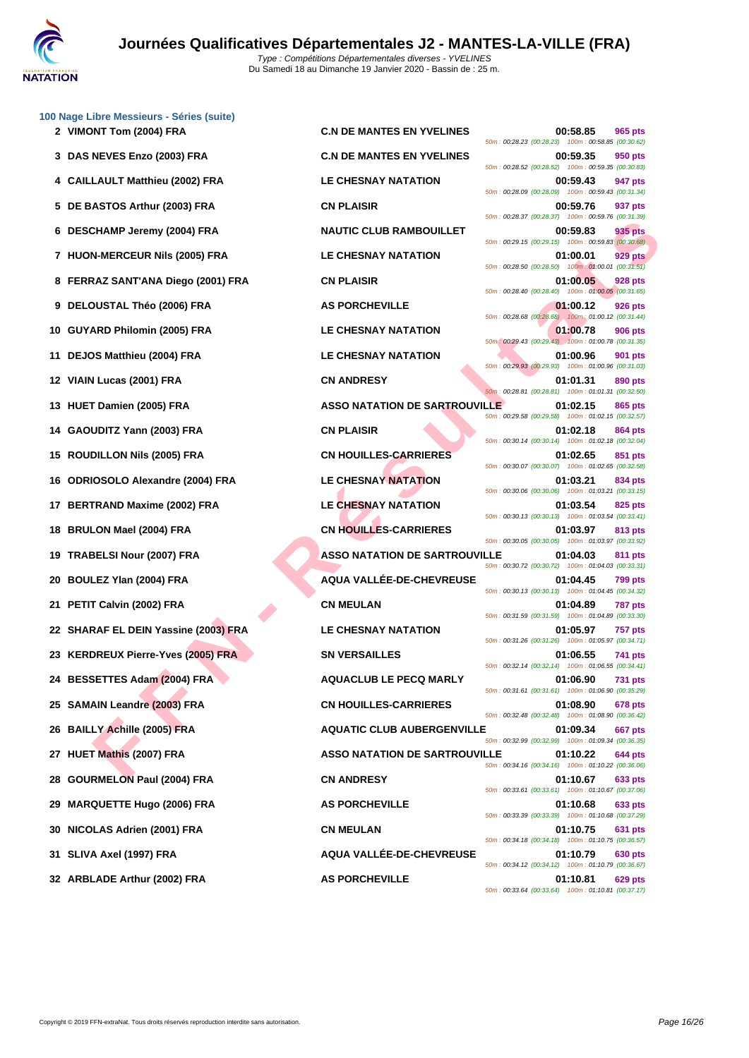

| 100 Nage Libre Messieurs - Séries (suite)<br>2 VIMONT Tom (2004) FRA | <b>C.N DE MANTES EN YVELINES</b>     | 00:58.85<br>965 pts                                                                                                             |
|----------------------------------------------------------------------|--------------------------------------|---------------------------------------------------------------------------------------------------------------------------------|
| 3 DAS NEVES Enzo (2003) FRA                                          | <b>C.N DE MANTES EN YVELINES</b>     | 50m: 00:28.23 (00:28.23) 100m: 00:58.85 (00:30.62)<br>00:59.35<br>950 pts                                                       |
| 4 CAILLAULT Matthieu (2002) FRA                                      | <b>LE CHESNAY NATATION</b>           | 50m: 00:28.52 (00:28.52) 100m: 00:59.35 (00:30.83)<br>00:59.43<br>947 pts<br>50m: 00:28.09 (00:28.09) 100m: 00:59.43 (00:31.34) |
| DE BASTOS Arthur (2003) FRA<br>5                                     | <b>CN PLAISIR</b>                    | 00:59.76<br>937 pts<br>50m: 00:28.37 (00:28.37) 100m: 00:59.76 (00:31.39)                                                       |
| 6 DESCHAMP Jeremy (2004) FRA                                         | <b>NAUTIC CLUB RAMBOUILLET</b>       | 935 pts<br>00:59.83<br>50m: 00:29.15 (00:29.15) 100m: 00:59.83 (00:30.68)                                                       |
| 7 HUON-MERCEUR Nils (2005) FRA                                       | <b>LE CHESNAY NATATION</b>           | 01:00.01<br>929 pts<br>50m: 00:28.50 (00:28.50) 100m: 01:00.01 (00:31.51)                                                       |
| 8 FERRAZ SANT'ANA Diego (2001) FRA                                   | <b>CN PLAISIR</b>                    | 01:00.05<br>928 pts<br>50m: 00:28.40 (00:28.40) 100m: 01:00.05 (00:31.65)                                                       |
| 9 DELOUSTAL Théo (2006) FRA                                          | <b>AS PORCHEVILLE</b>                | 01:00.12<br><b>926 pts</b><br>50m: 00:28.68 (00:28.68) 100m: 01:00.12 (00:31.44)                                                |
| 10 GUYARD Philomin (2005) FRA                                        | <b>LE CHESNAY NATATION</b>           | 01:00.78<br>906 pts<br>50m: 00:29.43 (00:29.43) 100m: 01:00.78 (00:31.35)                                                       |
| <b>DEJOS Matthieu (2004) FRA</b><br>11                               | <b>LE CHESNAY NATATION</b>           | 01:00.96<br>901 pts<br>50m: 00:29.93 (00:29.93) 100m: 01:00.96 (00:31.03)                                                       |
| VIAIN Lucas (2001) FRA<br>12                                         | <b>CN ANDRESY</b>                    | 01:01.31<br>890 pts<br>50m: 00:28.81 (00:28.81) 100m: 01:01.31 (00:32.50)                                                       |
| 13 HUET Damien (2005) FRA                                            | <b>ASSO NATATION DE SARTROUVILLE</b> | 01:02.15<br>865 pts<br>50m: 00:29.58 (00:29.58) 100m: 01:02.15 (00:32.57)                                                       |
| GAOUDITZ Yann (2003) FRA<br>14                                       | <b>CN PLAISIR</b>                    | 01:02.18<br>864 pts<br>50m: 00:30.14 (00:30.14) 100m: 01:02.18 (00:32.04)                                                       |
| <b>ROUDILLON Nils (2005) FRA</b><br>15.                              | <b>CN HOUILLES-CARRIERES</b>         | 01:02.65<br>851 pts<br>50m: 00:30.07 (00:30.07) 100m: 01:02.65 (00:32.58)                                                       |
| <b>ODRIOSOLO Alexandre (2004) FRA</b><br>16                          | <b>LE CHESNAY NATATION</b>           | 01:03.21<br>834 pts<br>50m: 00:30.06 (00:30.06) 100m: 01:03.21 (00:33.15)                                                       |
| BERTRAND Maxime (2002) FRA<br>17                                     | LE CHESNAY NATATION                  | 01:03.54<br>825 pts<br>50m: 00:30.13 (00:30.13) 100m: 01:03.54 (00:33.41)                                                       |
| <b>BRULON Mael (2004) FRA</b><br>18                                  | <b>CN HOUILLES-CARRIERES</b>         | 01:03.97<br>813 pts<br>50m: 00:30.05 (00:30.05) 100m: 01:03.97 (00:33.92)                                                       |
| <b>TRABELSI Nour (2007) FRA</b><br>19                                | <b>ASSO NATATION DE SARTROUVILLE</b> | 01:04.03<br>811 pts<br>50m: 00:30.72 (00:30.72) 100m: 01:04.03 (00:33.31)                                                       |
| <b>BOULEZ Ylan (2004) FRA</b><br>20                                  | AQUA VALLÉE-DE-CHEVREUSE             | 01:04.45<br><b>799 pts</b><br>50m: 00:30.13 (00:30.13) 100m: 01:04.45 (00:34.32)                                                |
| PETIT Calvin (2002) FRA<br>21                                        | <b>CN MEULAN</b>                     | 01:04.89<br><b>787 pts</b><br>50m: 00:31.59 (00:31.59) 100m: 01:04.89 (00:33.30)                                                |
| 22 SHARAF EL DEIN Yassine (2003) FRA                                 | LE CHESNAY NATATION                  | 01:05.97<br><b>757 pts</b><br>50m: 00:31.26 (00:31.26) 100m: 01:05.97 (00:34.71)                                                |
| 23 KERDREUX Pierre-Yves (2005) FRA                                   | <b>SN VERSAILLES</b>                 | 01:06.55<br>741 pts<br>50m: 00:32.14 (00:32.14) 100m: 01:06.55 (00:34.41)                                                       |
| 24 BESSETTES Adam (2004) FRA                                         | <b>AQUACLUB LE PECQ MARLY</b>        | 01:06.90<br><b>731 pts</b><br>50m: 00:31.61 (00:31.61) 100m: 01:06.90 (00:35.29)                                                |
| 25 SAMAIN Leandre (2003) FRA                                         | <b>CN HOUILLES-CARRIERES</b>         | 01:08.90<br>678 pts<br>50m: 00:32.48 (00:32.48) 100m: 01:08.90 (00:36.42)                                                       |
| 26 BAILLY Achille (2005) FRA                                         | <b>AQUATIC CLUB AUBERGENVILLE</b>    | 01:09.34<br>667 pts<br>50m: 00:32.99 (00:32.99) 100m: 01:09.34 (00:36.35)                                                       |
| HUET Mathis (2007) FRA<br>27                                         | <b>ASSO NATATION DE SARTROUVILLE</b> | 01:10.22<br>644 pts<br>50m: 00:34.16 (00:34.16) 100m: 01:10.22 (00:36.06)                                                       |
| <b>GOURMELON Paul (2004) FRA</b><br>28                               | <b>CN ANDRESY</b>                    | 01:10.67<br>633 pts<br>50m: 00:33.61 (00:33.61) 100m: 01:10.67 (00:37.06)                                                       |
| <b>MARQUETTE Hugo (2006) FRA</b><br>29                               | <b>AS PORCHEVILLE</b>                | 01:10.68<br>633 pts<br>50m: 00:33.39 (00:33.39) 100m: 01:10.68 (00:37.29)                                                       |
| NICOLAS Adrien (2001) FRA<br>30                                      | <b>CN MEULAN</b>                     | 01:10.75<br>631 pts<br>50m: 00:34.18 (00:34.18) 100m: 01:10.75 (00:36.57)                                                       |
| SLIVA Axel (1997) FRA<br>31                                          | <b>AQUA VALLEE-DE-CHEVREUSE</b>      | 01:10.79<br>630 pts<br>50m: 00:34.12 (00:34.12) 100m: 01:10.79 (00:36.67)                                                       |
| 32 ARBLADE Arthur (2002) FRA                                         | <b>AS PORCHEVILLE</b>                | 01:10.81<br>629 pts<br>50m: 00:33.64 (00:33.64) 100m: 01:10.81 (00:37.17)                                                       |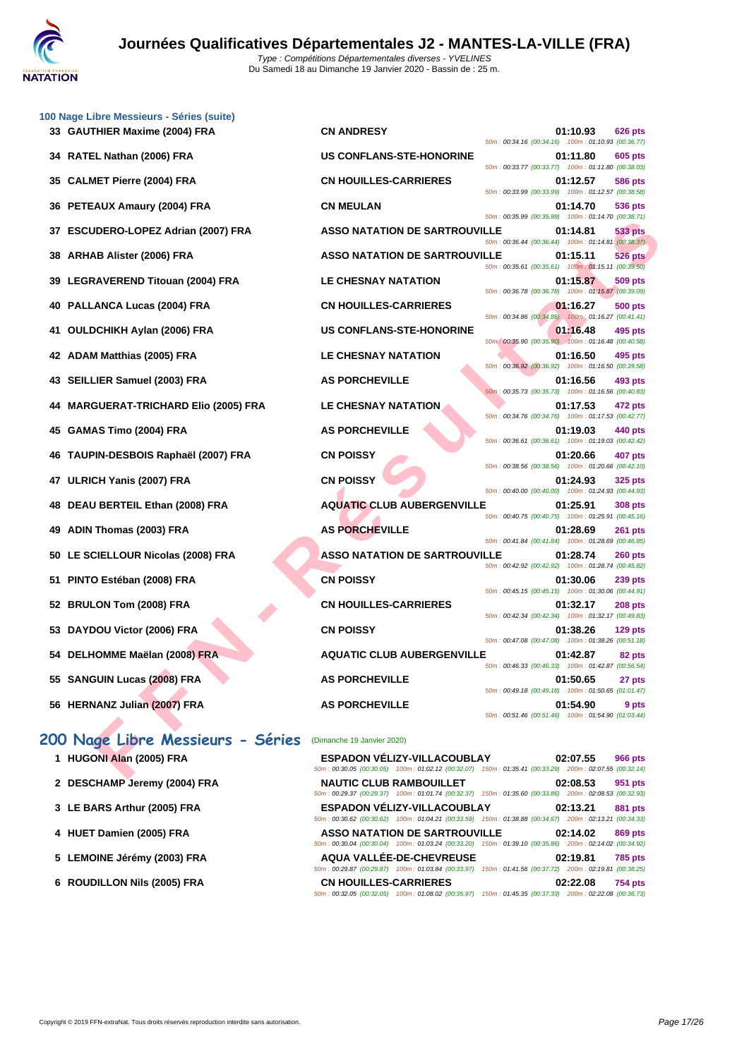

|    | 100 Nage Libre Messieurs - Séries (suite) |                                      |                                                                                                                                   |
|----|-------------------------------------------|--------------------------------------|-----------------------------------------------------------------------------------------------------------------------------------|
|    | 33 GAUTHIER Maxime (2004) FRA             | <b>CN ANDRESY</b>                    | 01:10.93<br><b>626 pts</b><br>50m: 00:34.16 (00:34.16) 100m: 01:10.93 (00:36.77)                                                  |
|    | 34 RATEL Nathan (2006) FRA                | <b>US CONFLANS-STE-HONORINE</b>      | 01:11.80<br>605 pts<br>50m: 00:33.77 (00:33.77) 100m: 01:11.80 (00:38.03)                                                         |
| 35 | <b>CALMET Pierre (2004) FRA</b>           | <b>CN HOUILLES-CARRIERES</b>         | 01:12.57<br><b>586 pts</b><br>50m: 00:33.99 (00:33.99) 100m: 01:12.57 (00:38.58)                                                  |
|    | 36 PETEAUX Amaury (2004) FRA              | <b>CN MEULAN</b>                     | 01:14.70<br>536 pts                                                                                                               |
| 37 | <b>ESCUDERO-LOPEZ Adrian (2007) FRA</b>   | <b>ASSO NATATION DE SARTROUVILLE</b> | 50m: 00:35.99 (00:35.99) 100m: 01:14.70 (00:38.71)<br>01:14.81<br>533 pts                                                         |
| 38 | <b>ARHAB Alister (2006) FRA</b>           | <b>ASSO NATATION DE SARTROUVILLE</b> | 50m: 00:36.44 (00:36.44) 100m: 01:14.81 (00:38.37)<br>01:15.11<br>526 pts                                                         |
|    | 39 LEGRAVEREND Titouan (2004) FRA         | <b>LE CHESNAY NATATION</b>           | 50m: 00:35.61 (00:35.61) 100m: 01:15.11 (00:39.50)<br>01:15.87<br>509 pts                                                         |
|    | 40 PALLANCA Lucas (2004) FRA              | <b>CN HOUILLES-CARRIERES</b>         | 50m: 00:36.78 (00:36.78) 100m: 01:15.87 (00:39.09)<br>01:16.27<br>500 pts                                                         |
| 41 | <b>OULDCHIKH Aylan (2006) FRA</b>         | <b>US CONFLANS-STE-HONORINE</b>      | 50m: 00:34.86 (00:34.86) 100m: 01:16.27 (00:41.41)<br>01:16.48<br>495 pts                                                         |
|    | 42 ADAM Matthias (2005) FRA               | LE CHESNAY NATATION                  | 50m: 00:35.90 (00:35.90) 100m: 01:16.48 (00:40.58)<br>01:16.50<br>495 pts                                                         |
|    | 43 SEILLIER Samuel (2003) FRA             | <b>AS PORCHEVILLE</b>                | 50m: 00:36.92 (00:36.92) 100m: 01:16.50 (00:39.58)<br>01:16.56<br>493 pts                                                         |
|    | 44 MARGUERAT-TRICHARD Elio (2005) FRA     | <b>LE CHESNAY NATATION</b>           | 50m: 00:35.73 (00:35.73) 100m: 01:16.56 (00:40.83)<br>01:17.53<br>472 pts                                                         |
| 45 | GAMAS Timo (2004) FRA                     | <b>AS PORCHEVILLE</b>                | 50m: 00:34.76 (00:34.76) 100m: 01:17.53 (00:42.77)<br>01:19.03<br>440 pts                                                         |
|    | 46 TAUPIN-DESBOIS Raphaël (2007) FRA      | <b>CN POISSY</b>                     | 50m: 00:36.61 (00:36.61) 100m: 01:19.03 (00:42.42)<br>01:20.66<br>407 pts                                                         |
| 47 | ULRICH Yanis (2007) FRA                   | <b>CN POISSY</b>                     | 50m: 00:38.56 (00:38.56) 100m: 01:20.66 (00:42.10)<br>01:24.93<br><b>325 pts</b>                                                  |
| 48 | DEAU BERTEIL Ethan (2008) FRA             | <b>AQUATIC CLUB AUBERGENVILLE</b>    | 50m: 00:40.00 (00:40.00) 100m: 01:24.93 (00:44.93)<br>01:25.91<br>308 pts                                                         |
| 49 | ADIN Thomas (2003) FRA                    | <b>AS PORCHEVILLE</b>                | 50m: 00:40.75 (00:40.75) 100m: 01:25.91 (00:45.16)<br>01:28.69                                                                    |
|    |                                           |                                      | 261 pts<br>50m: 00:41.84 (00:41.84) 100m: 01:28.69 (00:46.85)                                                                     |
| 50 | LE SCIELLOUR Nicolas (2008) FRA           | <b>ASSO NATATION DE SARTROUVILLE</b> | 01:28.74<br>260 pts<br>50m: 00:42.92 (00:42.92) 100m: 01:28.74 (00:45.82)                                                         |
| 51 | PINTO Estéban (2008) FRA                  | <b>CN POISSY</b>                     | 01:30.06<br><b>239 pts</b><br>50m: 00:45.15 (00:45.15) 100m: 01:30.06 (00:44.91)                                                  |
| 52 | <b>BRULON Tom (2008) FRA</b>              | <b>CN HOUILLES-CARRIERES</b>         | 01:32.17<br><b>208 pts</b><br>50m: 00:42.34 (00:42.34) 100m: 01:32.17 (00:49.83)                                                  |
| 53 | DAYDOU Victor (2006) FRA                  | <b>CN POISSY</b>                     | 01:38.26<br>$129$ pts<br>50m: 00:47.08 (00:47.08) 100m: 01:38.26 (00:51.18)                                                       |
|    | 54 DELHOMME Maëlan (2008) FRA             | <b>AQUATIC CLUB AUBERGENVILLE</b>    | 01:42.87<br>82 pts                                                                                                                |
|    | 55 SANGUIN Lucas (2008) FRA               | <b>AS PORCHEVILLE</b>                | 50m: 00:46.33 (00:46.33) 100m: 01:42.87 (00:56.54)<br>01:50.65<br>27 pts                                                          |
|    | 56 HERNANZ Julian (2007) FRA              | <b>AS PORCHEVILLE</b>                | 50m: 00:49.18 (00:49.18) 100m: 01:50.65 (01:01.47)<br>01:54.90<br>9 pts                                                           |
|    |                                           |                                      | 50m: 00:51.46 (00:51.46) 100m: 01:54.90 (01:03.44)                                                                                |
|    | 200 Nage Libre Messieurs - Séries         | (Dimanche 19 Janvier 2020)           |                                                                                                                                   |
|    | 1 HUGONI Alan (2005) FRA                  | <b>ESPADON VELIZY-VILLACOUBLAY</b>   | 02:07.55<br>966 pts<br>50m : 00:30.05 (00:30.05) 100m : 01:02.12 (00:32.07) 150m : 01:35.41 (00:33.29) 200m : 02:07.55 (00:32.14) |
|    |                                           |                                      |                                                                                                                                   |

### **200 Nage Libre Messieurs - Séries** (Dimanche 19 Janvier 2020)

| 1 HUGONI Alan (2005) FRA     | <b>ESPADON VELIZY-VILLACOUBLAY</b>                                                                     | 02:07.55 | <b>966 pts</b> |
|------------------------------|--------------------------------------------------------------------------------------------------------|----------|----------------|
|                              | 50m: 00:30.05 (00:30.05) 100m: 01:02.12 (00:32.07) 150m: 01:35.41 (00:33.29) 200m: 02:07.55 (00:32.14  |          |                |
| 2 DESCHAMP Jeremy (2004) FRA | <b>NAUTIC CLUB RAMBOUILLET</b>                                                                         | 02:08.53 | 951 pts        |
|                              | 50m: 00:29.37 (00:29.37) 100m: 01:01.74 (00:32.37) 150m: 01:35.60 (00:33.86) 200m: 02:08.53 (00:32.93) |          |                |
| 3 LE BARS Arthur (2005) FRA  | ESPADON VÉLIZY-VILLACOUBLAY                                                                            | 02:13.21 | 881 pts        |
|                              | 50m: 00:30.62 (00:30.62) 100m: 01:04.21 (00:33.59) 150m: 01:38.88 (00:34.67) 200m: 02:13.21 (00:34.33  |          |                |
| 4 HUET Damien (2005) FRA     | <b>ASSO NATATION DE SARTROUVILLE</b>                                                                   | 02:14.02 | <b>869 pts</b> |
|                              | 50m: 00:30.04 (00:30.04) 100m: 01:03.24 (00:33.20) 150m: 01:39.10 (00:35.86) 200m: 02:14.02 (00:34.92) |          |                |
| 5 LEMOINE Jérémy (2003) FRA  | AQUA VALLÉE-DE-CHEVREUSE                                                                               | 02:19.81 | <b>785 pts</b> |
|                              | 50m: 00:29.87 (00:29.87) 100m: 01:03.84 (00:33.97) 150m: 01:41.56 (00:37.72) 200m: 02:19.81 (00:38.25) |          |                |
| 6 ROUDILLON Nils (2005) FRA  | <b>CN HOUILLES-CARRIERES</b>                                                                           | 02:22.08 | <b>754 pts</b> |
|                              | 50m: 00:32.05 (00:32.05) 100m: 01:08.02 (00:35.97) 150m: 01:45.35 (00:37.33) 200m: 02:22.08 (00:36.73  |          |                |
|                              |                                                                                                        |          |                |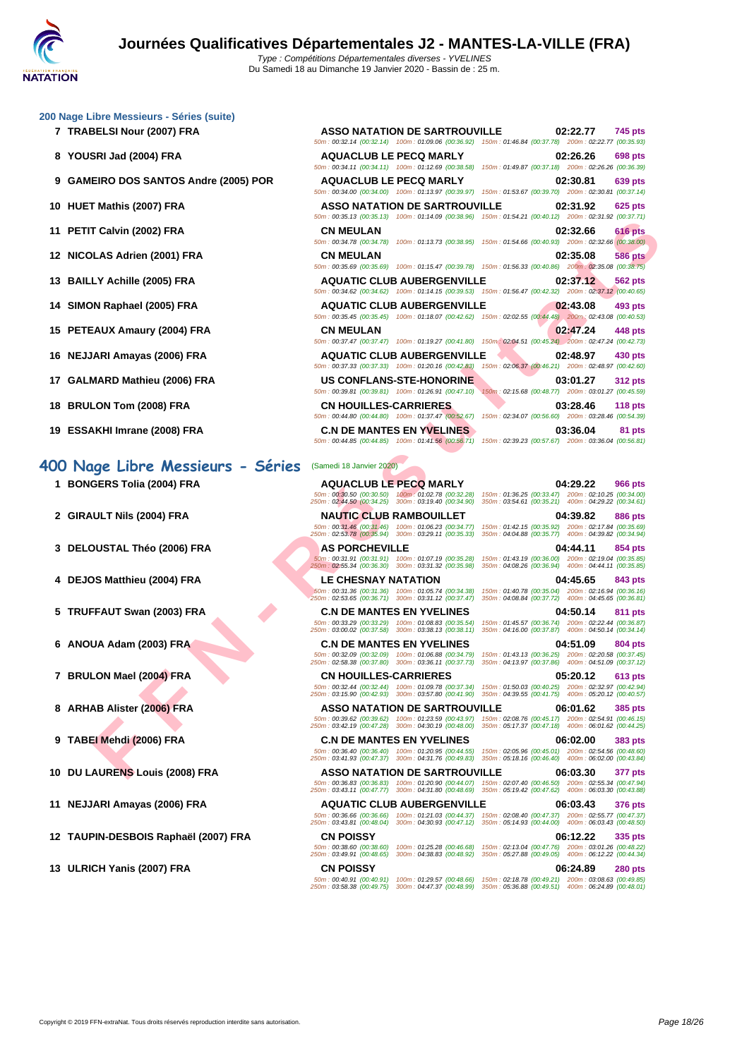#### **[200 Nage](http://www.ffnatation.fr/webffn/index.php) Libre Messieurs - Séries (suite)**

- **7 TRABELSI Nour (2007) FRA**
- **8 YOUSRI Jad (2004) FRA**
- **9 GAMEIRO DOS SANTOS Andre (2005) POR**
- **10 HUET Mathis (2007) FRA**
- **11 PETIT Calvin (2002) FRA**
- **12 NICOLAS Adrien (2001) FRA**
- **13 BAILLY Achille (2005) FRA**
- **14 SIMON Raphael (2005) FRA**
- **15 PETEAUX Amaury (2004) FRA**
- **16 NEJJARI Amayas (2006) FRA**
- **17 GALMARD Mathieu (2006) FRA**
- **18 BRULON Tom (2008) FRA**
- **19 ESSAKHI Imrane (2008) FRA C.N DE MANTES EN YVELINES 03:36.04 81 pts**

### **400 Nage Libre Messieurs - Séries** (Samedi 18 Janvier 2020)

- 
- 
- 
- 
- 
- 
- 
- 
- 
- 
- 
- 

|                                  |                                                                                                             | 745 pts                                                                                                                                                                                                                                                                                                                                                                                                                                                                                                                                                                                                                                                                                                                                                                                                                                                                                                                                                                                                                                                                                                                                                                                                                                                                                                                                                                                                                                                                                                                                                                                                                                                                                                                                               |
|----------------------------------|-------------------------------------------------------------------------------------------------------------|-------------------------------------------------------------------------------------------------------------------------------------------------------------------------------------------------------------------------------------------------------------------------------------------------------------------------------------------------------------------------------------------------------------------------------------------------------------------------------------------------------------------------------------------------------------------------------------------------------------------------------------------------------------------------------------------------------------------------------------------------------------------------------------------------------------------------------------------------------------------------------------------------------------------------------------------------------------------------------------------------------------------------------------------------------------------------------------------------------------------------------------------------------------------------------------------------------------------------------------------------------------------------------------------------------------------------------------------------------------------------------------------------------------------------------------------------------------------------------------------------------------------------------------------------------------------------------------------------------------------------------------------------------------------------------------------------------------------------------------------------------|
|                                  |                                                                                                             |                                                                                                                                                                                                                                                                                                                                                                                                                                                                                                                                                                                                                                                                                                                                                                                                                                                                                                                                                                                                                                                                                                                                                                                                                                                                                                                                                                                                                                                                                                                                                                                                                                                                                                                                                       |
| <b>AQUACLUB LE PECQ MARLY</b>    |                                                                                                             |                                                                                                                                                                                                                                                                                                                                                                                                                                                                                                                                                                                                                                                                                                                                                                                                                                                                                                                                                                                                                                                                                                                                                                                                                                                                                                                                                                                                                                                                                                                                                                                                                                                                                                                                                       |
|                                  |                                                                                                             |                                                                                                                                                                                                                                                                                                                                                                                                                                                                                                                                                                                                                                                                                                                                                                                                                                                                                                                                                                                                                                                                                                                                                                                                                                                                                                                                                                                                                                                                                                                                                                                                                                                                                                                                                       |
| <b>AQUACLUB LE PECQ MARLY</b>    |                                                                                                             |                                                                                                                                                                                                                                                                                                                                                                                                                                                                                                                                                                                                                                                                                                                                                                                                                                                                                                                                                                                                                                                                                                                                                                                                                                                                                                                                                                                                                                                                                                                                                                                                                                                                                                                                                       |
|                                  |                                                                                                             |                                                                                                                                                                                                                                                                                                                                                                                                                                                                                                                                                                                                                                                                                                                                                                                                                                                                                                                                                                                                                                                                                                                                                                                                                                                                                                                                                                                                                                                                                                                                                                                                                                                                                                                                                       |
|                                  |                                                                                                             |                                                                                                                                                                                                                                                                                                                                                                                                                                                                                                                                                                                                                                                                                                                                                                                                                                                                                                                                                                                                                                                                                                                                                                                                                                                                                                                                                                                                                                                                                                                                                                                                                                                                                                                                                       |
|                                  |                                                                                                             |                                                                                                                                                                                                                                                                                                                                                                                                                                                                                                                                                                                                                                                                                                                                                                                                                                                                                                                                                                                                                                                                                                                                                                                                                                                                                                                                                                                                                                                                                                                                                                                                                                                                                                                                                       |
|                                  |                                                                                                             |                                                                                                                                                                                                                                                                                                                                                                                                                                                                                                                                                                                                                                                                                                                                                                                                                                                                                                                                                                                                                                                                                                                                                                                                                                                                                                                                                                                                                                                                                                                                                                                                                                                                                                                                                       |
|                                  |                                                                                                             |                                                                                                                                                                                                                                                                                                                                                                                                                                                                                                                                                                                                                                                                                                                                                                                                                                                                                                                                                                                                                                                                                                                                                                                                                                                                                                                                                                                                                                                                                                                                                                                                                                                                                                                                                       |
|                                  |                                                                                                             |                                                                                                                                                                                                                                                                                                                                                                                                                                                                                                                                                                                                                                                                                                                                                                                                                                                                                                                                                                                                                                                                                                                                                                                                                                                                                                                                                                                                                                                                                                                                                                                                                                                                                                                                                       |
|                                  |                                                                                                             |                                                                                                                                                                                                                                                                                                                                                                                                                                                                                                                                                                                                                                                                                                                                                                                                                                                                                                                                                                                                                                                                                                                                                                                                                                                                                                                                                                                                                                                                                                                                                                                                                                                                                                                                                       |
|                                  |                                                                                                             |                                                                                                                                                                                                                                                                                                                                                                                                                                                                                                                                                                                                                                                                                                                                                                                                                                                                                                                                                                                                                                                                                                                                                                                                                                                                                                                                                                                                                                                                                                                                                                                                                                                                                                                                                       |
|                                  |                                                                                                             |                                                                                                                                                                                                                                                                                                                                                                                                                                                                                                                                                                                                                                                                                                                                                                                                                                                                                                                                                                                                                                                                                                                                                                                                                                                                                                                                                                                                                                                                                                                                                                                                                                                                                                                                                       |
|                                  |                                                                                                             |                                                                                                                                                                                                                                                                                                                                                                                                                                                                                                                                                                                                                                                                                                                                                                                                                                                                                                                                                                                                                                                                                                                                                                                                                                                                                                                                                                                                                                                                                                                                                                                                                                                                                                                                                       |
|                                  |                                                                                                             |                                                                                                                                                                                                                                                                                                                                                                                                                                                                                                                                                                                                                                                                                                                                                                                                                                                                                                                                                                                                                                                                                                                                                                                                                                                                                                                                                                                                                                                                                                                                                                                                                                                                                                                                                       |
|                                  |                                                                                                             |                                                                                                                                                                                                                                                                                                                                                                                                                                                                                                                                                                                                                                                                                                                                                                                                                                                                                                                                                                                                                                                                                                                                                                                                                                                                                                                                                                                                                                                                                                                                                                                                                                                                                                                                                       |
|                                  |                                                                                                             |                                                                                                                                                                                                                                                                                                                                                                                                                                                                                                                                                                                                                                                                                                                                                                                                                                                                                                                                                                                                                                                                                                                                                                                                                                                                                                                                                                                                                                                                                                                                                                                                                                                                                                                                                       |
|                                  |                                                                                                             |                                                                                                                                                                                                                                                                                                                                                                                                                                                                                                                                                                                                                                                                                                                                                                                                                                                                                                                                                                                                                                                                                                                                                                                                                                                                                                                                                                                                                                                                                                                                                                                                                                                                                                                                                       |
|                                  |                                                                                                             |                                                                                                                                                                                                                                                                                                                                                                                                                                                                                                                                                                                                                                                                                                                                                                                                                                                                                                                                                                                                                                                                                                                                                                                                                                                                                                                                                                                                                                                                                                                                                                                                                                                                                                                                                       |
| US CONFLANS-STE-HONORINE         |                                                                                                             |                                                                                                                                                                                                                                                                                                                                                                                                                                                                                                                                                                                                                                                                                                                                                                                                                                                                                                                                                                                                                                                                                                                                                                                                                                                                                                                                                                                                                                                                                                                                                                                                                                                                                                                                                       |
|                                  |                                                                                                             |                                                                                                                                                                                                                                                                                                                                                                                                                                                                                                                                                                                                                                                                                                                                                                                                                                                                                                                                                                                                                                                                                                                                                                                                                                                                                                                                                                                                                                                                                                                                                                                                                                                                                                                                                       |
| <b>CN HOUILLES-CARRIERES</b>     |                                                                                                             |                                                                                                                                                                                                                                                                                                                                                                                                                                                                                                                                                                                                                                                                                                                                                                                                                                                                                                                                                                                                                                                                                                                                                                                                                                                                                                                                                                                                                                                                                                                                                                                                                                                                                                                                                       |
|                                  |                                                                                                             |                                                                                                                                                                                                                                                                                                                                                                                                                                                                                                                                                                                                                                                                                                                                                                                                                                                                                                                                                                                                                                                                                                                                                                                                                                                                                                                                                                                                                                                                                                                                                                                                                                                                                                                                                       |
| <b>C.N DE MANTES EN YVELINES</b> |                                                                                                             |                                                                                                                                                                                                                                                                                                                                                                                                                                                                                                                                                                                                                                                                                                                                                                                                                                                                                                                                                                                                                                                                                                                                                                                                                                                                                                                                                                                                                                                                                                                                                                                                                                                                                                                                                       |
|                                  |                                                                                                             |                                                                                                                                                                                                                                                                                                                                                                                                                                                                                                                                                                                                                                                                                                                                                                                                                                                                                                                                                                                                                                                                                                                                                                                                                                                                                                                                                                                                                                                                                                                                                                                                                                                                                                                                                       |
|                                  | <b>AQUATIC CLUB AUBERGENVILLE</b><br><b>AQUATIC CLUB AUBERGENVILLE</b><br><b>AQUATIC CLUB AUBERGENVILLE</b> | ASSO NATATION DE SARTROUVILLE 02:22.77<br>50m: 00:32.14 (00:32.14) 100m: 01:09.06 (00:36.92) 150m: 01:46.84 (00:37.78) 200m: 02:22.77 (00:35.93)<br>02:26.26 698 pts<br>50m: 00:34.11 (00:34.11) 100m: 01:12.69 (00:38.58) 150m: 01:49.87 (00:37.18) 200m: 02:26.26 (00:36.39)<br>02:30.81 639 pts<br>50m: 00:34.00 (00:34.00) 100m: 01:13.97 (00:39.97) 150m: 01:53.67 (00:39.70) 200m: 02:30.81 (00:37.14)<br>ASSO NATATION DE SARTROUVILLE 02:31.92 625 pts<br>50m: 00:35.13 (00:35.13) 100m: 01:14.09 (00:38.96) 150m: 01:54.21 (00:40.12) 200m: 02:31.92 (00:37.71)<br>02:32.66 616 pts<br>50m: 00:34.78 (00:34.78) 100m: 01:13.73 (00:38.95) 150m: 01:54.66 (00:40.93) 200m: 02:32.66 (00:38.00)<br>02:35.08 586 pts<br>50m: 00:35.69 (00:35.69) 100m: 01:15.47 (00:39.78) 150m: 01:56.33 (00:40.86) 200m: 02:35.08 (00:38.75)<br>02:37.12 562 pts<br>50m: 00:34.62 (00:34.62) 100m: 01:14.15 (00:39.53) 150m: 01:56.47 (00:42.32) 200m: 02:37.12 (00:40.65)<br>02:43.08 493 pts<br>50m: 00:35.45 (00:35.45) 100m: 01:18.07 (00:42.62) 150m: 02:02.55 (00:44.48) 200m: 02:43.08 (00:40.53)<br>02:47.24 448 pts<br>50m: 00:37.47 (00:37.47) 100m: 01:19.27 (00:41.80) 150m: 02:04.51 (00:45.24) 200m: 02:47.24 (00:42.73)<br>02:48.97 430 pts<br>50m: 00:37.33 (00:37.33) 100m: 01:20.16 (00:42.83) 150m: 02:06.37 (00:46.21) 200m: 02:48.97 (00:42.60)<br>03:01.27 312 pts<br>50m: 00:39.81 (00:39.81) 100m: 01:26.91 (00:47.10) 150m: 02:15.68 (00:48.77) 200m: 03:01.27 (00:45.59)<br>03:28.46 118 pts<br>50m: 00:44.80 (00:44.80) 100m: 01:37.47 (00:52.67) 150m: 02:34.07 (00:56.60) 200m: 03:28.46 (00:54.39)<br>03:36.04 81 pts<br>50m: 00:44.85 (00:44.85) 100m: 01:41.56 (00:56.71) 150m: 02:39.23 (00:57.67) 200m: 03:36.04 (00:56.81) |

**F CAUSE (2003) F[R](http://www.ffnatation.fr/webffn/resultats.php?idact=nat&go=epr&idcpt=64971&idepr=54)A**<br> **FAUSE ADVENUE DE CAUSE CONTINUE AND CAUSE CONTINUE AREAS (2006) FRA**<br> **FAUSE ADVENUE AND CAUSE CONTINUE AND CAUSE CONTINUE AND CAUSE CONTINUE AREAS (2006) FRA**<br> **FAUSE ADVENUE AND CAUSE CONTINUE AND 1 BONGERS Tolia (2004) FRA AQUACLUB LE PECQ MARLY 04:29.22 966 pts** 50m : 00:30.50 (00:30.50) 100m : 01:02.78 (00:32.28) 150m : 01:36.25 (00:33.47) 200m : 02:10.25 (00:34.00) 250m : 02:44.50 (00:34.25) 300m : 03:19.40 (00:34.90) 350m : 03:54.61 (00:35.21) 400m : 04:29.22 (00:34.61) **2 GIRAULT Nils (2004) FRA NAUTIC CLUB RAMBOUILLET 04:39.82 886 pts** 50m : 00:31.46 (00:31.46) 100m : 01:06.23 (00:34.77) 150m : 01:42.15 (00:35.92) 200m : 02:17.84 (00:35.69) 250m : 02:53.78 (00:35.94) 300m : 03:29.11 (00:35.33) 350m : 04:04.88 (00:35.77) 400m : 04:39.82 (00:34.94) **3 DELOUSTAL Théo (2006) FRA AS PORCHEVILLE 04:44.11 854 pts** 50m : 00:31.91 (00:31.91) 100m : 01:07.19 (00:35.28) 150m : 01:43.19 (00:36.00) 200m : 02:19.04 (00:35.85) 250m : 02:55.34 (00:36.30) 300m : 03:31.32 (00:35.98) 350m : 04:08.26 (00:36.94) 400m : 04:44.11 (00:35.85) **4 DEJOS Matthieu (2004) FRA LE CHESNAY NATATION 04:45.65 843 pts** 50m : 00:31.36 (00:31.36) 100m : 01:05.74 (00:34.38) 150m : 01:40.78 (00:35.04) 200m : 02:16.94 (00:36.16) 250m : 02:53.65 (00:36.71) 300m : 03:31.12 (00:37.47) 350m : 04:08.84 (00:37.72) 400m : 04:45.65 (00:36.81) **5 TRUFFAUT Swan (2003) FRA C.N DE MANTES EN YVELINES 04:50.14 811 pts** 50m : 00:33.29 (00:33.29) 100m : 01:08.83 (00:35.54) 150m : 01:45.57 (00:36.74) 200m : 02:22.44 (00:36.87) 250m : 03:00.02 (00:37.58) 300m : 03:38.13 (00:38.11) 350m : 04:16.00 (00:37.87) 400m : 04:50.14 (00:34.14) **6 ANOUA Adam (2003) FRA C.N DE MANTES EN YVELINES 04:51.09 804 pts** 50m : 00:32.09 (00:32.09) 100m : 01:06.88 (00:34.79) 150m : 01:43.13 (00:36.25) 200m : 02:20.58 (00:37.45) 250m : 02:58.38 (00:37.80) 300m : 03:36.11 (00:37.73) 350m : 04:13.97 (00:37.86) 400m : 04:51.09 (00:37.12) **7 BRULON Mael (2004) FRA CN HOUILLES-CARRIERES 05:20.12 613 pts** 50m : 00:32.44 (00:32.44) 100m : 01:09.78 (00:37.34) 150m : 01:50.03 (00:40.25) 200m : 02:32.97 (00:42.94) 250m : 03:15.90 (00:42.93) 300m : 03:57.80 (00:41.90) 350m : 04:39.55 (00:41.75) 400m : 05:20.12 (00:40.57) **8 ARHAB Alister (2006) FRA ASSO NATATION DE SARTROUVILLE 06:01.62 385 pts** 50m : 00:39.62 (00:39.62) 100m : 01:23.59 (00:43.97) 150m : 02:08.76 (00:45.17) 200m : 02:54.91 (00:46.15) 250m : 03:42.19 (00:47.28) 300m : 04:30.19 (00:48.00) 350m : 05:17.37 (00:47.18) 400m : 06:01.62 (00:44.25) **9 TABEI Mehdi (2006) FRA C.N DE MANTES EN YVELINES 06:02.00 383 pts** 50m : 00:36.40 (00:36.40) 100m : 01:20.95 (00:44.55) 150m : 02:05.96 (00:45.01) 200m : 02:54.56 (00:48.60) 250m : 03:41.93 (00:47.37) 300m : 04:31.76 (00:49.83) 350m : 05:18.16 (00:46.40) 400m : 06:02.00 (00:43.84) **10 DU LAURENS Louis (2008) FRA ASSO NATATION DE SARTROUVILLE 06:03.30 377 pts** 50m : 00:36.83 (00:36.83) 100m : 01:20.90 (00:44.07) 150m : 02:07.40 (00:46.50) 200m : 02:55.34 (00:47.94) 250m : 03:43.11 (00:47.77) 300m : 04:31.80 (00:48.69) 350m : 05:19.42 (00:47.62) 400m : 06:03.30 (00:43.88) **11 NEJJARI Amayas (2006) FRA AQUATIC CLUB AUBERGENVILLE 06:03.43 376 pts** 50m : 00:36.66 (00:36.66) 100m : 01:21.03 (00:44.37) 150m : 02:08.40 (00:47.37) 200m : 02:55.77 (00:47.37) 250m : 03:43.81 (00:48.04) 300m : 04:30.93 (00:47.12) 350m : 05:14.93 (00:44.00) 400m : 06:03.43 (00:48.50) **12 TAUPIN-DESBOIS Raphaël (2007) FRA CN POISSY 06:12.22 335 pts** 50m : 00:38.60 (00:38.60) 100m : 01:25.28 (00:46.68) 150m : 02:13.04 (00:47.76) 200m : 03:01.26 (00:48.22) 250m : 03:49.91 (00:48.65) 300m : 04:38.83 (00:48.92) 350m : 05:27.88 (00:49.05) 400m : 06:12.22 (00:44.34) **13 ULRICH Yanis (2007) FRA CN POISSY 06:24.89 280 pts** 50m : 00:40.91 (00:40.91) 100m : 01:29.57 (00:48.66) 150m : 02:18.78 (00:49.21) 200m : 03:08.63 (00:49.85) 250m : 03:58.38 (00:49.75) 300m : 04:47.37 (00:48.99) 350m : 05:36.88 (00:49.51) 400m : 06:24.89 (00:48.01)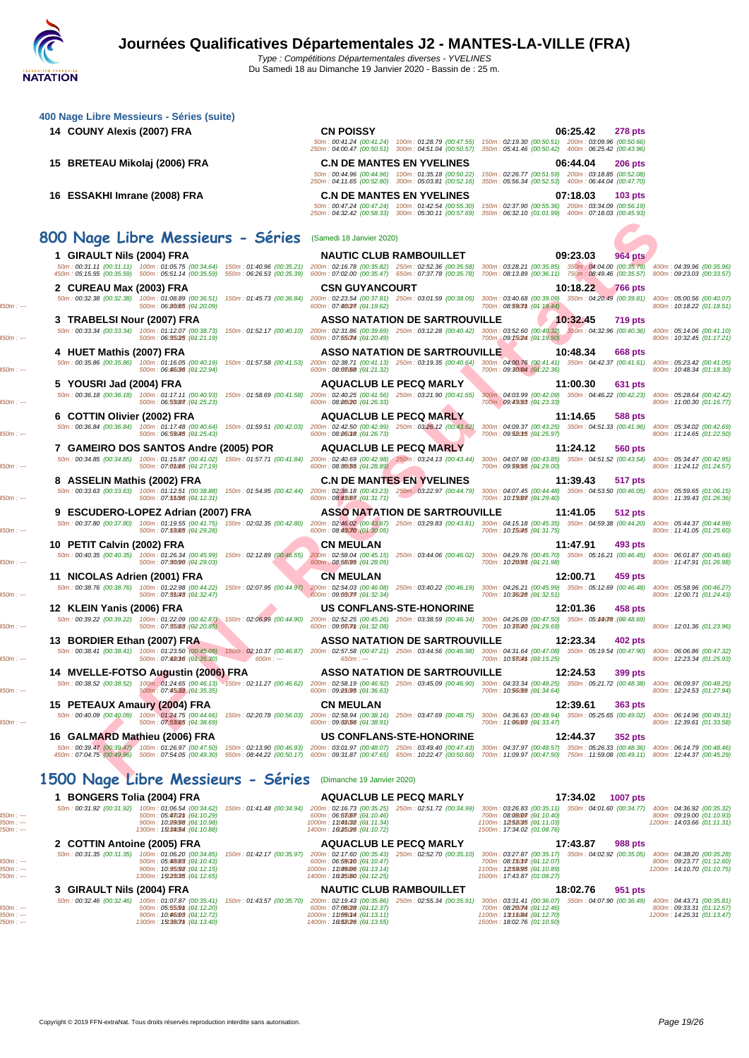| 400 Nage Libre Messieurs - Séries (suite)                                                                                                                             |                                                                                                                                                                                                                                                                                                                                                                                        |
|-----------------------------------------------------------------------------------------------------------------------------------------------------------------------|----------------------------------------------------------------------------------------------------------------------------------------------------------------------------------------------------------------------------------------------------------------------------------------------------------------------------------------------------------------------------------------|
| 14 COUNY Alexis (2007) FRA                                                                                                                                            | <b>CN POISSY</b><br>06:25.42<br><b>278 pts</b>                                                                                                                                                                                                                                                                                                                                         |
|                                                                                                                                                                       | 50m : 00:41.24 (00:41.24) 100m : 01:28.79 (00:47.55) 150m : 02:19.30 (00:50.51) 200m : 03:09.96 (00:50.66)<br>250m: 04:00.47 (00:50.51) 300m: 04:51.04 (00:50.57)<br>350m: 05:41.46 (00:50.42) 400m: 06:25.42 (00:43.96)                                                                                                                                                               |
| 15 BRETEAU Mikolaj (2006) FRA                                                                                                                                         | <b>C.N DE MANTES EN YVELINES</b><br>06:44.04<br><b>206 pts</b>                                                                                                                                                                                                                                                                                                                         |
|                                                                                                                                                                       | 150m: 02:26.77 (00:51.59) 200m: 03:18.85 (00:52.08)<br>50m: 00:44.96 (00:44.96) 100m: 01:35.18 (00:50.22)<br>250m: 04:11.65 (00:52.80) 300m: 05:03.81 (00:52.16)<br>350m: 05:56.34 (00:52.53) 400m: 06:44.04 (00:47.70)                                                                                                                                                                |
| 16 ESSAKHI Imrane (2008) FRA                                                                                                                                          | <b>C.N DE MANTES EN YVELINES</b><br>07:18.03<br>$103$ pts                                                                                                                                                                                                                                                                                                                              |
|                                                                                                                                                                       | 50m: 00:47.24 (00:47.24) 100m: 01:42.54 (00:55.30)<br>150m: 02:37.90 (00:55.36) 200m: 03:34.09 (00:56.19)<br>250m: 04:32.42 (00:58.33) 300m: 05:30.11 (00:57.69) 350m: 06:32.10 (01:01.99) 400m: 07:18.03 (00:45.93)                                                                                                                                                                   |
|                                                                                                                                                                       |                                                                                                                                                                                                                                                                                                                                                                                        |
| 800 Nage Libre Messieurs - Séries                                                                                                                                     | (Samedi 18 Janvier 2020)                                                                                                                                                                                                                                                                                                                                                               |
| 1 GIRAULT Nils (2004) FRA                                                                                                                                             | 09:23.03<br><b>NAUTIC CLUB RAMBOUILLET</b><br>964 pts<br>50m : 00:31.11 (00:31.11) 100m : 01:05.75 (00:34.64) 150m : 01:40.96 (00:35.21) 200m : 02:16.78 (00:35.82) 250m : 02:55.36 (00:35.58) 300m : 03:28.21 (00:35.85) 350m : 04:04.00 (00:35.79)<br>400m: 04:39.96 (00:35.96)                                                                                                      |
|                                                                                                                                                                       | 450m : 05:15.55 (00:35.59) 500m : 05:51.14 (00:35.59) 550m : 06:26.53 (00:35.39) 600m : 07:02.00 (00:35.47) 650m : 07:37.78 (00:35.78) 700m : 08:13.89 (00:36.11) 750m : 08:49.46 (00:35.57)<br>800m: 09:23.03 (00:33.57)                                                                                                                                                              |
| 2 CUREAU Max (2003) FRA                                                                                                                                               | <b>CSN GUYANCOURT</b><br>10:18.22<br><b>766 pts</b>                                                                                                                                                                                                                                                                                                                                    |
| 50m: 00:32.38 (00:32.38) 100m: 01:08.89 (00:36.51) 150m: 01:45.73 (00:36.84) 200m: 02:23.54 (00:37.81) 250m: 03:01.59 (00:38.05)<br>500m: 06:2005 : (01:20.09)        | 300m: 03:40.68 (00:39.09) 350m: 04:20.49 (00:39.81)<br>400m: 05:00.56 (00:40.07)<br>600m: 07:46027 : (04:19.62)<br>700m: 08:590mm : (01:19.44)<br>800m: 10:18.22 (01:18.51)                                                                                                                                                                                                            |
| 3 TRABELSI Nour (2007) FRA                                                                                                                                            | ASSO NATATION DE SARTROUVILLE<br>10:32.45<br><b>719 pts</b>                                                                                                                                                                                                                                                                                                                            |
| 50m: 00:33.34 (00:33.34) 100m: 01:12.07 (00:38.73)<br>500m: 06:35025 : (01:21.19)                                                                                     | 150m: 01:52.17 (00:40.10) 200m: 02:31.86 (00:39.69) 250m: 03:12.28 (00:40.42) 300m: 03:52.60 (00:40.32) 350m: 04:32.96 (00:40.36)<br>400m: 05:14.06 (00:41.10)<br>600m: 07:55074 : (04:20.49)<br>700m: 09:75024 : (01:19.50)<br>800m: 10:32.45 (01:17.21)                                                                                                                              |
| 4 HUET Mathis (2007) FRA                                                                                                                                              | ASSO NATATION DE SARTROUVILLE<br>10:48.34<br>668 pts                                                                                                                                                                                                                                                                                                                                   |
| 50m: 00:35.86 (00:35.86)<br>100m: 01:16.05 (00:40.19)<br>150m: 01:57.58 (00:41.53)<br>500m : 06:46036 : (04:22.94)                                                    | 200m: 02:38.71 (00:41.13) 250m: 03:19.35 (00:40.64)<br>300m: 04:00.76 (00:41.41) 350m: 04:42.37 (00:41.61)<br>400m: 05:23.42 (00:41.05)<br>600m: 08:08:08 : (04:21.32)<br>700m: 09:3004 : (01:22.36)<br>800m: 10:48.34 (01:18.30)                                                                                                                                                      |
| 5 YOUSRI Jad (2004) FRA                                                                                                                                               | <b>AQUACLUB LE PECQ MARLY</b><br>11:00.30<br>631 pts                                                                                                                                                                                                                                                                                                                                   |
| 50m: 00:36.18 (00:36.18) 100m: 01:17.11 (00:40.93) 150m: 01:58.69 (00:41.58)<br>500m: 06:53087 : (01:25.23)                                                           | 200m: 02:40.25 (00:41.56) 250m: 03:21.90 (00:41.65)<br>300m: 04:03.99 (00:42.09)<br>350m: 04:46.22 (00:42.23)<br>400m: 05:28.64 (00:42.42)<br>600m: 08:80(20: (04:26.33)<br>700m: 09:43.53 : (01:23.33)<br>800m: 11:00.30 (01:16.77)                                                                                                                                                   |
| 6 COTTIN Olivier (2002) FRA                                                                                                                                           | <b>AQUACLUB LE PECQ MARLY</b><br>11:14.65<br>588 pts                                                                                                                                                                                                                                                                                                                                   |
| 50m : 00:36.84 (00:36.84) 100m : 01:17.48 (00:40.64) 150m : 01:59.51 (00:42.03) 200m : 02:42.50 (00:42.99) 250m : 03:26.12 (00:43.62)<br>500m: 06:59045 : (01:25.43)  | 300m: 04:09.37 (00:43.25) 350m: 04:51.33 (00:41.96)<br>400m: 05:34.02 (00:42.69)<br>600m: 08:86018 : (04:26.73)<br>700m: 09:52015 : (01:25.97)<br>800m: 11:14.65 (01:22.50)                                                                                                                                                                                                            |
| 7 GAMEIRO DOS SANTOS Andre (2005) POR                                                                                                                                 | <b>AQUACLUB LE PECQ MARLY</b><br>11:24.12<br>560 pts                                                                                                                                                                                                                                                                                                                                   |
| 50m: 00:34.85 (00:34.85) 100m: 01:15.87 (00:41.02) 150m: 01:57.71 (00:41.84) 200m: 02:40.69 (00:42.98) 250m: 03:24.13 (00:43.44)<br>500m: 07:05:06 : (01:27.19)       | 300m: 04:07.98 (00:43.85) 350m: 04:51.52 (00:43.54)<br>400m: 05:34.47 (00:42.95)<br>600m: 08:86055: (04:28.89)<br>700m: 09:59.55 : (01:29.00)<br>800m: 11:24.12 (01:24.57)                                                                                                                                                                                                             |
| 8 ASSELIN Mathis (2002) FRA                                                                                                                                           | <b>C.N DE MANTES EN YVELINES</b><br>11:39.43<br>517 pts                                                                                                                                                                                                                                                                                                                                |
| 50m: 00:33.63 (00:33.63)<br>100m: 01:12.51 (00:38.88) 150m: 01:54.95 (00:42.44)                                                                                       | 200m: 02:38.18 (00:43.23) 250m: 03:22.97 (00:44.79)<br>300m: 04:07.45 (00:44.48) 350m: 04:53.50 (00:46.05)<br>400m: 05:59.65 (01:06.15)                                                                                                                                                                                                                                                |
| 500m: 07:55096 : (01:12.31)<br>9 ESCUDERO-LOPEZ Adrian (2007) FRA                                                                                                     | 600m: 08:43.67 : (04:31.71)<br>700m: 10:73077 : (01:29.40)<br>800m: 11:39.43 (01:26.36)<br><b>ASSO NATATION DE SARTROUVILLE</b><br>11:41.05<br>512 pts                                                                                                                                                                                                                                 |
| 50m: 00:37.80 (00:37.80) 100m: 01:19.55 (00:41.75)<br>150m: 02:02.35 (00:42.80)                                                                                       | 200m: 02:46.02 (00:43.67) 250m: 03:29.83 (00:43.81)<br>300m: 04:15.18 (00:45.35) 350m: 04:59.38 (00:44.20)<br>400m: 05:44.37 (00:44.99)                                                                                                                                                                                                                                                |
| 500m: 07:53.65 : (01:29.28)                                                                                                                                           | 600m: 08:43070 : (04:30.05)<br>700m: 10:75045 : (01:31.75)<br>800m: 11:41.05 (01:25.60)                                                                                                                                                                                                                                                                                                |
| 10 PETIT Calvin (2002) FRA<br>50m: 00:40.35 (00:40.35) 100m: 01:26.34 (00:45.99) 150m: 02:12.89 (00:46.55)                                                            | <b>CN MEULAN</b><br>11:47.91<br>493 pts<br>200m: 02:58.04 (00:45.15)<br>300m: 04:29.76 (00:45.70) 350m: 05:16.21 (00:46.45)<br>250m: 03:44.06 (00:46.02)<br>400m: 06:01.87 (00:45.66)                                                                                                                                                                                                  |
| 500m: 07:36090 : (01:29.03)                                                                                                                                           | 600m: 08:58095 : (04:28.05)<br>700m: 10:20098 : (01:21.98)<br>800m: 11:47.91 (01:26.98)                                                                                                                                                                                                                                                                                                |
| 11 NICOLAS Adrien (2001) FRA<br>50m : 00:38.76 (00:38.76) 100m : 01:22.98 (00:44.22) 150m : 02:07.95 (00:44.97) 200m : 02:54.03 (00:46.08) 250m : 03:40.22 (00:46.19) | <b>CN MEULAN</b><br>12:00.71<br>459 pts<br>300m: 04:26.21 (00:45.99) 350m: 05:12.69 (00:46.48)<br>400m: 05:58.96 (00:46.27)                                                                                                                                                                                                                                                            |
| 500m: 07:35043 : (01:32.47)                                                                                                                                           | 600m: 09:03077. (04:32.34)<br>700m: 10:36/28 : (01:32.51)<br>800m: 12:00.71 (01:24.43)                                                                                                                                                                                                                                                                                                 |
| 12 KLEIN Yanis (2006) FRA<br>50m: 00:39.22 (00:39.22)<br>100m: 01:22.09 (00:42.87)<br>150m: 02:06.99 (00:44.90)                                                       | <b>US CONFLANS-STE-HONORINE</b><br>12:01.36<br>458 pts<br>200m: 02:52.25 (00:45.26) 250m: 03:38.59 (00:46.34)<br>300m: 04:26.09 (00:47.50) 350m: 05:44078 : (00:48.69)                                                                                                                                                                                                                 |
| 500m: 07:35000:(02:20.85)                                                                                                                                             | 600m: 09:0307m : (04:32.08)<br>700m: 10:33040 : (01:29.69)<br>800m: 12:01.36 (01:23.96)                                                                                                                                                                                                                                                                                                |
| 13 BORDIER Ethan (2007) FRA                                                                                                                                           | 12:23.34<br>ASSO NATATION DE SARTROUVILLE<br>402 pts                                                                                                                                                                                                                                                                                                                                   |
| 500m: 07:42016 : (01:35.30)<br>$600m: -$                                                                                                                              | 50m: 00:38.41 (00:38.41) 100m: 01:23.50 (00:45.09) 150m: 02:10.37 (00:46.87) 200m: 02:57.58 (00:47.21) 250m: 03:44.56 (00:46.98) 300m: 04:31.64 (00:47.08)<br>350m: 05:19.54 (00:47.90) 400m: 06:06.86 (00:47.32)<br>700m: 10:5304m: (03:15.25)<br>800m: 12:23.34 (01:25.93)<br>$650m: -$                                                                                              |
| 14 MVELLE-FOTSO Augustin (2006) FRA                                                                                                                                   | <b>ASSO NATATION DE SARTROUVILLE</b><br>12:24.53<br>399 pts                                                                                                                                                                                                                                                                                                                            |
| 500m: 07:45032 : (01:35.35)                                                                                                                                           | 50m: 00:38.52 (00:38.52) 100m: 01:24.65 (00:46.13) 150m: 02:11.27 (00:46.62) 200m: 02:58.19 (00:46.92) 250m: 03:45.09 (00:46.90) 300m: 04:33.34 (00:48.25) 350m: 05:21.72 (00:48.38) 400m: 06:09.97 (00:48.25)<br>600m: 09:85.95:(04:36.63)<br>700m: 10:56.59 : (01:34.64)<br>800m: 12:24.53 (01:27.94)                                                                                |
| 15 PETEAUX Amaury (2004) FRA                                                                                                                                          | <b>CN MEULAN</b><br>12:39.61<br>363 pts                                                                                                                                                                                                                                                                                                                                                |
| 50m: 00:40.09 (00:40.09) 100m: 01:24.75 (00:44.66)<br>500m: 07:53065:(04:38.69)                                                                                       | 150m: 02:20.78 (00:56.03) 200m: 02:58.94 (00:38.16) 250m: 03:47.69 (00:48.75)<br>300m: 04:36.63 (00:48.94) 350m: 05:25.65 (00:49.02)<br>400m: 06:14.96 (00:49.31)<br>600m: 09:8256 : (04:38.91)<br>700m: 11:06008: (01:33.47)<br>800m: 12:39.61 (01:33.58)                                                                                                                             |
| 16 GALMARD Mathieu (2006) FRA                                                                                                                                         | <b>US CONFLANS-STE-HONORINE</b><br>12:44.37<br>352 pts                                                                                                                                                                                                                                                                                                                                 |
| 50m: 00:39.47 (00:39.47) 100m: 01:26.97 (00:47.50)                                                                                                                    | 150m: 02:13.90 (00:46.93) 200m: 03:01.97 (00:48.07) 250m: 03:49.40 (00:47.43) 300m: 04:37.97 (00:48.57) 350m: 05:26.33 (00:48.36) 400m: 06:14.79 (00:48.46)<br>450m : 07:04.75 (00:49.96) 500m : 07:54.05 (00:49.30) 550m : 08:44.22 (00:50.17) 600m : 09:31.87 (00:47.65) 650m : 10:22.47 (00:50.60) 700m : 11:09.97 (00:47.50) 750m : 11:59.08 (00:49.11) 800m : 12:44.37 (00:45.29) |
|                                                                                                                                                                       |                                                                                                                                                                                                                                                                                                                                                                                        |
| 1500 Nage Libre Messieurs - Séries (Dimanche 19 Janvier 2020)                                                                                                         |                                                                                                                                                                                                                                                                                                                                                                                        |
| 1 BONGERS Tolia (2004) FRA                                                                                                                                            | <b>AQUACLUB LE PECQ MARLY</b><br>17:34.02<br>1007 pts                                                                                                                                                                                                                                                                                                                                  |
| 500m: $05.4\%$ 2m : ( $04:10.29$ )                                                                                                                                    | 50m: 00:31.92 (00:31.92) 100m: 01:06.54 (00:34.62) 150m: 01:41.48 (00:34.94) 200m: 02:16.73 (00:35.25) 250m: 02:51.72 (00:34.99) 300m: 03:26.83 (00:35.11) 350m: 04:01.60 (00:34.77)<br>400m: 04:36.92 (00:35.32)<br>600m: 06:53067 : (04:10.46)<br>700m: 08:08:07 (04:10.40)<br>800m: 09:19.00 (01:10.93)                                                                             |
| 900m : 10:99.98 : (04:10.98)<br>1300m: 15t3454 : (01:10.88)                                                                                                           | 1000m: 11:45032 : (04:11.34)<br>1100m: 12t58035: (01:11.03)<br>1200m: 14:03.66 (01:11.31)<br>1400m: 16t25026 : (04:10.72)<br>1500m: 17:34.02 (01:08.76)                                                                                                                                                                                                                                |
| 2 COTTIN Antoine (2005) FRA                                                                                                                                           | <b>AQUACLUB LE PECQ MARLY</b><br>17:43.87<br>988 pts                                                                                                                                                                                                                                                                                                                                   |
| 500m: 05:48033 : (01:10.43)                                                                                                                                           | 50m : 00:31.35 (00:31.35) 100m : 01:06.20 (00:34.85) 150m : 01:42.17 (00:35.97) 200m : 02:17.60 (00:35.43) 250m : 02:52.70 (00:35.10) 300m : 03:27.87 (00:35.17) 350m : 04:02.92 (00:35.05)<br>400m: 04:38.20 (00:35.28)<br>600m: 06:59010 : (04:10.47)<br>700m: 08:750m7: (04:12.07)<br>800m: 09:23.77 (01:12.60)                                                                     |
| 900m : 10:95092 : (01:12.15)<br>1300m: 15t23035 : (01:12.65)                                                                                                          | 1000m: 11:49006 : (04:13.14)<br>1100m: 12t59095: (01:10.89)<br>1200m: 14:10.70 (01:10.75)<br>1400m: 16t35.60 : (04:12.25)<br>1500m: 17:43.87 (01:08.27)                                                                                                                                                                                                                                |
| 3 GIRAULT Nils (2004) FRA                                                                                                                                             | <b>NAUTIC CLUB RAMBOUILLET</b><br>18:02.76<br>951 pts                                                                                                                                                                                                                                                                                                                                  |
| 500m: 05:550m:(04:12.20)                                                                                                                                              | 50m: 00:32.46 (00:32.46) 100m: 01:07.87 (00:35.41) 150m: 01:43.57 (00:35.70) 200m: 02:19.43 (00:35.86) 250m: 02:55.34 (00:35.91) 300m: 03:31.41 (00:36.07) 350m: 04:07.90 (00:36.49) 400m: 04:43.71 (00:35.81)<br>700m: 08:20074 : (01:12.46)<br>800m: 09:33.31 (01:12.57)                                                                                                             |
| 900m : 10:96008 : (01:12.72)<br>1300m: 15t380mm: (01:13.40)                                                                                                           | 600m: 07:08/28 : (04:12.37)<br>1000m: 111590M4 : (04:13.11)<br>1100m: 13t15.84 : (01:12.70)<br>1200m: 14:25.31 (01:13.47)<br>1400m: 16t52026 : (04:13.55)<br>1500m: 18:02.76 (01:10.50)                                                                                                                                                                                                |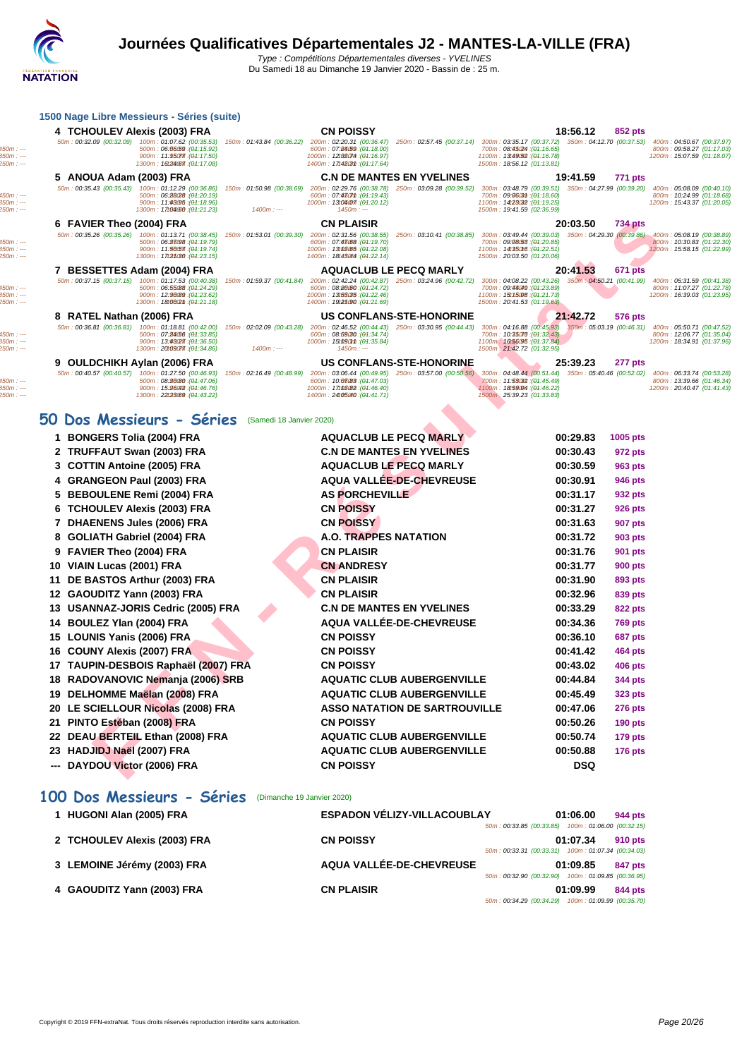| 1500 Nage Libre Messieurs - Séries (suite) |  |
|--------------------------------------------|--|
|--------------------------------------------|--|

| 4 TCHOULEV Alexis (2003) FRA |                                                                                             |                                                                                                                                                 | <b>CN POISSY</b>                                                                                                                                                                                                                                                                                                                 |                                                                                                                                                                                                                |                                                                                                                                                                                                                                                                                                                          | 18:56.12 | 852 pts                                                                                                                                                                                                                                                                                                                                                                                                                                                                                                                                                    |                                                                                                                                                                                                                                                          |
|------------------------------|---------------------------------------------------------------------------------------------|-------------------------------------------------------------------------------------------------------------------------------------------------|----------------------------------------------------------------------------------------------------------------------------------------------------------------------------------------------------------------------------------------------------------------------------------------------------------------------------------|----------------------------------------------------------------------------------------------------------------------------------------------------------------------------------------------------------------|--------------------------------------------------------------------------------------------------------------------------------------------------------------------------------------------------------------------------------------------------------------------------------------------------------------------------|----------|------------------------------------------------------------------------------------------------------------------------------------------------------------------------------------------------------------------------------------------------------------------------------------------------------------------------------------------------------------------------------------------------------------------------------------------------------------------------------------------------------------------------------------------------------------|----------------------------------------------------------------------------------------------------------------------------------------------------------------------------------------------------------------------------------------------------------|
|                              | 500m: 06:06059:(04:15.92)<br>900m : 11.950m : (04.17.50)<br>1300m: 16t24067 : (01:17.08)    |                                                                                                                                                 | 600m: 07:84:59 : (04:18.00)<br>1400m: 17t4803m: (04:17.64)                                                                                                                                                                                                                                                                       |                                                                                                                                                                                                                | 700m: 08:45024 : (01:16.65)<br>1500m: 18:56.12 (01:13.81)                                                                                                                                                                                                                                                                |          |                                                                                                                                                                                                                                                                                                                                                                                                                                                                                                                                                            | 400m: 04:50.67 (00:37.97)<br>800m: 09:58.27 (01:17.03)<br>1200m: 15:07.59 (01:18.07)                                                                                                                                                                     |
|                              |                                                                                             |                                                                                                                                                 |                                                                                                                                                                                                                                                                                                                                  |                                                                                                                                                                                                                |                                                                                                                                                                                                                                                                                                                          |          | 771 pts                                                                                                                                                                                                                                                                                                                                                                                                                                                                                                                                                    |                                                                                                                                                                                                                                                          |
|                              | 500m: 06:28028 : (04:20.19)<br>900m: 11:43095 : (01:18.96)<br>1300m: 17t04000: (01:21.23)   | 150m: 01:50.98 (00:38.69)<br>$1400m: -$                                                                                                         | 600m: 07:430mm: (04:19.43)<br>$1450m: --$                                                                                                                                                                                                                                                                                        | 250m: 03:09.28 (00:39.52)                                                                                                                                                                                      | 700m: 09:0603m: (04:18.60)<br>1100m: 14t23032 : (01:19.25)                                                                                                                                                                                                                                                               |          |                                                                                                                                                                                                                                                                                                                                                                                                                                                                                                                                                            | 400m: 05:08.09 (00:40.10)<br>800m: 10:24.99 (01:18.68)<br>1200m: 15:43.37 (01:20.05)                                                                                                                                                                     |
|                              |                                                                                             |                                                                                                                                                 | <b>CN PLAISIR</b>                                                                                                                                                                                                                                                                                                                |                                                                                                                                                                                                                |                                                                                                                                                                                                                                                                                                                          |          | 734 pts                                                                                                                                                                                                                                                                                                                                                                                                                                                                                                                                                    |                                                                                                                                                                                                                                                          |
|                              | 500m: 06:28098 : (01:19.79)<br>900m : 11.96057 : (04.19.74)<br>1300m: 17t25030 : (01:23.15) |                                                                                                                                                 | 600m: 07:43088 : (04:19.70)                                                                                                                                                                                                                                                                                                      |                                                                                                                                                                                                                | 700m: 09:08:58 : (01:20.85)<br>1100m: 14t350t6 : (01:22.51)<br>1500m: 20:03.50 (01:20.06)                                                                                                                                                                                                                                |          |                                                                                                                                                                                                                                                                                                                                                                                                                                                                                                                                                            | 400m: 05:08.19 (00:38.89)<br>800m: 10:30.83 (01:22.30)<br>1200m: 15:58.15 (01:22.99)                                                                                                                                                                     |
|                              |                                                                                             |                                                                                                                                                 |                                                                                                                                                                                                                                                                                                                                  |                                                                                                                                                                                                                |                                                                                                                                                                                                                                                                                                                          |          | <b>671 pts</b>                                                                                                                                                                                                                                                                                                                                                                                                                                                                                                                                             |                                                                                                                                                                                                                                                          |
|                              | 500m: 06:55088 : (04:24.29)<br>900m: 12:96089 : (01:23.62)<br>1300m: 18t0602m : (04:21.18)  |                                                                                                                                                 | 600m: 08:86060 : (04:24.72)                                                                                                                                                                                                                                                                                                      |                                                                                                                                                                                                                | 700m: 09:44049 : (01:23.89)<br>1100m: 15t15008: (04:21.73)                                                                                                                                                                                                                                                               |          |                                                                                                                                                                                                                                                                                                                                                                                                                                                                                                                                                            | 400m: 05:31.59 (00:41.38)<br>800m: 11:07.27 (01:22.78)<br>1200m: 16:39.03 (01:23.95)                                                                                                                                                                     |
|                              |                                                                                             |                                                                                                                                                 |                                                                                                                                                                                                                                                                                                                                  |                                                                                                                                                                                                                |                                                                                                                                                                                                                                                                                                                          |          | 576 pts                                                                                                                                                                                                                                                                                                                                                                                                                                                                                                                                                    |                                                                                                                                                                                                                                                          |
|                              | 500m: 07:24056 : (04:33.85)<br>900m: 13:43027 : (04:36.50)<br>1300m: 20109077. (04:34.86)   | $1400m: -$                                                                                                                                      | 600m: 08:59030 : (04:34.74)<br>$1450m: --$                                                                                                                                                                                                                                                                                       |                                                                                                                                                                                                                | 1500m: 21:42.72 (01:32.95)                                                                                                                                                                                                                                                                                               |          |                                                                                                                                                                                                                                                                                                                                                                                                                                                                                                                                                            | 400m: 05:50.71 (00:47.52)<br>800m: 12:06.77 (01:35.04)<br>1200m: 18:34.91 (01:37.96)                                                                                                                                                                     |
|                              |                                                                                             |                                                                                                                                                 |                                                                                                                                                                                                                                                                                                                                  |                                                                                                                                                                                                                |                                                                                                                                                                                                                                                                                                                          |          | 277 pts                                                                                                                                                                                                                                                                                                                                                                                                                                                                                                                                                    |                                                                                                                                                                                                                                                          |
|                              | 500m: 08:2600: (04:47.06)<br>900m: 15:26042 : (01:46.76)                                    | 150m: 02:16.49 (00:48.99)                                                                                                                       | 600m: 10:08083 : (04:47.03)<br>1000m: 17t08082 : (04:46.40)                                                                                                                                                                                                                                                                      |                                                                                                                                                                                                                | 700m: 11:53032 : (04:45.49)<br>1100m: 18t59004 : (01:46.22)                                                                                                                                                                                                                                                              |          |                                                                                                                                                                                                                                                                                                                                                                                                                                                                                                                                                            | 400m: 06:33.74 (00:53.28)<br>800m: 13:39.66 (01:46.34)<br>1200m: 20:40.47 (01:41.43)                                                                                                                                                                     |
|                              |                                                                                             | 5 ANOUA Adam (2003) FRA<br>6 FAVIER Theo (2004) FRA<br>7 BESSETTES Adam (2004) FRA<br>8 RATEL Nathan (2006) FRA<br>9 OULDCHIKH Aylan (2006) FRA | 50m: 00:32.09 (00:32.09) 100m: 01:07.62 (00:35.53)<br>50m: 00:35.43 (00:35.43) 100m: 01:12.29 (00:36.86)<br>50m: 00:35.26 (00:35.26) 100m: 01:13.71 (00:38.45)<br>50m: 00:37.15 (00:37.15) 100m: 01:17.53 (00:40.38)<br>50m: 00:36.81 (00:36.81) 100m: 01:18.81 (00:42.00)<br>50m: 00:40.57 (00:40.57) 100m: 01:27.50 (00:46.93) | 150m: 01:43.84 (00:36.22)<br>1000m: 13t04077: (04:20.12)<br>150m: 01:53.01 (00:39.30)<br>1000m: 13t08.05 : (04:22.08)<br>150m: 01:59.37 (00:41.84)<br>1000m: 13t53035: (04:22.46)<br>150m: 02:02.09 (00:43.28) | 1000m: 12t08074 : (04:16.97)<br><b>C.N DE MANTES EN YVELINES</b><br>200m: 02:29.76 (00:38.78)<br>200m: 02:31.56 (00:38.55)<br>1400m: 18t43044 : (04:22.14)<br><b>AQUACLUB LE PECQ MARLY</b><br>1400m: 19t25090: (04:21.69)<br><b>US CONFLANS-STE-HONORINE</b><br>1000m: 15t090mm: (04:35.84)<br>US CONFLANS-STE-HONORINE |          | 1100m: 13t49.52 : (01:16.78)<br>19:41.59<br>300m: 03:48.79 (00:39.51)<br>1500m: 19:41.59 (02:36.99)<br>20:03.50<br>250m: 03:10.41 (00:38.85) 300m: 03:49.44 (00:39.03)<br>20:41.53<br>200m: 02:42.24 (00:42.87) 250m: 03:24.96 (00:42.72) 300m: 04:08.22 (00:43.26)<br>1500m: 20:41.53 (01:19.63)<br>21:42.72<br>200m: 02:46.52 (00:44.43) 250m: 03:30.95 (00:44.43) 300m: 04:16.88 (00:45.93)<br>700m: 10:35078 : (01:32.43)<br>1100m: 16t56095 : (04:37.84)<br>25:39.23<br>200m: 03:06.44 (00:49.95) 250m: 03:57.00 (00:50.56) 300m: 04:48.44 (00:51.44) | 200m: 02:20.31 (00:36.47) 250m: 02:57.45 (00:37.14) 300m: 03:35.17 (00:37.72) 350m: 04:12.70 (00:37.53)<br>350m: 04:27.99 (00:39.20)<br>350m: 04:29.30 (00:39.86)<br>350m: 04:50.21 (00:41.99)<br>350m: 05:03.19 (00:46.31)<br>350m: 05:40.46 (00:52.02) |

### **50 Dos Messieurs - Séries** (Samedi 18 Janvier 2020)

|   | 6 FAVIER Theo (2004) FRA     |                                                                                                                                                  |                                                                                             | <b>CN PLAISIR</b>                                                                                                                                 |                                      |                                                                                                                                                   | 20:03.50                  | <b>734 pts</b> |                             |
|---|------------------------------|--------------------------------------------------------------------------------------------------------------------------------------------------|---------------------------------------------------------------------------------------------|---------------------------------------------------------------------------------------------------------------------------------------------------|--------------------------------------|---------------------------------------------------------------------------------------------------------------------------------------------------|---------------------------|----------------|-----------------------------|
|   |                              | 50m: 00:35.26 (00:35.26) 100m: 01:13.71 (00:38.45)<br>500m: 06:88098 : (01:19.79)<br>900m: 11:56057 : (01:19.74)<br>1300m: 17t25(30 : (01:23.15) | 150m: 01:53.01 (00:39.30) 200m: 02:31.56 (00:38.55)                                         | 600m: 07:43088 : (04:19.70)<br>1000m: 13t08.05 : (04:22.08)<br>1400m: 18t43044 : (04:22.14)                                                       | 250m: 03:10.41 (00:38.85)            | 300m: 03:49.44 (00:39.03) 350m: 04:29.30 (00:39.86)<br>700m: 09:08:53 : (01:20.85)<br>1100m: 14t350f6 : (04:22.51)<br>1500m: 20:03.50 (01:20.06)  |                           |                | 400m: 0<br>800m:<br>1200m:  |
|   |                              | 7 BESSETTES Adam (2004) FRA                                                                                                                      |                                                                                             | <b>AQUACLUB LE PECQ MARLY</b>                                                                                                                     |                                      |                                                                                                                                                   | 20:41.53                  | <b>671 pts</b> |                             |
|   |                              | 50m: 00:37.15 (00:37.15) 100m: 01:17.53 (00:40.38)<br>500m: 06:55088 : (01:24.29)<br>900m: 12:96089: (01:23.62)<br>1300m: 18t0002m: (01:21.18)   | 150m: 01:59.37 (00:41.84)                                                                   | 200m: 02:42.24 (00:42.87) 250m: 03:24.96 (00:42.72)<br>600m: 08:86060 : (04:24.72)<br>1000m: 13t53035: (04:22.46)<br>1400m: 19t25.90 : (04:21.69) |                                      | 300m: 04:08.22 (00:43.26) 350m: 04:50.21 (00:41.99)<br>700m: 09:44049 : (01:23.89)<br>1100m: 15t15.008 : (01:21.73)<br>1500m: 20:41.53 (01:19.63) |                           |                | 400m: 0<br>800m:<br>1200m:  |
|   | 8 RATEL Nathan (2006) FRA    |                                                                                                                                                  |                                                                                             |                                                                                                                                                   | <b>US CONFLANS-STE-HONORINE</b>      |                                                                                                                                                   | 21:42.72                  | 576 pts        |                             |
|   |                              | 50m: 00:36.81 (00:36.81) 100m: 01:18.81 (00:42.00)<br>500m: 07:24056 : (04:33.85)<br>900m: 13:43(27): (01:36.50)<br>1300m: 20t09077. (01:34.86)  | 150m: 02:02.09 (00:43.28) 200m: 02:46.52 (00:44.43) 250m: 03:30.95 (00:44.43)<br>$1400m: -$ | 600m: 08:59030 : (04:34.74)<br>1000m: 15t090ml: (04:35.84)<br>$1450m: -$                                                                          |                                      | 300m: 04:16.88 (00:45.93)<br>700m: 10:35078 : (01:32.43)<br>1100m: 16:56095 : (01:37.84)<br>1500m: 21:42.72 (01:32.95)                            | 350m: 05:03.19 (00:46.31) |                | 400m:0<br>800m:<br>1200m:   |
|   |                              | 9 OULDCHIKH Aylan (2006) FRA                                                                                                                     |                                                                                             |                                                                                                                                                   | <b>US CONFLANS-STE-HONORINE</b>      |                                                                                                                                                   | 25:39.23                  | <b>277 pts</b> |                             |
|   |                              | 50m: 00:40.57 (00:40.57) 100m: 01:27.50 (00:46.93)<br>500m: 08:20080 : (04:47.06)<br>900m: 15:26042 : (01:46.76)<br>1300m: 22t23089: (01:43.22)  | 150m: 02:16.49 (00:48.99) 200m: 03:06.44 (00:49.95)                                         | 600m: 10:08083 : (04:47.03)<br>1000m: 17t08.82 : (04:46.40)<br>1400m: 24t05040: (04:41.71)                                                        | 250m: 03:57.00 (00:50.56)            | 300m: 04:48.44 (00:51.44)<br>700m: 11:53032 : (01:45.49)<br>1100m: 18t59.04 : (01:46.22)<br>1500m: 25:39.23 (01:33.83)                            | 350m: 05:40.46 (00:52.02) |                | 400m:0<br>800m:<br>1200m: 2 |
| Ο |                              | Dos Messieurs - Séries                                                                                                                           | (Samedi 18 Janvier 2020)                                                                    |                                                                                                                                                   |                                      |                                                                                                                                                   |                           |                |                             |
|   | 1 BONGERS Tolia (2004) FRA   |                                                                                                                                                  |                                                                                             | <b>AQUACLUB LE PECQ MARLY</b>                                                                                                                     |                                      |                                                                                                                                                   | 00:29.83                  | 1005 pts       |                             |
|   | 2 TRUFFAUT Swan (2003) FRA   |                                                                                                                                                  |                                                                                             |                                                                                                                                                   | <b>C.N DE MANTES EN YVELINES</b>     |                                                                                                                                                   | 00:30.43                  | 972 pts        |                             |
|   | 3 COTTIN Antoine (2005) FRA  |                                                                                                                                                  |                                                                                             | <b>AQUACLUB LE PECQ MARLY</b>                                                                                                                     |                                      |                                                                                                                                                   | 00:30.59                  | 963 pts        |                             |
|   | 4 GRANGEON Paul (2003) FRA   |                                                                                                                                                  |                                                                                             |                                                                                                                                                   | <b>AQUA VALLÉE-DE-CHEVREUSE</b>      |                                                                                                                                                   | 00:30.91                  | 946 pts        |                             |
|   |                              | 5 BEBOULENE Remi (2004) FRA                                                                                                                      |                                                                                             | <b>AS PORCHEVILLE</b>                                                                                                                             |                                      |                                                                                                                                                   | 00:31.17                  | 932 pts        |                             |
|   |                              | 6 TCHOULEV Alexis (2003) FRA                                                                                                                     |                                                                                             | <b>CN POISSY</b>                                                                                                                                  |                                      |                                                                                                                                                   | 00:31.27                  | <b>926 pts</b> |                             |
|   | 7 DHAENENS Jules (2006) FRA  |                                                                                                                                                  |                                                                                             | <b>CN POISSY</b>                                                                                                                                  |                                      |                                                                                                                                                   | 00:31.63                  | <b>907 pts</b> |                             |
|   | 8 GOLIATH Gabriel (2004) FRA |                                                                                                                                                  |                                                                                             | <b>A.O. TRAPPES NATATION</b>                                                                                                                      |                                      |                                                                                                                                                   | 00:31.72                  | 903 pts        |                             |
|   | 9 FAVIER Theo (2004) FRA     |                                                                                                                                                  |                                                                                             | <b>CN PLAISIR</b>                                                                                                                                 |                                      |                                                                                                                                                   | 00:31.76                  | 901 pts        |                             |
|   | 10 VIAIN Lucas (2001) FRA    |                                                                                                                                                  |                                                                                             | <b>CN ANDRESY</b>                                                                                                                                 |                                      |                                                                                                                                                   | 00:31.77                  | <b>900 pts</b> |                             |
|   |                              | 11 DE BASTOS Arthur (2003) FRA                                                                                                                   |                                                                                             | <b>CN PLAISIR</b>                                                                                                                                 |                                      |                                                                                                                                                   | 00:31.90                  | 893 pts        |                             |
|   | 12 GAOUDITZ Yann (2003) FRA  |                                                                                                                                                  |                                                                                             | <b>CN PLAISIR</b>                                                                                                                                 |                                      |                                                                                                                                                   | 00:32.96                  | 839 pts        |                             |
|   |                              | 13 USANNAZ-JORIS Cedric (2005) FRA                                                                                                               |                                                                                             |                                                                                                                                                   | <b>C.N DE MANTES EN YVELINES</b>     |                                                                                                                                                   | 00:33.29                  | <b>822 pts</b> |                             |
|   | 14 BOULEZ Ylan (2004) FRA    |                                                                                                                                                  |                                                                                             |                                                                                                                                                   | <b>AQUA VALLÉE-DE-CHEVREUSE</b>      |                                                                                                                                                   | 00:34.36                  | <b>769 pts</b> |                             |
|   | 15 LOUNIS Yanis (2006) FRA   |                                                                                                                                                  |                                                                                             | <b>CN POISSY</b>                                                                                                                                  |                                      |                                                                                                                                                   | 00:36.10                  | 687 pts        |                             |
|   | 16 COUNY Alexis (2007) FRA   |                                                                                                                                                  |                                                                                             | <b>CN POISSY</b>                                                                                                                                  |                                      |                                                                                                                                                   | 00:41.42                  | 464 pts        |                             |
|   |                              | 17 TAUPIN-DESBOIS Raphaël (2007) FRA                                                                                                             |                                                                                             | <b>CN POISSY</b>                                                                                                                                  |                                      |                                                                                                                                                   | 00:43.02                  | 406 pts        |                             |
|   |                              | 18 RADOVANOVIC Nemanja (2006) SRB                                                                                                                |                                                                                             |                                                                                                                                                   | <b>AQUATIC CLUB AUBERGENVILLE</b>    |                                                                                                                                                   | 00:44.84                  | <b>344 pts</b> |                             |
|   |                              | 19 DELHOMME Maëlan (2008) FRA                                                                                                                    |                                                                                             |                                                                                                                                                   | <b>AQUATIC CLUB AUBERGENVILLE</b>    |                                                                                                                                                   | 00:45.49                  | <b>323 pts</b> |                             |
|   |                              | 20 LE SCIELLOUR Nicolas (2008) FRA                                                                                                               |                                                                                             |                                                                                                                                                   | <b>ASSO NATATION DE SARTROUVILLE</b> |                                                                                                                                                   | 00:47.06                  | <b>276 pts</b> |                             |
|   | 21 PINTO Estéban (2008) FRA  |                                                                                                                                                  |                                                                                             | <b>CN POISSY</b>                                                                                                                                  |                                      |                                                                                                                                                   | 00:50.26                  | <b>190 pts</b> |                             |
|   |                              | 22 DEAU BERTEIL Ethan (2008) FRA                                                                                                                 |                                                                                             |                                                                                                                                                   | <b>AQUATIC CLUB AUBERGENVILLE</b>    |                                                                                                                                                   | 00:50.74                  | 179 pts        |                             |
|   | 23 HADJIDJ Naël (2007) FRA   |                                                                                                                                                  |                                                                                             |                                                                                                                                                   | <b>AQUATIC CLUB AUBERGENVILLE</b>    |                                                                                                                                                   | 00:50.88                  | <b>176 pts</b> |                             |
|   | --- DAYDOU Victor (2006) FRA |                                                                                                                                                  |                                                                                             | <b>CN POISSY</b>                                                                                                                                  |                                      |                                                                                                                                                   | <b>DSQ</b>                |                |                             |

### **100 Dos Messieurs - Séries** (Dimanche 19 Janvier 2020)

| 1 HUGONI Alan (2005) FRA     | ESPADON VÉLIZY-VILLACOUBLAY |  | 01:06.00                                           | 944 pts |
|------------------------------|-----------------------------|--|----------------------------------------------------|---------|
|                              |                             |  | 50m: 00:33.85 (00:33.85) 100m: 01:06.00 (00:32.15) |         |
| 2 TCHOULEV Alexis (2003) FRA | <b>CN POISSY</b>            |  | 01:07.34                                           | 910 pts |
|                              |                             |  | 50m: 00:33.31 (00:33.31) 100m: 01:07.34 (00:34.03) |         |
| 3 LEMOINE Jérémy (2003) FRA  | AQUA VALLÉE-DE-CHEVREUSE    |  | 01:09.85                                           | 847 pts |
|                              |                             |  | 50m: 00:32.90 (00:32.90) 100m: 01:09.85 (00:36.95) |         |
| 4 GAOUDITZ Yann (2003) FRA   | <b>CN PLAISIR</b>           |  | 01:09.99                                           | 844 pts |
|                              |                             |  | 50m: 00:34.29 (00:34.29) 100m: 01:09.99 (00:35.70) |         |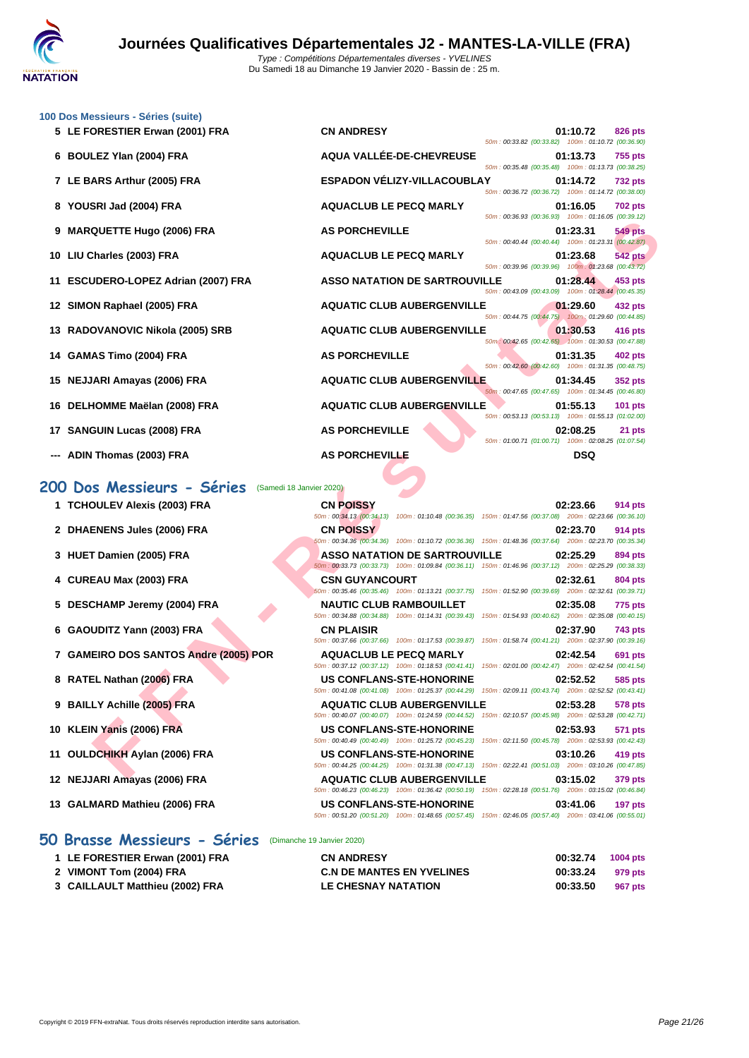

| 100 Dos Messieurs - Séries (suite)<br>5 LE FORESTIER Erwan (2001) FRA | <b>CN ANDRESY</b>                    |                                                                                                            | 01:10.72   | <b>826 pts</b> |
|-----------------------------------------------------------------------|--------------------------------------|------------------------------------------------------------------------------------------------------------|------------|----------------|
| 6 BOULEZ Ylan (2004) FRA                                              | AQUA VALLÉE-DE-CHEVREUSE             | 50m: 00:33.82 (00:33.82) 100m: 01:10.72 (00:36.90)<br>50m: 00:35.48 (00:35.48) 100m: 01:13.73 (00:38.25)   | 01:13.73   | <b>755 pts</b> |
| 7 LE BARS Arthur (2005) FRA                                           | ESPADON VÉLIZY-VILLACOUBLAY          | 50m: 00:36.72 (00:36.72) 100m: 01:14.72 (00:38.00)                                                         | 01:14.72   | <b>732 pts</b> |
| 8 YOUSRI Jad (2004) FRA                                               | <b>AQUACLUB LE PECQ MARLY</b>        | 50m: 00:36.93 (00:36.93) 100m: 01:16.05 (00:39.12)                                                         | 01:16.05   | <b>702 pts</b> |
| 9 MARQUETTE Hugo (2006) FRA                                           | <b>AS PORCHEVILLE</b>                | 50m: 00:40.44 (00:40.44) 100m: 01:23.31 (00:42.87)                                                         | 01:23.31   | <b>549 pts</b> |
| 10 LIU Charles (2003) FRA                                             | <b>AQUACLUB LE PECQ MARLY</b>        | 50m: 00:39.96 (00:39.96) 100m: 01:23.68 (00:43.72)                                                         | 01:23.68   | <b>542 pts</b> |
| 11 ESCUDERO-LOPEZ Adrian (2007) FRA                                   | <b>ASSO NATATION DE SARTROUVILLE</b> | 50m: 00:43.09 (00:43.09) 100m: 01:28.44 (00:45.35)                                                         | 01:28.44   | 453 pts        |
| 12 SIMON Raphael (2005) FRA                                           | <b>AQUATIC CLUB AUBERGENVILLE</b>    |                                                                                                            | 01:29.60   | 432 pts        |
| 13 RADOVANOVIC Nikola (2005) SRB                                      | <b>AQUATIC CLUB AUBERGENVILLE</b>    | 50m : 00:44.75 (00:44.75) 100m : 01:29.60 (00:44.85)<br>50m: 00:42.65 (00:42.65) 100m: 01:30.53 (00:47.88) | 01:30.53   | 416 pts        |
| 14 GAMAS Timo (2004) FRA                                              | <b>AS PORCHEVILLE</b>                | 50m : 00:42.60 (00:42.60) 100m : 01:31.35 (00:48.75)                                                       | 01:31.35   | <b>402 pts</b> |
| 15 NEJJARI Amayas (2006) FRA                                          | <b>AQUATIC CLUB AUBERGENVILLE</b>    |                                                                                                            | 01:34.45   | <b>352 pts</b> |
| 16 DELHOMME Maëlan (2008) FRA                                         | <b>AQUATIC CLUB AUBERGENVILLE</b>    | 50m: 00:47.65 (00:47.65) 100m: 01:34.45 (00:46.80)                                                         | 01:55.13   | <b>101 pts</b> |
| 17 SANGUIN Lucas (2008) FRA                                           | <b>AS PORCHEVILLE</b>                | 50m: 00:53.13 (00:53.13) 100m: 01:55.13 (01:02.00)<br>50m: 01:00.71 (01:00.71) 100m: 02:08.25 (01:07.54)   | 02:08.25   | 21 pts         |
| --- ADIN Thomas (2003) FRA                                            | <b>AS PORCHEVILLE</b>                |                                                                                                            | <b>DSQ</b> |                |

## **200 Dos Messieurs - Séries** (Samedi 18 Janvier 2020)

| 9 MARQUETTE Hugo (2006) FRA                           | <b>AS PORCHEVILLE</b>                                                                                                                       | 50m: 00:40.44 (00:40.44) 100m: 01:23.31 (00:42.87)  | 100111.01.10.00 100.05.12<br>01:23.31 | 549 pts        |
|-------------------------------------------------------|---------------------------------------------------------------------------------------------------------------------------------------------|-----------------------------------------------------|---------------------------------------|----------------|
| 10 LIU Charles (2003) FRA                             | <b>AQUACLUB LE PECQ MARLY</b>                                                                                                               | 50m: 00:39.96 (00:39.96) 100m: 01:23.68 (00:43.72)  | 01:23.68                              | <b>542 pts</b> |
| 11 ESCUDERO-LOPEZ Adrian (2007) FRA                   | <b>ASSO NATATION DE SARTROUVILLE</b>                                                                                                        | 50m: 00:43.09 (00:43.09) 100m: 01:28.44 (00:45.35)  | 01:28.44                              | 453 pts        |
| 12 SIMON Raphael (2005) FRA                           | <b>AQUATIC CLUB AUBERGENVILLE</b>                                                                                                           | 50m: 00:44.75 (00:44.75) 100m: 01:29.60 (00:44.85)  | 01:29.60                              | 432 pts        |
| 13 RADOVANOVIC Nikola (2005) SRB                      | <b>AQUATIC CLUB AUBERGENVILLE</b>                                                                                                           |                                                     | 01:30.53                              | 416 pts        |
| 14 GAMAS Timo (2004) FRA                              | <b>AS PORCHEVILLE</b>                                                                                                                       | 50m: 00:42.65 (00:42.65) 100m: 01:30.53 (00:47.88)  | 01:31.35                              | 402 pts        |
| 15 NEJJARI Amayas (2006) FRA                          | <b>AQUATIC CLUB AUBERGENVILLE</b>                                                                                                           | 50m: 00:42.60 (00:42.60) 100m: 01:31.35 (00:48.75)  | 01:34.45                              | <b>352 pts</b> |
| 16 DELHOMME Maëlan (2008) FRA                         | <b>AQUATIC CLUB AUBERGENVILLE</b>                                                                                                           | 50m: 00:47.65 (00:47.65) 100m: 01:34.45 (00:46.80)  | 01:55.13                              | <b>101 pts</b> |
| 17 SANGUIN Lucas (2008) FRA                           | <b>AS PORCHEVILLE</b>                                                                                                                       | 50m: 00:53.13 (00:53.13) 100m: 01:55.13 (01:02.00)  | 02:08.25                              | 21 pts         |
| --- ADIN Thomas (2003) FRA                            | <b>AS PORCHEVILLE</b>                                                                                                                       | 50m: 01:00.71 (01:00.71) 100m: 02:08.25 (01:07.54)  | <b>DSQ</b>                            |                |
| 00 Dos Messieurs - Séries<br>(Samedi 18 Janvier 2020) |                                                                                                                                             |                                                     |                                       |                |
| 1 TCHOULEV Alexis (2003) FRA                          | <b>CN POISSY</b>                                                                                                                            |                                                     | 02:23.66                              | 914 pts        |
| 2 DHAENENS Jules (2006) FRA                           | 50m : 00:34.13 (00:34.13) 100m : 01:10.48 (00:36.35) 150m : 01:47.56 (00:37.08) 200m : 02:23.66 (00:36.10)<br><b>CN POISSY</b>              |                                                     | 02:23.70                              | 914 pts        |
| 3 HUET Damien (2005) FRA                              | 50m : 00:34.36 (00:34.36) 100m : 01:10.72 (00:36.36) 150m : 01:48.36 (00:37.64) 200m : 02:23.70 (00:35.34)<br>ASSO NATATION DE SARTROUVILLE |                                                     | 02:25.29                              | 894 pts        |
| 4 CUREAU Max (2003) FRA                               | 50m : 00:33.73 (00:33.73) 100m : 01:09.84 (00:36.11) 150m : 01:46.96 (00:37.12) 200m : 02:25.29 (00:38.33)<br><b>CSN GUYANCOURT</b>         |                                                     | 02:32.61                              | 804 pts        |
| 5 DESCHAMP Jeremy (2004) FRA                          | 50m: 00:35.46 (00:35.46) 100m: 01:13.21 (00:37.75)<br><b>NAUTIC CLUB RAMBOUILLET</b>                                                        | 150m: 01:52.90 (00:39.69) 200m: 02:32.61 (00:39.71) | 02:35.08                              | <b>775 pts</b> |
| 6 GAOUDITZ Yann (2003) FRA                            | 50m: 00:34.88 (00:34.88) 100m: 01:14.31 (00:39.43)<br><b>CN PLAISIR</b>                                                                     | 150m: 01:54.93 (00:40.62) 200m: 02:35.08 (00:40.15) | 02:37.90                              | <b>743 pts</b> |
| 7 GAMEIRO DOS SANTOS Andre (2005) POR                 | 50m: 00:37.66 (00:37.66) 100m: 01:17.53 (00:39.87)<br><b>AQUACLUB LE PECQ MARLY</b>                                                         | 150m: 01:58.74 (00:41.21) 200m: 02:37.90 (00:39.16) | 02:42.54                              | 691 pts        |
| 8 RATEL Nathan (2006) FRA                             | 50m: 00:37.12 (00:37.12) 100m: 01:18.53 (00:41.41)<br><b>US CONFLANS-STE-HONORINE</b>                                                       | 150m: 02:01.00 (00:42.47) 200m: 02:42.54 (00:41.54) | 02:52.52                              | 585 pts        |
| 9 BAILLY Achille (2005) FRA                           | 50m: 00:41.08 (00:41.08) 100m: 01:25.37 (00:44.29)<br><b>AQUATIC CLUB AUBERGENVILLE</b>                                                     | 150m: 02:09.11 (00:43.74) 200m: 02:52.52 (00:43.41) | 02:53.28                              | <b>578 pts</b> |
| 10 KLEIN Yanis (2006) FRA                             | 50m: 00:40.07 (00:40.07) 100m: 01:24.59 (00:44.52)<br><b>US CONFLANS-STE-HONORINE</b>                                                       | 150m: 02:10.57 (00:45.98) 200m: 02:53.28 (00:42.71) | 02:53.93                              | 571 pts        |
| 11 OULDCHIKH Aylan (2006) FRA                         | 50m: 00:40.49 (00:40.49) 100m: 01:25.72 (00:45.23)<br><b>US CONFLANS-STE-HONORINE</b>                                                       | 150m: 02:11.50 (00:45.78) 200m: 02:53.93 (00:42.43) | 03:10.26                              | 419 pts        |
| 12 NEJJARI Amayas (2006) FRA                          | 50m: 00:44.25 (00:44.25) 100m: 01:31.38 (00:47.13)<br><b>AQUATIC CLUB AUBERGENVILLE</b>                                                     | 150m: 02:22.41 (00:51.03) 200m: 03:10.26 (00:47.85) | 03:15.02                              | 379 pts        |
| 13 GALMARD Mathieu (2006) FRA                         | 50m: 00:46.23 (00:46.23) 100m: 01:36.42 (00:50.19) 150m: 02:28.18 (00:51.76) 200m: 03:15.02 (00:46.84)<br><b>US CONFLANS-STE-HONORINE</b>   |                                                     | 03:41.06                              | 197 pts        |
|                                                       | 50m : 00:51.20 (00:51.20) 100m : 01:48.65 (00:57.45) 150m : 02:46.05 (00:57.40) 200m : 03:41.06 (00:55.01)                                  |                                                     |                                       |                |

### **50 Brasse Messieurs - Séries** (Dimanche 19 Janvier 2020)

| 1 LE FORESTIER Erwan (2001) FRA | <b>CN ANDRESY</b>                | 00:32.74 | 1004 pts |
|---------------------------------|----------------------------------|----------|----------|
| 2 VIMONT Tom (2004) FRA         | <b>C.N DE MANTES EN YVELINES</b> | 00:33.24 | 979 pts  |
| 3 CAILLAULT Matthieu (2002) FRA | LE CHESNAY NATATION              | 00:33.50 | 967 pts  |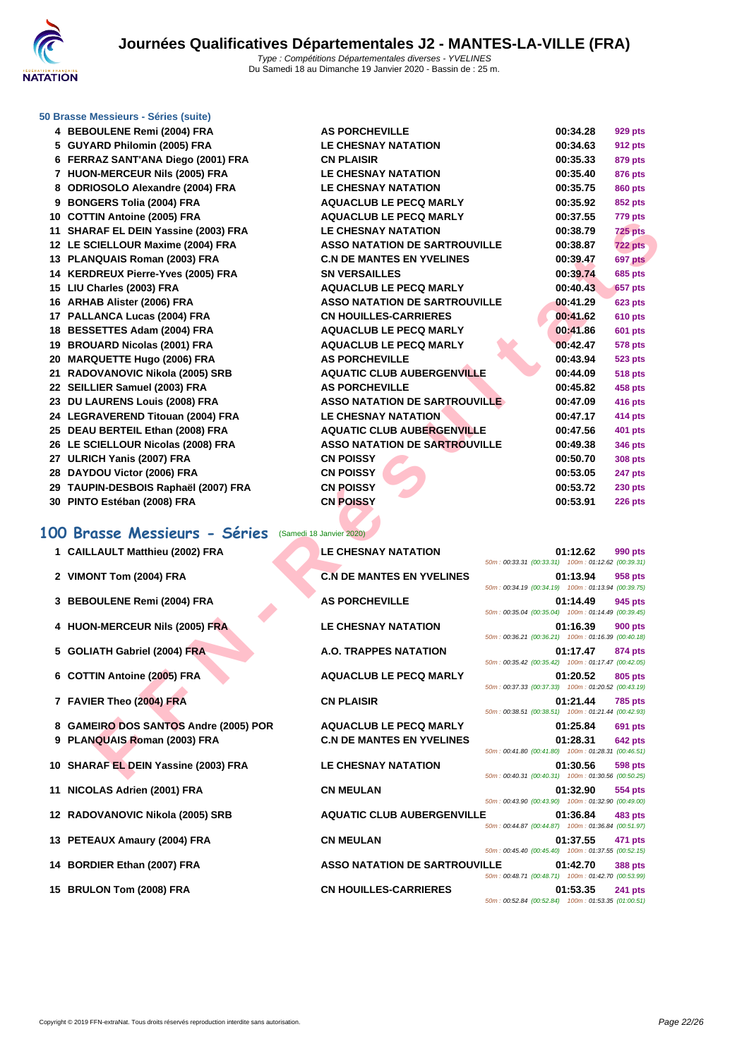

#### **[50 Brasse](http://www.ffnatation.fr/webffn/index.php) Messieurs - Séries (suite)**

- **BEBOULENE Remi (2004) FRA AS PORCHEVILLE 00:34.28 929 pts GUYARD Philomin (2005) FRA LE CHESNAY NATATION 00:34.63 912 pts FERRAZ SANT'ANA Diego (2001) FRA CN PLAISIR 00:35.33 879 pts HUON-MERCEUR Nils (2005) FRA LE CHESNAY NATATION 00:35.40 876 pts ODRIOSOLO Alexandre (2004) FRA LE CHESNAY NATATION 00:35.75 860 pts BONGERS Tolia (2004) FRA AQUACLUB LE PECQ MARLY 00:35.92 852 pts COTTIN Antoine (2005) FRA AQUACLUB LE PECQ MARLY 00:37.55 779 pts SHARAF EL DEIN Yassine (2003) FRA LE CHESNAY NATATION 00:38.79 725 pts LE SCIELLOUR Maxime (2004) FRA ASSO NATATION DE SARTROUVILLE 00:38.87 722 pts PLANQUAIS Roman (2003) FRA C.N DE MANTES EN YVELINES 00:39.47 697 pts KERDREUX Pierre-Yves (2005) FRA SN VERSAILLES 00:39.74 685 pts LIU Charles (2003) FRA AQUACLUB LE PECQ MARLY 00:40.43 657 pts ARHAB Alister (2006) FRA ASSO NATATION DE SARTROUVILLE 00:41.29 623 pts PALLANCA Lucas (2004) FRA CN HOUILLES-CARRIERES 00:41.62 610 pts BESSETTES Adam (2004) FRA AQUACLUB LE PECQ MARLY 00:41.86 601 pts BROUARD Nicolas (2001) FRA AQUACLUB LE PECQ MARLY 00:42.47 578 pts MARQUETTE Hugo (2006) FRA AS PORCHEVILLE 00:43.94 523 pts RADOVANOVIC Nikola (2005) SRB AQUATIC CLUB AUBERGENVILLE 00:44.09 518 pts SEILLIER Samuel (2003) FRA AS PORCHEVILLE 00:45.82 458 pts DU LAURENS Louis (2008) FRA ASSO NATATION DE SARTROUVILLE 00:47.09 416 pts LEGRAVEREND Titouan (2004) FRA LE CHESNAY NATATION 00:47.17 414 pts DEAU BERTEIL Ethan (2008) FRA AQUATIC CLUB AUBERGENVILLE 00:47.56 401 pts LE SCIELLOUR Nicolas (2008) FRA ASSO NATATION DE SARTROUVILLE 00:49.38 346 pts ULRICH Yanis (2007) FRA CN POISSY 00:50.70 308 pts DAYDOU Victor (2006) FRA CN POISSY 00:53.05 247 pts TAUPIN-DESBOIS Raphaël (2007) FRA CN POISSY 00:53.72 230 pts**
- **PINTO Estéban (2008) FRA CN POISSY 00:53.91 226 pts**

### **100 Brasse Messieurs - Séries** (Samedi 18 Janvier 2020)

| 10 COTTIN ARRIVING (2003) LIVA                        |                                      |                                                    | 00.JI .JJ | <i>na</i> pis  |
|-------------------------------------------------------|--------------------------------------|----------------------------------------------------|-----------|----------------|
| 11 SHARAF EL DEIN Yassine (2003) FRA                  | <b>LE CHESNAY NATATION</b>           |                                                    | 00:38.79  | <b>725 pts</b> |
| 12 LE SCIELLOUR Maxime (2004) FRA                     | <b>ASSO NATATION DE SARTROUVILLE</b> |                                                    | 00:38.87  | 722 pts        |
| 13 PLANQUAIS Roman (2003) FRA                         | <b>C.N DE MANTES EN YVELINES</b>     |                                                    | 00:39.47  | 697 pts        |
| 14 KERDREUX Pierre-Yves (2005) FRA                    | <b>SN VERSAILLES</b>                 |                                                    | 00:39.74  | <b>685 pts</b> |
| 15 LIU Charles (2003) FRA                             | <b>AQUACLUB LE PECQ MARLY</b>        |                                                    | 00:40.43  | <b>657 pts</b> |
| 16 ARHAB Alister (2006) FRA                           | <b>ASSO NATATION DE SARTROUVILLE</b> |                                                    | 00:41.29  | <b>623 pts</b> |
| 17 PALLANCA Lucas (2004) FRA                          | <b>CN HOUILLES-CARRIERES</b>         |                                                    | 00:41.62  | <b>610 pts</b> |
| 18 BESSETTES Adam (2004) FRA                          | <b>AQUACLUB LE PECQ MARLY</b>        |                                                    | 00:41.86  | <b>601 pts</b> |
| 19 BROUARD Nicolas (2001) FRA                         | <b>AQUACLUB LE PECQ MARLY</b>        |                                                    | 00:42.47  | <b>578 pts</b> |
| 20 MARQUETTE Hugo (2006) FRA                          | <b>AS PORCHEVILLE</b>                |                                                    | 00:43.94  | <b>523 pts</b> |
| 21 RADOVANOVIC Nikola (2005) SRB                      | <b>AQUATIC CLUB AUBERGENVILLE</b>    |                                                    | 00:44.09  | <b>518 pts</b> |
| 22 SEILLIER Samuel (2003) FRA                         | <b>AS PORCHEVILLE</b>                |                                                    | 00:45.82  | 458 pts        |
| 23 DU LAURENS Louis (2008) FRA                        | <b>ASSO NATATION DE SARTROUVILLE</b> |                                                    | 00:47.09  | 416 pts        |
| 24 LEGRAVEREND Titouan (2004) FRA                     | <b>LE CHESNAY NATATION</b>           |                                                    | 00:47.17  | 414 pts        |
| 25 DEAU BERTEIL Ethan (2008) FRA                      | <b>AQUATIC CLUB AUBERGENVILLE</b>    |                                                    | 00:47.56  | 401 pts        |
| 26 LE SCIELLOUR Nicolas (2008) FRA                    | <b>ASSO NATATION DE SARTROUVILLE</b> |                                                    | 00:49.38  | <b>346 pts</b> |
| 27 ULRICH Yanis (2007) FRA                            | <b>CN POISSY</b>                     |                                                    | 00:50.70  | <b>308 pts</b> |
| 28 DAYDOU Victor (2006) FRA                           | <b>CN POISSY</b>                     |                                                    | 00:53.05  | <b>247 pts</b> |
| 29 TAUPIN-DESBOIS Raphaël (2007) FRA                  | <b>CN POISSY</b>                     |                                                    | 00:53.72  | <b>230 pts</b> |
|                                                       | <b>CN POISSY</b>                     |                                                    | 00:53.91  | <b>226 pts</b> |
| 30 PINTO Estéban (2008) FRA                           |                                      |                                                    |           |                |
|                                                       |                                      |                                                    |           |                |
| 00 Brasse Messieurs - Séries (Samedi 18 Janvier 2020) |                                      |                                                    |           |                |
| 1 CAILLAULT Matthieu (2002) FRA                       | <b>LE CHESNAY NATATION</b>           |                                                    | 01:12.62  | 990 pts        |
|                                                       |                                      | 50m: 00:33.31 (00:33.31) 100m: 01:12.62 (00:39.31) |           |                |
| 2 VIMONT Tom (2004) FRA                               | <b>C.N DE MANTES EN YVELINES</b>     |                                                    | 01:13.94  | 958 pts        |
|                                                       | <b>AS PORCHEVILLE</b>                | 50m: 00:34.19 (00:34.19) 100m: 01:13.94 (00:39.75) |           |                |
| 3 BEBOULENE Remi (2004) FRA                           |                                      | 50m: 00:35.04 (00:35.04) 100m: 01:14.49 (00:39.45) | 01:14.49  | 945 pts        |
| 4 HUON-MERCEUR Nils (2005) FRA                        | <b>LE CHESNAY NATATION</b>           |                                                    | 01:16.39  | <b>900 pts</b> |
|                                                       |                                      | 50m: 00:36.21 (00:36.21) 100m: 01:16.39 (00:40.18) |           |                |
| 5 GOLIATH Gabriel (2004) FRA                          | A.O. TRAPPES NATATION                |                                                    | 01:17.47  | 874 pts        |
|                                                       |                                      | 50m: 00:35.42 (00:35.42) 100m: 01:17.47 (00:42.05) |           |                |
| 6 COTTIN Antoine (2005) FRA                           | <b>AQUACLUB LE PECQ MARLY</b>        |                                                    | 01:20.52  | 805 pts        |
|                                                       |                                      | 50m: 00:37.33 (00:37.33) 100m: 01:20.52 (00:43.19) |           |                |
| 7 FAVIER Theo (2004) FRA                              | <b>CN PLAISIR</b>                    | 50m: 00:38.51 (00:38.51) 100m: 01:21.44 (00:42.93) | 01:21.44  | <b>785 pts</b> |
| 8 GAMEIRO DOS SANTOS Andre (2005) POR                 | <b>AQUACLUB LE PECQ MARLY</b>        |                                                    | 01:25.84  | 691 pts        |
| 9 PLANQUAIS Roman (2003) FRA                          | <b>C.N DE MANTES EN YVELINES</b>     |                                                    | 01:28.31  | <b>642 pts</b> |
|                                                       |                                      | 50m: 00:41.80 (00:41.80) 100m: 01:28.31 (00:46.51) |           |                |
| 10 SHARAF EL DEIN Yassine (2003) FRA                  | <b>LE CHESNAY NATATION</b>           |                                                    | 01:30.56  | 598 pts        |
|                                                       |                                      | 50m: 00:40.31 (00:40.31) 100m: 01:30.56 (00:50.25) |           |                |
| 11 NICOLAS Adrien (2001) FRA                          | <b>CN MEULAN</b>                     |                                                    | 01:32.90  | 554 pts        |
|                                                       |                                      | 50m: 00:43.90 (00:43.90) 100m: 01:32.90 (00:49.00) |           |                |
| 12 RADOVANOVIC Nikola (2005) SRB                      | <b>AQUATIC CLUB AUBERGENVILLE</b>    |                                                    | 01:36.84  | 483 pts        |
|                                                       |                                      | 50m: 00:44.87 (00:44.87) 100m: 01:36.84 (00:51.97) |           |                |
| 13 PETEAUX Amaury (2004) FRA                          | <b>CN MEULAN</b>                     |                                                    | 01:37.55  | 471 pts        |
|                                                       |                                      | 50m: 00:45.40 (00:45.40) 100m: 01:37.55 (00:52.15) |           |                |
| 14 BORDIER Ethan (2007) FRA                           | <b>ASSO NATATION DE SARTROUVILLE</b> | 50m: 00:48.71 (00:48.71) 100m: 01:42.70 (00:53.99) | 01:42.70  | <b>388 pts</b> |
| 15 BRULON Tom (2008) FRA                              | <b>CN HOUILLES-CARRIERES</b>         |                                                    | 01:53.35  | 241 pts        |
|                                                       |                                      | 50m: 00:52.84 (00:52.84) 100m: 01:53.35 (01:00.51) |           |                |
|                                                       |                                      |                                                    |           |                |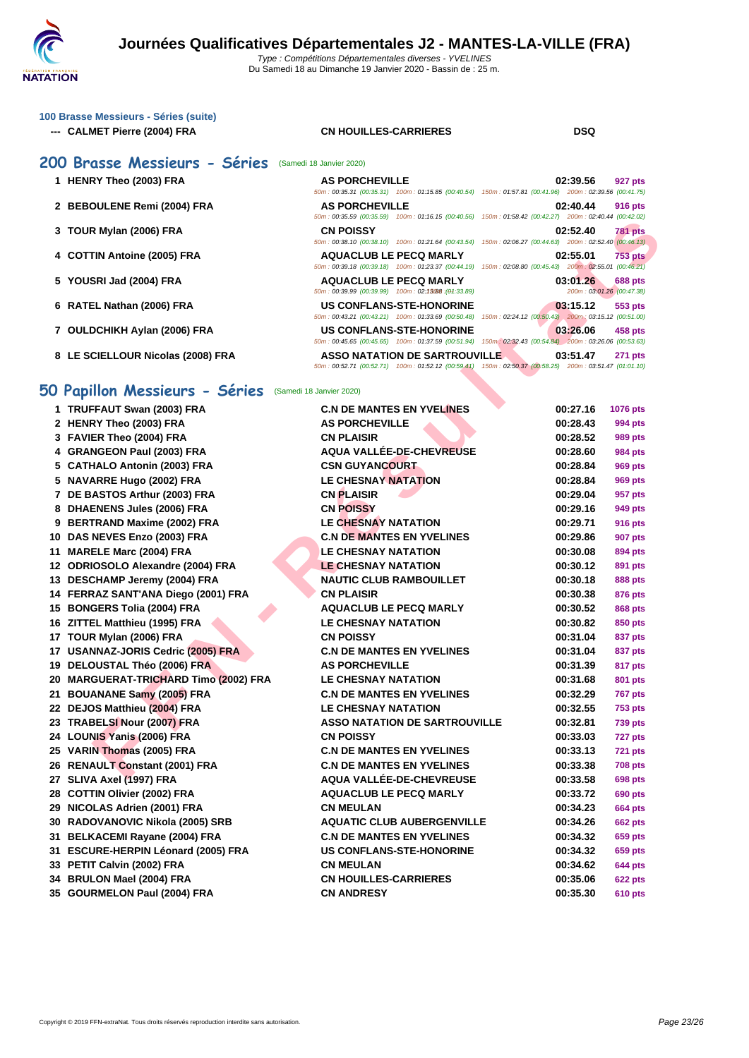#### **[100 Brass](http://www.ffnatation.fr/webffn/index.php)e Messieurs - Séries (suite)**

**--- CALMET Pierre (2004) FRA CN HOUILLES-CARRIERES DSQ**

### **200 Brasse Messieurs - Séries** (Samedi 18 Janvier 2020)

- 
- 
- 
- 
- 
- 
- 
- 

#### **HENRY Theo (2003) FRA AS PORCHEVILLE 02:39.56 927 pts** 50m : 00:35.31 (00:35.31) 100m : 01:15.85 (00:40.54) 150m : 01:57.81 (00:41.96) 200m : 02:39.56 (00:41.75) **BEBOULENE Remi (2004) FRA AS PORCHEVILLE 02:40.44 916 pts** 50m : 00:35.59 (00:35.59) 100m : 01:16.15 (00:40.56) 150m : 01:58.42 (00:42.27) 200m : 02:40.44 (00:42.02) **TOUR Mylan (2006) FRA CN POISSY 02:52.40 781 pts** 50m : 00:38.10 (00:38.10) 100m : 01:21.64 (00:43.54) 150m : 02:06.27 (00:44.63) 200m : 02:52.40 (00:46.13) **COTTIN Antoine (2005) FRA AQUACLUB LE PECQ MARLY 02:55.01 753 pts**  $50m : 00:39.18$  (00:39.18) 100m : 01:23.37 (00:44.19) 150m : 02:08.80 (00:45.43) 200m : 02:55.01 (00:46.21) **5 YOUSRI Jad (2004) FRA AQUACLUB LE PECQ MARLY 03:01.26 688 pts**<br> **5** *698* **01:02:01.26** *CONT***:02:01.26** *CONT***:02:39.99** *CONTRESSED 200m : 02:13:08 <br> 2 <i>200m : 03:01.26 (00:47.38)* 50m : 00:39.99 (00:39.99) 100m : 02:13088 : (04:33.89) **RATEL Nathan (2006) FRA US CONFLANS-STE-HONORINE 03:15.12 553 pts** 50m : 00:43.21 (00:43.21) 100m : 01:33.69 (00:50.48) 150m : 02:24.12 (00:50.43) 200m : 03:15.12 (00:51.00) **OULDCHIKH Aylan (2006) FRA US CONFLANS-STE-HONORINE 03:26.06 458 pts** 50m : 00:45.65 (00:45.65) 100m : 01:37.59 (00:51.94) 150m : 02:32.43 (00:54.84) 200m : 03:26.06 (00:53.63) **LE SCIELLOUR Nicolas (2008) FRA ASSO NATATION DE SARTROUVILLE 03:51.47 271 pts** 50m : 00:52.71 (00:52.71) 100m : 01:52.12 (00:59.41) 150m : 02:50.37 (00:58.25) 200m : 03:51.47 (01:01.10)

#### **50 Papillon Messieurs - Séries** (Samedi 18 Janvier 2020)

|                                       | $0011.00.33.39$ (00.33.39) $10011.01.10.13$ (00.40.30)<br>$10011.01.00.42$ $100.42.21$                                                      |          |                                      |
|---------------------------------------|---------------------------------------------------------------------------------------------------------------------------------------------|----------|--------------------------------------|
| 3 TOUR Mylan (2006) FRA               | <b>CN POISSY</b>                                                                                                                            | 02:52.40 | 781 pts                              |
| 4 COTTIN Antoine (2005) FRA           | 50m : 00:38.10 (00:38.10) 100m : 01:21.64 (00:43.54) 150m : 02:06.27 (00:44.63) 200m : 02:52.40 (00:46.13)<br><b>AQUACLUB LE PECQ MARLY</b> | 02:55.01 | <b>753 pts</b>                       |
|                                       | 50m : 00:39.18 (00:39.18) 100m : 01:23.37 (00:44.19) 150m : 02:08.80 (00:45.43) 200m : 02:55.01 (00:46.21)                                  |          |                                      |
| 5 YOUSRI Jad (2004) FRA               | <b>AQUACLUB LE PECQ MARLY</b><br>50m: 00:39.99 (00:39.99) 100m: 02:13/88 : (01:33.89)                                                       | 03:01.26 | 688 pts<br>200m: 03:01.26 (00:47.38) |
| 6 RATEL Nathan (2006) FRA             | <b>US CONFLANS-STE-HONORINE</b>                                                                                                             | 03:15.12 | 553 pts                              |
|                                       | 50m: 00:43.21 (00:43.21) 100m: 01:33.69 (00:50.48) 150m: 02:24.12 (00:50.43) 200m: 03:15.12 (00:51.00)                                      |          |                                      |
| 7 OULDCHIKH Aylan (2006) FRA          | <b>US CONFLANS-STE-HONORINE</b><br>50m: 00:45.65 (00:45.65) 100m: 01:37.59 (00:51.94) 150m: 02:32.43 (00:54.84) 200m: 03:26.06 (00:53.63)   | 03:26.06 | 458 pts                              |
| 8 LE SCIELLOUR Nicolas (2008) FRA     | <b>ASSO NATATION DE SARTROUVILLE</b>                                                                                                        | 03:51.47 | <b>271 pts</b>                       |
|                                       | 50m: 00:52.71 (00:52.71) 100m: 01:52.12 (00:59.41) 150m: 02:50.37 (00:58.25) 200m: 03:51.47 (01:01.10)                                      |          |                                      |
|                                       |                                                                                                                                             |          |                                      |
| iO Papillon Messieurs - Séries        | (Samedi 18 Janvier 2020)                                                                                                                    |          |                                      |
| 1 TRUFFAUT Swan (2003) FRA            | <b>C.N DE MANTES EN YVELINES</b>                                                                                                            | 00:27.16 | 1076 pts                             |
| 2 HENRY Theo (2003) FRA               | <b>AS PORCHEVILLE</b>                                                                                                                       | 00:28.43 | 994 pts                              |
| 3 FAVIER Theo (2004) FRA              | <b>CN PLAISIR</b>                                                                                                                           | 00:28.52 | 989 pts                              |
| 4 GRANGEON Paul (2003) FRA            | AQUA VALLÉE-DE-CHEVREUSE                                                                                                                    | 00:28.60 | 984 pts                              |
| 5 CATHALO Antonin (2003) FRA          | <b>CSN GUYANCOURT</b>                                                                                                                       | 00:28.84 | 969 pts                              |
| 5 NAVARRE Hugo (2002) FRA             | <b>LE CHESNAY NATATION</b>                                                                                                                  | 00:28.84 | 969 pts                              |
| 7 DE BASTOS Arthur (2003) FRA         | <b>CN PLAISIR</b>                                                                                                                           | 00:29.04 | 957 pts                              |
| 8 DHAENENS Jules (2006) FRA           | <b>CN POISSY</b>                                                                                                                            | 00:29.16 | 949 pts                              |
| 9 BERTRAND Maxime (2002) FRA          | <b>LE CHESNAY NATATION</b>                                                                                                                  | 00:29.71 | <b>916 pts</b>                       |
| 10 DAS NEVES Enzo (2003) FRA          | <b>C.N DE MANTES EN YVELINES</b>                                                                                                            | 00:29.86 | <b>907 pts</b>                       |
| 11 MARELE Marc (2004) FRA             | <b>LE CHESNAY NATATION</b>                                                                                                                  | 00:30.08 | 894 pts                              |
| 12 ODRIOSOLO Alexandre (2004) FRA     | <b>LE CHESNAY NATATION</b>                                                                                                                  | 00:30.12 | 891 pts                              |
| 13 DESCHAMP Jeremy (2004) FRA         | <b>NAUTIC CLUB RAMBOUILLET</b>                                                                                                              | 00:30.18 | <b>888 pts</b>                       |
| 14 FERRAZ SANT'ANA Diego (2001) FRA   | <b>CN PLAISIR</b>                                                                                                                           | 00:30.38 | 876 pts                              |
| 15 BONGERS Tolia (2004) FRA           | <b>AQUACLUB LE PECQ MARLY</b>                                                                                                               | 00:30.52 | 868 pts                              |
| 16 ZITTEL Matthieu (1995) FRA         | <b>LE CHESNAY NATATION</b>                                                                                                                  | 00:30.82 | 850 pts                              |
| 17 TOUR Mylan (2006) FRA              | <b>CN POISSY</b>                                                                                                                            | 00:31.04 | 837 pts                              |
| 17 USANNAZ-JORIS Cedric (2005) FRA    | <b>C.N DE MANTES EN YVELINES</b>                                                                                                            | 00:31.04 | 837 pts                              |
| 19 DELOUSTAL Théo (2006) FRA          | <b>AS PORCHEVILLE</b>                                                                                                                       | 00:31.39 | 817 pts                              |
| 20 MARGUERAT-TRICHARD Timo (2002) FRA | <b>LE CHESNAY NATATION</b>                                                                                                                  | 00:31.68 | 801 pts                              |
| 21 BOUANANE Samy (2005) FRA           | <b>C.N DE MANTES EN YVELINES</b>                                                                                                            | 00:32.29 | <b>767 pts</b>                       |
| 22 DEJOS Matthieu (2004) FRA          | <b>LE CHESNAY NATATION</b>                                                                                                                  | 00:32.55 | <b>753 pts</b>                       |
| 23 TRABELSI Nour (2007) FRA           | <b>ASSO NATATION DE SARTROUVILLE</b>                                                                                                        | 00:32.81 | <b>739 pts</b>                       |
| 24 LOUNIS Yanis (2006) FRA            | <b>CN POISSY</b>                                                                                                                            | 00:33.03 | 727 pts                              |
| 25 VARIN Thomas (2005) FRA            | <b>C.N DE MANTES EN YVELINES</b>                                                                                                            | 00:33.13 | <b>721 pts</b>                       |
| 26 RENAULT Constant (2001) FRA        | <b>C.N DE MANTES EN YVELINES</b>                                                                                                            | 00:33.38 | <b>708 pts</b>                       |
| 27 SLIVA Axel (1997) FRA              | <b>AQUA VALLÉE-DE-CHEVREUSE</b>                                                                                                             | 00:33.58 | 698 pts                              |
| 28 COTTIN Olivier (2002) FRA          | <b>AQUACLUB LE PECQ MARLY</b>                                                                                                               | 00:33.72 | 690 pts                              |
| 29 NICOLAS Adrien (2001) FRA          | <b>CN MEULAN</b>                                                                                                                            | 00:34.23 | 664 pts                              |
| 30 RADOVANOVIC Nikola (2005) SRB      | <b>AQUATIC CLUB AUBERGENVILLE</b>                                                                                                           | 00:34.26 | <b>662 pts</b>                       |
| 31 BELKACEMI Rayane (2004) FRA        | <b>C.N DE MANTES EN YVELINES</b>                                                                                                            | 00:34.32 | 659 pts                              |
| 31 ESCURE-HERPIN Léonard (2005) FRA   | <b>US CONFLANS-STE-HONORINE</b>                                                                                                             | 00:34.32 | 659 pts                              |
| 33 PETIT Calvin (2002) FRA            | <b>CN MEULAN</b>                                                                                                                            | 00:34.62 | 644 pts                              |
| 34 BRULON Mael (2004) FRA             | <b>CN HOUILLES-CARRIERES</b>                                                                                                                | 00:35.06 | <b>622 pts</b>                       |
| 35 GOURMELON Paul (2004) FRA          | <b>CN ANDRESY</b>                                                                                                                           | 00:35.30 | <b>610 pts</b>                       |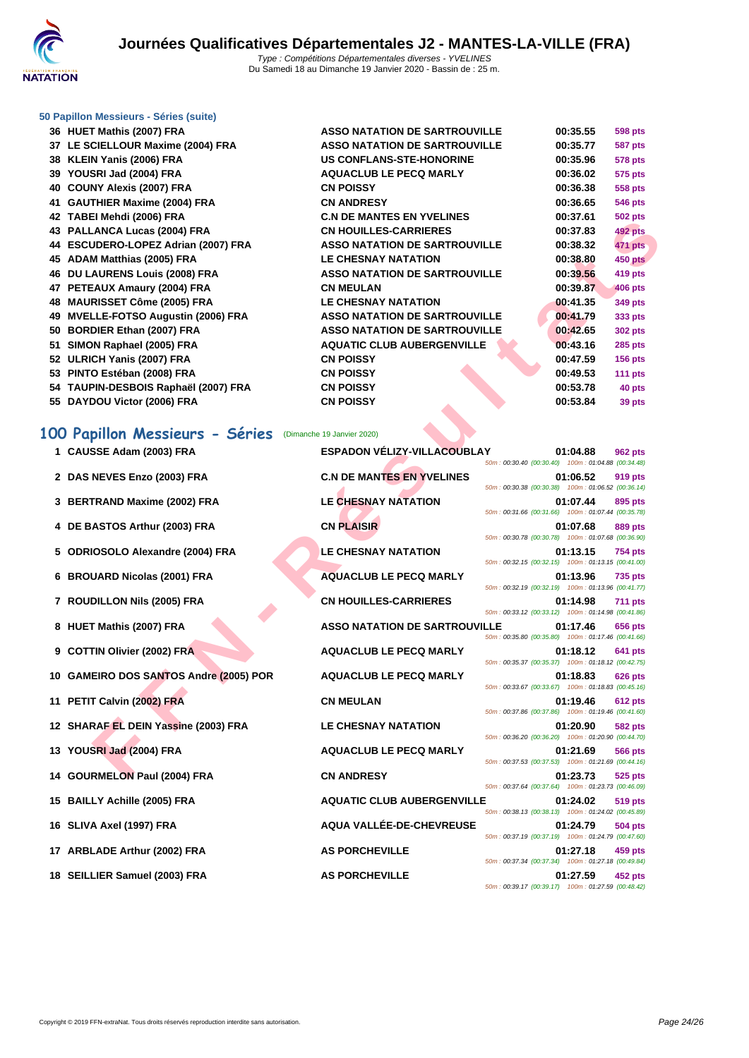

#### **[50 Papillo](http://www.ffnatation.fr/webffn/index.php)n Messieurs - Séries (suite)**

**36 <b>HUET Mathis (2007)** FRA **37 LE SCIELLOUR Maxime (2004) FRA 38 KLEIN Yanis (2006) FRA US CONFLANS-STE-HONORINE 00:35.96 578 pts 39 YOUSRI Jad (2004) FRA 40 COUNY Alexis (2007) FRA 41 GAUTHIER Maxime (2004) FRA 42 TABEI Mehdi (2006) FRA C.N DE MANTES EN YVELINES 00:37.61 502 pts 43 PALLANCA Lucas (2004) FRA 44 ESCUDERO-LOPEZ Adrian (2007) FRA 45 ADAM Matthias (2005) FRA LE CHESNAY NATATION 00:38.80 450 pts 46 DU LAURENS Louis (2008) FRA 47 PETEAUX Amaury (2004) FRA 48 MAURISSET Côme (2005) FRA 49** MVELLE-FOTSO Augustin (2006) FRA **50 BORDIER Ethan (2007) FRA 51 SIMON Raphael (2005) FRA 52 ULRICH Yanis (2007) FRA 53 PINTO Estéban (2008) FRA 54 TAUPIN-DESBOIS Raphaël (2007) FRA 55 DAYDOU Victor (2006) FRA** 

| ASSO NATATION DE SARTROUVILLE        | 00:35.55 | <b>598 pts</b> |
|--------------------------------------|----------|----------------|
| <b>ASSO NATATION DE SARTROUVILLE</b> | 00:35.77 | 587 pts        |
| <b>US CONFLANS-STE-HONORINE</b>      | 00:35.96 | <b>578 pts</b> |
| <b>AQUACLUB LE PECQ MARLY</b>        | 00:36.02 | 575 pts        |
| <b>CN POISSY</b>                     | 00:36.38 | 558 pts        |
| <b>CN ANDRESY</b>                    | 00:36.65 | 546 pts        |
| <b>C.N DE MANTES EN YVELINES</b>     | 00:37.61 | <b>502 pts</b> |
| <b>CN HOUILLES-CARRIERES</b>         | 00:37.83 | <b>492 pts</b> |
| ASSO NATATION DE SARTROUVILLE        | 00:38.32 | <b>471 pts</b> |
| <b>LE CHESNAY NATATION</b>           | 00:38.80 | <b>450 pts</b> |
| ASSO NATATION DE SARTROUVILLE        | 00:39.56 | 419 pts        |
| CN MEULAN                            | 00:39.87 | <b>406 pts</b> |
| <b>LE CHESNAY NATATION</b>           | 00:41.35 | 349 pts        |
| <b>ASSO NATATION DE SARTROUVILLE</b> | 00:41.79 | 333 pts        |
| ASSO NATATION DE SARTROUVILLE        | 00:42.65 | 302 pts        |
| <b>AQUATIC CLUB AUBERGENVILLE</b>    | 00:43.16 | $285$ pts      |
| <b>CN POISSY</b>                     | 00:47.59 | $156$ pts      |
| <b>CN POISSY</b>                     | 00:49.53 | 111 $pts$      |
| <b>CN POISSY</b>                     | 00:53.78 | 40 pts         |
| <b>CN POISSY</b>                     | 00:53.84 | 39 pts         |
|                                      |          |                |

### **100 Papillon Messieurs - Séries** (Dimanche 19 Janvier 2020)

| <b>TE INDETING IN (2000) LIVA</b>      | DE MANTES EN TVEENLS                 |                                                    | 00.JI.VI | JUZ pis        |
|----------------------------------------|--------------------------------------|----------------------------------------------------|----------|----------------|
| 43 PALLANCA Lucas (2004) FRA           | <b>CN HOUILLES-CARRIERES</b>         |                                                    | 00:37.83 | <b>492 pts</b> |
| 44 ESCUDERO-LOPEZ Adrian (2007) FRA    | <b>ASSO NATATION DE SARTROUVILLE</b> |                                                    | 00:38.32 | 471 pts        |
| 45 ADAM Matthias (2005) FRA            | <b>LE CHESNAY NATATION</b>           |                                                    | 00:38.80 | <b>450 pts</b> |
| 46 DU LAURENS Louis (2008) FRA         | <b>ASSO NATATION DE SARTROUVILLE</b> |                                                    | 00:39.56 | 419 pts        |
| 47 PETEAUX Amaury (2004) FRA           | <b>CN MEULAN</b>                     |                                                    | 00:39.87 | 406 pts        |
| 48 MAURISSET Côme (2005) FRA           | <b>LE CHESNAY NATATION</b>           |                                                    | 00:41.35 | 349 pts        |
| 49 MVELLE-FOTSO Augustin (2006) FRA    | <b>ASSO NATATION DE SARTROUVILLE</b> |                                                    | 00:41.79 | 333 pts        |
| 50 BORDIER Ethan (2007) FRA            | <b>ASSO NATATION DE SARTROUVILLE</b> |                                                    | 00:42.65 | <b>302 pts</b> |
| 51 SIMON Raphael (2005) FRA            | <b>AQUATIC CLUB AUBERGENVILLE</b>    |                                                    | 00:43.16 | <b>285 pts</b> |
| 52 ULRICH Yanis (2007) FRA             | <b>CN POISSY</b>                     |                                                    | 00:47.59 | <b>156 pts</b> |
| 53 PINTO Estéban (2008) FRA            | <b>CN POISSY</b>                     |                                                    | 00:49.53 | 111 pts        |
| 54 TAUPIN-DESBOIS Raphaël (2007) FRA   | <b>CN POISSY</b>                     |                                                    | 00:53.78 | 40 pts         |
| 55 DAYDOU Victor (2006) FRA            | <b>CN POISSY</b>                     |                                                    | 00:53.84 | 39 pts         |
|                                        |                                      |                                                    |          |                |
| 00 Papillon Messieurs - Séries         | (Dimanche 19 Janvier 2020)           |                                                    |          |                |
| 1 CAUSSE Adam (2003) FRA               | <b>ESPADON VÉLIZY-VILLACOUBLAY</b>   |                                                    | 01:04.88 | <b>962 pts</b> |
|                                        | <b>C.N DE MANTES EN YVELINES</b>     | 50m: 00:30.40 (00:30.40) 100m: 01:04.88 (00:34.48) |          |                |
| 2 DAS NEVES Enzo (2003) FRA            |                                      | 50m: 00:30.38 (00:30.38) 100m: 01:06.52 (00:36.14) | 01:06.52 | 919 pts        |
| 3 BERTRAND Maxime (2002) FRA           | <b>LE CHESNAY NATATION</b>           |                                                    | 01:07.44 | 895 pts        |
|                                        |                                      | 50m: 00:31.66 (00:31.66) 100m: 01:07.44 (00:35.78) |          |                |
| 4 DE BASTOS Arthur (2003) FRA          | <b>CN PLAISIR</b>                    |                                                    | 01:07.68 | 889 pts        |
|                                        |                                      | 50m: 00:30.78 (00:30.78) 100m: 01:07.68 (00:36.90) |          |                |
| 5 ODRIOSOLO Alexandre (2004) FRA       | <b>LE CHESNAY NATATION</b>           | 50m: 00:32.15 (00:32.15) 100m: 01:13.15 (00:41.00) | 01:13.15 | <b>754 pts</b> |
| 6 BROUARD Nicolas (2001) FRA           | <b>AQUACLUB LE PECQ MARLY</b>        |                                                    | 01:13.96 | <b>735 pts</b> |
|                                        |                                      | 50m: 00:32.19 (00:32.19) 100m: 01:13.96 (00:41.77) |          |                |
| 7 ROUDILLON Nils (2005) FRA            | <b>CN HOUILLES-CARRIERES</b>         |                                                    | 01:14.98 | <b>711 pts</b> |
|                                        |                                      | 50m: 00:33.12 (00:33.12) 100m: 01:14.98 (00:41.86) |          |                |
| 8 HUET Mathis (2007) FRA               | <b>ASSO NATATION DE SARTROUVILLE</b> | 50m: 00:35.80 (00:35.80) 100m: 01:17.46 (00:41.66) | 01:17.46 | 656 pts        |
| 9 COTTIN Olivier (2002) FRA            | <b>AQUACLUB LE PECQ MARLY</b>        |                                                    | 01:18.12 | 641 pts        |
|                                        |                                      | 50m: 00:35.37 (00:35.37) 100m: 01:18.12 (00:42.75) |          |                |
| 10 GAMEIRO DOS SANTOS Andre (2005) POR | <b>AQUACLUB LE PECQ MARLY</b>        |                                                    | 01:18.83 | <b>626 pts</b> |
|                                        |                                      | 50m: 00:33.67 (00:33.67) 100m: 01:18.83 (00:45.16) |          |                |
| 11 PETIT Calvin (2002) FRA             | <b>CN MEULAN</b>                     | 50m: 00:37.86 (00:37.86) 100m: 01:19.46 (00:41.60) | 01:19.46 | 612 pts        |
| 12 SHARAF EL DEIN Yassine (2003) FRA   | LE CHESNAY NATATION                  |                                                    | 01:20.90 | <b>582 pts</b> |
|                                        |                                      | 50m: 00:36.20 (00:36.20) 100m: 01:20.90 (00:44.70) |          |                |
| 13 YOUSRI Jad (2004) FRA               | <b>AQUACLUB LE PECQ MARLY</b>        |                                                    | 01:21.69 | 566 pts        |
|                                        |                                      | 50m: 00:37.53 (00:37.53) 100m: 01:21.69 (00:44.16) |          |                |
| 14 GOURMELON Paul (2004) FRA           | <b>CN ANDRESY</b>                    |                                                    | 01:23.73 | 525 pts        |
| 15 BAILLY Achille (2005) FRA           | <b>AQUATIC CLUB AUBERGENVILLE</b>    | 50m: 00:37.64 (00:37.64) 100m: 01:23.73 (00:46.09) |          |                |
|                                        |                                      | 50m: 00:38.13 (00:38.13) 100m: 01:24.02 (00:45.89) | 01:24.02 | 519 pts        |
| 16 SLIVA Axel (1997) FRA               | AQUA VALLÉE-DE-CHEVREUSE             |                                                    | 01:24.79 | 504 pts        |
|                                        |                                      | 50m: 00:37.19 (00:37.19) 100m: 01:24.79 (00:47.60) |          |                |
| 17 ARBLADE Arthur (2002) FRA           | <b>AS PORCHEVILLE</b>                |                                                    | 01:27.18 | 459 pts        |
|                                        |                                      | 50m: 00:37.34 (00:37.34) 100m: 01:27.18 (00:49.84) |          |                |
| 18 SEILLIER Samuel (2003) FRA          | <b>AS PORCHEVILLE</b>                | 50m: 00:39.17 (00:39.17) 100m: 01:27.59 (00:48.42) | 01:27.59 | 452 pts        |
|                                        |                                      |                                                    |          |                |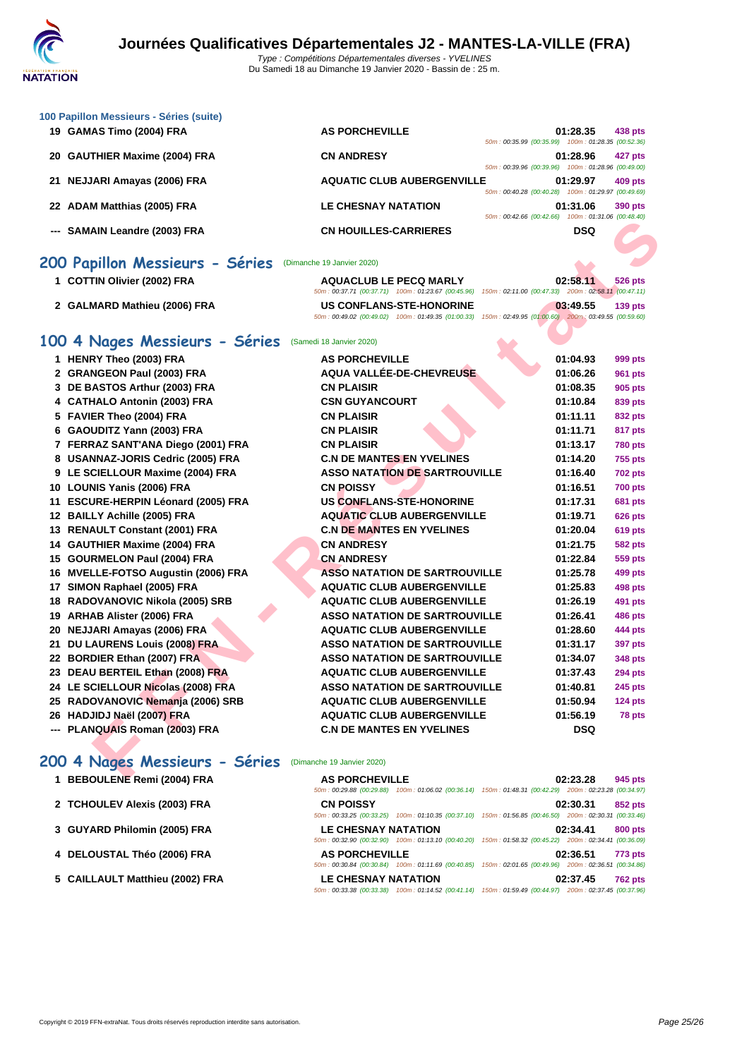| 100 Papillon Messieurs - Séries (suite) |                                   |                                                    |            |         |
|-----------------------------------------|-----------------------------------|----------------------------------------------------|------------|---------|
| 19 GAMAS Timo (2004) FRA                | <b>AS PORCHEVILLE</b>             |                                                    | 01:28.35   | 438 pts |
|                                         |                                   | 50m: 00:35.99 (00:35.99) 100m: 01:28.35 (00:52.36) |            |         |
| 20 GAUTHIER Maxime (2004) FRA           | <b>CN ANDRESY</b>                 |                                                    | 01:28.96   | 427 pts |
|                                         |                                   | 50m: 00:39.96 (00:39.96) 100m: 01:28.96 (00:49.00) |            |         |
| 21 NEJJARI Amayas (2006) FRA            | <b>AQUATIC CLUB AUBERGENVILLE</b> |                                                    | 01:29.97   | 409 pts |
|                                         |                                   | 50m: 00:40.28 (00:40.28) 100m: 01:29.97 (00:49.69) |            |         |
| 22 ADAM Matthias (2005) FRA             | <b>LE CHESNAY NATATION</b>        |                                                    | 01:31.06   | 390 pts |
|                                         |                                   | 50m: 00:42.66 (00:42.66) 100m: 01:31.06 (00:48.40) |            |         |
| --- SAMAIN Leandre (2003) FRA           | <b>CN HOUILLES-CARRIERES</b>      |                                                    | <b>DSQ</b> |         |

### **200 Papillon Messieurs - Séries** (Dimanche 19 Janvier 2020)

| 1 COTTIN Olivier (2002) FRA  | <b>AQUACLUB LE PECQ MARLY</b> | 02:58.11<br>526 pts<br>50m: 00:37.71 (00:37.71) 100m: 01:23.67 (00:45.96) 150m: 02:11.00 (00:47.33) 200m: 02:58.11 (00:47.11)   |
|------------------------------|-------------------------------|---------------------------------------------------------------------------------------------------------------------------------|
| 2 GALMARD Mathieu (2006) FRA | US CONFLANS-STE-HONORINE      | 03:49.55<br>$139$ pts<br>50m: 00:49.02 (00:49.02) 100m: 01:49.35 (01:00.33) 150m: 02:49.95 (01:00.60) 200m: 03:49.55 (00:59.60) |

### **100 4 Nages Messieurs - Séries** (Samedi 18 Janvier 2020)

|                                                                  |                                                                                                                                               | $0.42.00$ (00.42.00) 100m. 01.31.00 (00.40.40)                             |
|------------------------------------------------------------------|-----------------------------------------------------------------------------------------------------------------------------------------------|----------------------------------------------------------------------------|
| --- SAMAIN Leandre (2003) FRA                                    | <b>CN HOUILLES-CARRIERES</b>                                                                                                                  | <b>DSQ</b>                                                                 |
| <b>00 Papillon Messieurs - Séries</b> (Dimanche 19 Janvier 2020) |                                                                                                                                               |                                                                            |
| 1 COTTIN Olivier (2002) FRA                                      | <b>AQUACLUB LE PECQ MARLY</b><br>50m: 00:37.71 (00:37.71) 100m: 01:23.67 (00:45.96)                                                           | 02:58.11<br>526 pts<br>150m: 02:11.00 (00:47.33) 200m: 02:58.11 (00:47.11) |
| 2 GALMARD Mathieu (2006) FRA                                     | <b>US CONFLANS-STE-HONORINE</b><br>50m : 00:49.02 (00:49.02) 100m : 01:49.35 (01:00.33) 150m : 02:49.95 (01:00.60) 200m : 03:49.55 (00:59.60) | 03:49.55<br><b>139 pts</b>                                                 |
| 00 4 Nages Messieurs - Séries                                    | (Samedi 18 Janvier 2020)                                                                                                                      |                                                                            |
| 1 HENRY Theo (2003) FRA                                          | <b>AS PORCHEVILLE</b>                                                                                                                         | 01:04.93<br>999 pts                                                        |
| 2 GRANGEON Paul (2003) FRA                                       | AQUA VALLÉE-DE-CHEVREUSE                                                                                                                      | 01:06.26<br><b>961 pts</b>                                                 |
| 3 DE BASTOS Arthur (2003) FRA                                    | <b>CN PLAISIR</b>                                                                                                                             | 01:08.35<br>905 pts                                                        |
| 4 CATHALO Antonin (2003) FRA                                     | <b>CSN GUYANCOURT</b>                                                                                                                         | 01:10.84<br>839 pts                                                        |
| 5 FAVIER Theo (2004) FRA                                         | <b>CN PLAISIR</b>                                                                                                                             | 01:11.11<br>832 pts                                                        |
| 6 GAOUDITZ Yann (2003) FRA                                       | <b>CN PLAISIR</b>                                                                                                                             | 01:11.71<br>817 pts                                                        |
| 7 FERRAZ SANT'ANA Diego (2001) FRA                               | <b>CN PLAISIR</b>                                                                                                                             | 01:13.17<br><b>780 pts</b>                                                 |
| 8 USANNAZ-JORIS Cedric (2005) FRA                                | <b>C.N DE MANTES EN YVELINES</b>                                                                                                              | 01:14.20<br><b>755 pts</b>                                                 |
| 9 LE SCIELLOUR Maxime (2004) FRA                                 | <b>ASSO NATATION DE SARTROUVILLE</b>                                                                                                          | 01:16.40<br><b>702 pts</b>                                                 |
| 10 LOUNIS Yanis (2006) FRA                                       | <b>CN POISSY</b>                                                                                                                              | 01:16.51<br><b>700 pts</b>                                                 |
| 11 ESCURE-HERPIN Léonard (2005) FRA                              | <b>US CONFLANS-STE-HONORINE</b>                                                                                                               | 01:17.31<br><b>681 pts</b>                                                 |
| 12 BAILLY Achille (2005) FRA                                     | <b>AQUATIC CLUB AUBERGENVILLE</b>                                                                                                             | 01:19.71<br><b>626 pts</b>                                                 |
| 13 RENAULT Constant (2001) FRA                                   | <b>C.N DE MANTES EN YVELINES</b>                                                                                                              | 01:20.04<br><b>619 pts</b>                                                 |
| 14 GAUTHIER Maxime (2004) FRA                                    | <b>CN ANDRESY</b>                                                                                                                             | 01:21.75<br><b>582 pts</b>                                                 |
| 15 GOURMELON Paul (2004) FRA                                     | <b>CN ANDRESY</b>                                                                                                                             | 01:22.84<br>559 pts                                                        |
| 16 MVELLE-FOTSO Augustin (2006) FRA                              | <b>ASSO NATATION DE SARTROUVILLE</b>                                                                                                          | 01:25.78<br>499 pts                                                        |
| 17 SIMON Raphael (2005) FRA                                      | <b>AQUATIC CLUB AUBERGENVILLE</b>                                                                                                             | 01:25.83<br>498 pts                                                        |
| 18 RADOVANOVIC Nikola (2005) SRB                                 | <b>AQUATIC CLUB AUBERGENVILLE</b>                                                                                                             | 01:26.19<br>491 pts                                                        |
| 19 ARHAB Alister (2006) FRA                                      | <b>ASSO NATATION DE SARTROUVILLE</b>                                                                                                          | 01:26.41<br><b>486 pts</b>                                                 |
| 20 NEJJARI Amayas (2006) FRA                                     | <b>AQUATIC CLUB AUBERGENVILLE</b>                                                                                                             | 01:28.60<br>444 pts                                                        |
| 21 DU LAURENS Louis (2008) FRA                                   | <b>ASSO NATATION DE SARTROUVILLE</b>                                                                                                          | 01:31.17<br>397 pts                                                        |
| 22 BORDIER Ethan (2007) FRA                                      | <b>ASSO NATATION DE SARTROUVILLE</b>                                                                                                          | 01:34.07<br>348 pts                                                        |
| 23 DEAU BERTEIL Ethan (2008) FRA                                 | <b>AQUATIC CLUB AUBERGENVILLE</b>                                                                                                             | 01:37.43<br><b>294 pts</b>                                                 |
| 24 LE SCIELLOUR Nicolas (2008) FRA                               | <b>ASSO NATATION DE SARTROUVILLE</b>                                                                                                          | 01:40.81<br>245 pts                                                        |
| 25 RADOVANOVIC Nemanja (2006) SRB                                | <b>AQUATIC CLUB AUBERGENVILLE</b>                                                                                                             | 01:50.94<br>124 pts                                                        |
| 26 HADJIDJ Naël (2007) FRA                                       | <b>AQUATIC CLUB AUBERGENVILLE</b>                                                                                                             | 01:56.19<br>78 pts                                                         |
| --- PLANQUAIS Roman (2003) FRA                                   | <b>C.N DE MANTES EN YVELINES</b>                                                                                                              | <b>DSQ</b>                                                                 |
| 00 4 Nages Messieurs - Séries                                    | (Dimanche 19 Janvier 2020)                                                                                                                    |                                                                            |
| 4 BEBOULENE BAM! (2004) EBA                                      | AC DODOUEVILLE                                                                                                                                | 0.2220<br>$0.45 - 44$                                                      |

# 200 4 Nages Messieurs - Séries (Dimanche 19 Janvier 2020)<br>1 BEBOULENE Remi (2004) FRA AS PORCHEVI

| 1 BEBOULENE Remi (2004) FRA     | <b>AS PORCHEVILLE</b>      | 50m: 00:29.88 (00:29.88) 100m: 01:06.02 (00:36.14) 150m: 01:48.31 (00:42.29) 200m: 02:23.28 (00:34.97) | 02:23.28 | 945 pts        |
|---------------------------------|----------------------------|--------------------------------------------------------------------------------------------------------|----------|----------------|
| 2 TCHOULEV Alexis (2003) FRA    | <b>CN POISSY</b>           | 50m: 00:33.25 (00:33.25) 100m: 01:10.35 (00:37.10) 150m: 01:56.85 (00:46.50) 200m: 02:30.31 (00:33.46) | 02:30.31 | 852 pts        |
| 3 GUYARD Philomin (2005) FRA    | <b>LE CHESNAY NATATION</b> | 50m: 00:32.90 (00:32.90) 100m: 01:13.10 (00:40.20) 150m: 01:58.32 (00:45.22) 200m: 02:34.41 (00:36.09) | 02:34.41 | 800 pts        |
| 4 DELOUSTAL Théo (2006) FRA     | <b>AS PORCHEVILLE</b>      | 50m; 00:30.84 (00:30.84) 100m; 01:11.69 (00:40.85) 150m; 02:01.65 (00:49.96) 200m; 02:36.51 (00:34.86) | 02:36.51 | <b>773 pts</b> |
| 5 CAILLAULT Matthieu (2002) FRA | <b>LE CHESNAY NATATION</b> | 50m: 00:33.38 (00:33.38) 100m: 01:14.52 (00:41.14) 150m: 01:59.49 (00:44.97) 200m: 02:37.45 (00:37.96) | 02:37.45 | <b>762 pts</b> |